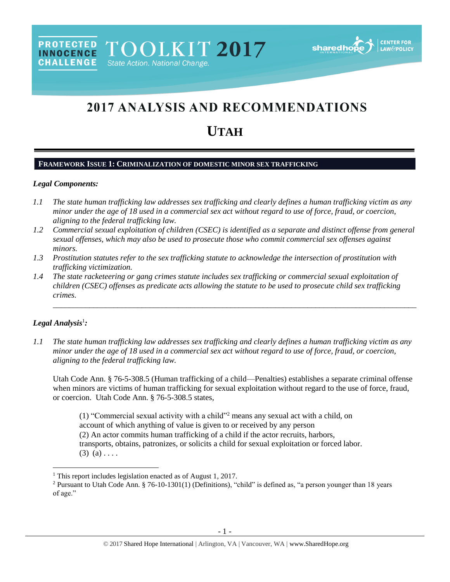# **2017 ANALYSIS AND RECOMMENDATIONS UTAH**

# **FRAMEWORK ISSUE 1: CRIMINALIZATION OF DOMESTIC MINOR SEX TRAFFICKING**

State Action. National Change.

#### *Legal Components:*

**PROTECTED** 

**INNOCENCE CHALLENGE** 

- *1.1 The state human trafficking law addresses sex trafficking and clearly defines a human trafficking victim as any minor under the age of 18 used in a commercial sex act without regard to use of force, fraud, or coercion, aligning to the federal trafficking law.*
- *1.2 Commercial sexual exploitation of children (CSEC) is identified as a separate and distinct offense from general sexual offenses, which may also be used to prosecute those who commit commercial sex offenses against minors.*
- *1.3 Prostitution statutes refer to the sex trafficking statute to acknowledge the intersection of prostitution with trafficking victimization.*
- *1.4 The state racketeering or gang crimes statute includes sex trafficking or commercial sexual exploitation of children (CSEC) offenses as predicate acts allowing the statute to be used to prosecute child sex trafficking crimes.*

## *Legal Analysis*<sup>1</sup> *:*

 $\overline{\phantom{a}}$ 

*1.1 The state human trafficking law addresses sex trafficking and clearly defines a human trafficking victim as any minor under the age of 18 used in a commercial sex act without regard to use of force, fraud, or coercion, aligning to the federal trafficking law.*

Utah Code Ann. § 76-5-308.5 (Human trafficking of a child—Penalties) establishes a separate criminal offense when minors are victims of human trafficking for sexual exploitation without regard to the use of force, fraud, or coercion. Utah Code Ann. § 76-5-308.5 states,

\_\_\_\_\_\_\_\_\_\_\_\_\_\_\_\_\_\_\_\_\_\_\_\_\_\_\_\_\_\_\_\_\_\_\_\_\_\_\_\_\_\_\_\_\_\_\_\_\_\_\_\_\_\_\_\_\_\_\_\_\_\_\_\_\_\_\_\_\_\_\_\_\_\_\_\_\_\_\_\_\_\_\_\_\_\_\_\_\_\_

(1) "Commercial sexual activity with a child"<sup>2</sup> means any sexual act with a child, on account of which anything of value is given to or received by any person (2) An actor commits human trafficking of a child if the actor recruits, harbors, transports, obtains, patronizes, or solicits a child for sexual exploitation or forced labor.  $(3)$   $(a)$  . . . .

<sup>&</sup>lt;sup>1</sup> This report includes legislation enacted as of August 1, 2017.

<sup>&</sup>lt;sup>2</sup> Pursuant to Utah Code Ann. § 76-10-1301(1) (Definitions), "child" is defined as, "a person younger than 18 years of age."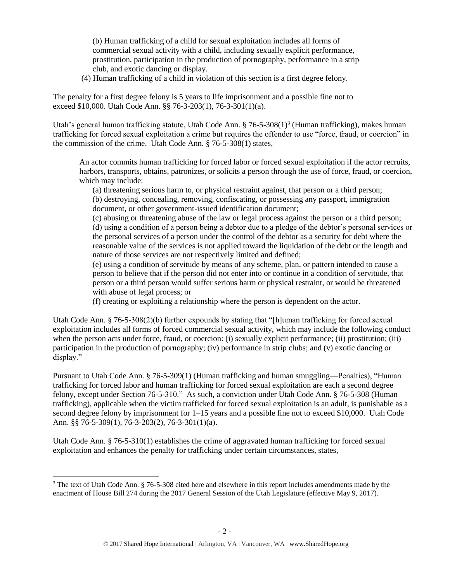(b) Human trafficking of a child for sexual exploitation includes all forms of commercial sexual activity with a child, including sexually explicit performance, prostitution, participation in the production of pornography, performance in a strip club, and exotic dancing or display.

(4) Human trafficking of a child in violation of this section is a first degree felony.

The penalty for a first degree felony is 5 years to life imprisonment and a possible fine not to exceed \$10,000. Utah Code Ann. §§ 76-3-203(1), 76-3-301(1)(a).

Utah's general human trafficking statute, Utah Code Ann. § 76-5-308(1)<sup>3</sup> (Human trafficking), makes human trafficking for forced sexual exploitation a crime but requires the offender to use "force, fraud, or coercion" in the commission of the crime. Utah Code Ann. § 76-5-308(1) states,

An actor commits human trafficking for forced labor or forced sexual exploitation if the actor recruits, harbors, transports, obtains, patronizes, or solicits a person through the use of force, fraud, or coercion, which may include:

<span id="page-1-0"></span>(a) threatening serious harm to, or physical restraint against, that person or a third person; (b) destroying, concealing, removing, confiscating, or possessing any passport, immigration document, or other government-issued identification document;

(c) abusing or threatening abuse of the law or legal process against the person or a third person; (d) using a condition of a person being a debtor due to a pledge of the debtor's personal services or the personal services of a person under the control of the debtor as a security for debt where the reasonable value of the services is not applied toward the liquidation of the debt or the length and nature of those services are not respectively limited and defined;

(e) using a condition of servitude by means of any scheme, plan, or pattern intended to cause a person to believe that if the person did not enter into or continue in a condition of servitude, that person or a third person would suffer serious harm or physical restraint, or would be threatened with abuse of legal process; or

(f) creating or exploiting a relationship where the person is dependent on the actor.

Utah Code Ann. § 76-5-308(2)(b) further expounds by stating that "[h]uman trafficking for forced sexual exploitation includes all forms of forced commercial sexual activity, which may include the following conduct when the person acts under force, fraud, or coercion: (i) sexually explicit performance; (ii) prostitution; (iii) participation in the production of pornography; (iv) performance in strip clubs; and (v) exotic dancing or display."

Pursuant to Utah Code Ann. § 76-5-309(1) (Human trafficking and human smuggling—Penalties), "Human trafficking for forced labor and human trafficking for forced sexual exploitation are each a second degree felony, except under Section 76-5-310." As such, a conviction under Utah Code Ann. § 76-5-308 (Human trafficking), applicable when the victim trafficked for forced sexual exploitation is an adult, is punishable as a second degree felony by imprisonment for 1–15 years and a possible fine not to exceed \$10,000. Utah Code Ann. §§ 76-5-309(1), 76-3-203(2), 76-3-301(1)(a).

Utah Code Ann. § 76-5-310(1) establishes the crime of aggravated human trafficking for forced sexual exploitation and enhances the penalty for trafficking under certain circumstances, states,

<sup>&</sup>lt;sup>3</sup> The text of Utah Code Ann. § 76-5-308 cited here and elsewhere in this report includes amendments made by the enactment of House Bill 274 during the 2017 General Session of the Utah Legislature (effective May 9, 2017).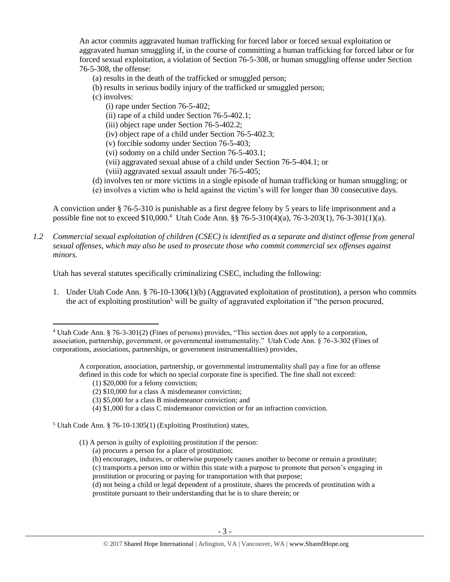An actor commits aggravated human trafficking for forced labor or forced sexual exploitation or aggravated human smuggling if, in the course of committing a human trafficking for forced labor or for forced sexual exploitation, a violation of Section 76-5-308, or human smuggling offense under Section 76-5-308, the offense:

- (a) results in the death of the trafficked or smuggled person;
- (b) results in serious bodily injury of the trafficked or smuggled person;
- (c) involves:
	- (i) rape under Section 76-5-402;
	- (ii) rape of a child under Section 76-5-402.1;
	- (iii) object rape under Section 76-5-402.2;
	- (iv) object rape of a child under Section 76-5-402.3;
	- (v) forcible sodomy under Section 76-5-403;
	- (vi) sodomy on a child under Section 76-5-403.1;
	- (vii) aggravated sexual abuse of a child under Section 76-5-404.1; or
	- (viii) aggravated sexual assault under 76-5-405;
- (d) involves ten or more victims in a single episode of human trafficking or human smuggling; or
- <span id="page-2-0"></span>(e) involves a victim who is held against the victim's will for longer than 30 consecutive days.

A conviction under § 76-5-310 is punishable as a first degree felony by 5 years to life imprisonment and a possible fine not to exceed \$10,000.<sup>4</sup> Utah Code Ann. §§ 76-5-310(4)(a), 76-3-203(1), 76-3-301(1)(a).

*1.2 Commercial sexual exploitation of children (CSEC) is identified as a separate and distinct offense from general sexual offenses, which may also be used to prosecute those who commit commercial sex offenses against minors.*

Utah has several statutes specifically criminalizing CSEC, including the following:

1. Under Utah Code Ann. § 76-10-1306(1)(b) (Aggravated exploitation of prostitution), a person who commits the act of exploiting prostitution<sup>5</sup> will be guilty of aggravated exploitation if "the person procured,

(1) \$20,000 for a felony conviction;

- (2) \$10,000 for a class A misdemeanor conviction;
- (3) \$5,000 for a class B misdemeanor conviction; and
- (4) \$1,000 for a class C misdemeanor conviction or for an infraction conviction.
- <sup>5</sup> Utah Code Ann. § 76-10-1305(1) (Exploiting Prostitution) states,
	- (1) A person is guilty of exploiting prostitution if the person:
		- (a) procures a person for a place of prostitution;
		- (b) encourages, induces, or otherwise purposely causes another to become or remain a prostitute;
		- (c) transports a person into or within this state with a purpose to promote that person's engaging in prostitution or procuring or paying for transportation with that purpose;

<sup>4</sup> Utah Code Ann. § 76-3-301(2) (Fines of persons) provides, "This section does not apply to a corporation, association, partnership, government, or governmental instrumentality." Utah Code Ann. § 76-3-302 (Fines of corporations, associations, partnerships, or government instrumentalities) provides,

A corporation, association, partnership, or governmental instrumentality shall pay a fine for an offense defined in this code for which no special corporate fine is specified. The fine shall not exceed:

<sup>(</sup>d) not being a child or legal dependent of a prostitute, shares the proceeds of prostitution with a prostitute pursuant to their understanding that he is to share therein; or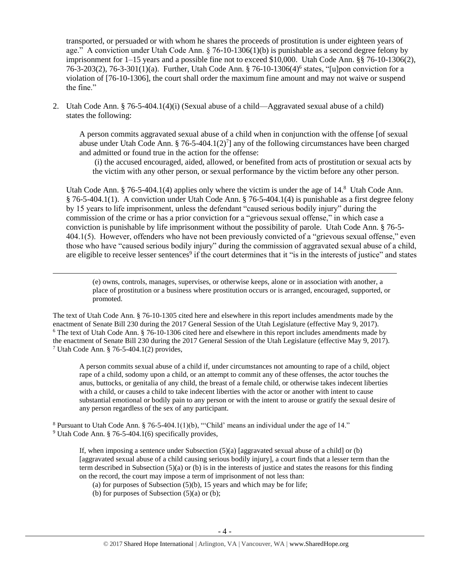transported, or persuaded or with whom he shares the proceeds of prostitution is under eighteen years of age." A conviction under Utah Code Ann. § 76-10-1306(1)(b) is punishable as a second degree felony by imprisonment for 1–15 years and a possible fine not to exceed \$10,000. Utah Code Ann. §§ 76-10-1306(2), 76-3-203(2), 76-3-301(1)(a). Further, Utah Code Ann. § 76-10-1306(4)<sup>6</sup> states, "[u]pon conviction for a violation of [76-10-1306], the court shall order the maximum fine amount and may not waive or suspend the fine."

2. Utah Code Ann. § 76-5-404.1(4)(i) (Sexual abuse of a child—Aggravated sexual abuse of a child) states the following:

A person commits aggravated sexual abuse of a child when in conjunction with the offense [of sexual abuse under Utah Code Ann. § 76-5-404.1(2)<sup>7</sup>] any of the following circumstances have been charged and admitted or found true in the action for the offense:

<span id="page-3-3"></span><span id="page-3-1"></span><span id="page-3-0"></span>(i) the accused encouraged, aided, allowed, or benefited from acts of prostitution or sexual acts by the victim with any other person, or sexual performance by the victim before any other person.

Utah Code Ann. § 76-5-404.1(4) applies only where the victim is under the age of 14.<sup>8</sup> Utah Code Ann. § 76-5-404.1(1). A conviction under Utah Code Ann. § 76-5-404.1(4) is punishable as a first degree felony by 15 years to life imprisonment, unless the defendant "caused serious bodily injury" during the commission of the crime or has a prior conviction for a "grievous sexual offense," in which case a conviction is punishable by life imprisonment without the possibility of parole. Utah Code Ann. § 76-5- 404.1(5). However, offenders who have not been previously convicted of a "grievous sexual offense," even those who have "caused serious bodily injury" during the commission of aggravated sexual abuse of a child, are eligible to receive lesser sentences<sup>9</sup> if the court determines that it "is in the interests of justice" and states

<span id="page-3-2"></span>(e) owns, controls, manages, supervises, or otherwise keeps, alone or in association with another, a place of prostitution or a business where prostitution occurs or is arranged, encouraged, supported, or promoted.

The text of Utah Code Ann. § 76-10-1305 cited here and elsewhere in this report includes amendments made by the enactment of Senate Bill 230 during the 2017 General Session of the Utah Legislature (effective May 9, 2017). <sup>6</sup> The text of Utah Code Ann. § 76-10-1306 cited here and elsewhere in this report includes amendments made by the enactment of Senate Bill 230 during the 2017 General Session of the Utah Legislature (effective May 9, 2017). <sup>7</sup> Utah Code Ann. § 76-5-404.1(2) provides,

A person commits sexual abuse of a child if, under circumstances not amounting to rape of a child, object rape of a child, sodomy upon a child, or an attempt to commit any of these offenses, the actor touches the anus, buttocks, or genitalia of any child, the breast of a female child, or otherwise takes indecent liberties with a child, or causes a child to take indecent liberties with the actor or another with intent to cause substantial emotional or bodily pain to any person or with the intent to arouse or gratify the sexual desire of any person regardless of the sex of any participant.

<sup>8</sup> Pursuant to Utah Code Ann.  $\S$  76-5-404.1(1)(b), "Child' means an individual under the age of 14."

<sup>9</sup> Utah Code Ann. § 76-5-404.1(6) specifically provides,

 $\overline{\phantom{a}}$ 

If, when imposing a sentence under Subsection (5)(a) [aggravated sexual abuse of a child] or (b) [aggravated sexual abuse of a child causing serious bodily injury], a court finds that a lesser term than the term described in Subsection (5)(a) or (b) is in the interests of justice and states the reasons for this finding on the record, the court may impose a term of imprisonment of not less than:

(a) for purposes of Subsection  $(5)(b)$ , 15 years and which may be for life;

(b) for purposes of Subsection  $(5)(a)$  or  $(b)$ ;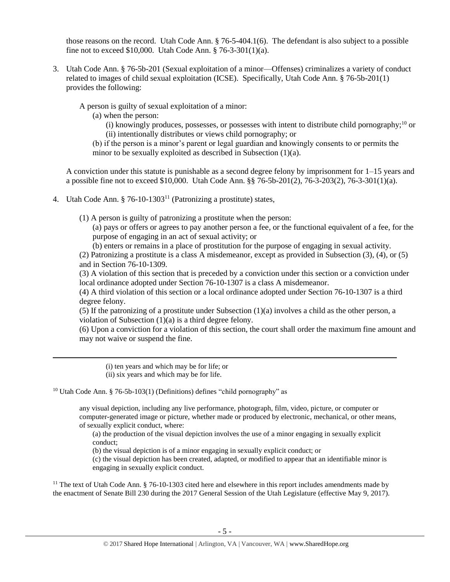those reasons on the record. Utah Code Ann. § 76-5-404.1(6). The defendant is also subject to a possible fine not to exceed \$10,000. Utah Code Ann. § 76-3-301(1)(a).

3. Utah Code Ann. § 76-5b-201 (Sexual exploitation of a minor—Offenses) criminalizes a variety of conduct related to images of child sexual exploitation (ICSE). Specifically, Utah Code Ann. § 76-5b-201(1) provides the following:

A person is guilty of sexual exploitation of a minor:

(a) when the person:

<span id="page-4-1"></span>(i) knowingly produces, possesses, or possesses with intent to distribute child pornography;<sup>10</sup> or (ii) intentionally distributes or views child pornography; or

(b) if the person is a minor's parent or legal guardian and knowingly consents to or permits the minor to be sexually exploited as described in Subsection (1)(a).

A conviction under this statute is punishable as a second degree felony by imprisonment for 1–15 years and a possible fine not to exceed \$10,000. Utah Code Ann. §§ 76-5b-201(2), 76-3-203(2), 76-3-301(1)(a).

4. Utah Code Ann.  $\S 76-10-1303<sup>11</sup>$  (Patronizing a prostitute) states,

(1) A person is guilty of patronizing a prostitute when the person:

<span id="page-4-0"></span>(a) pays or offers or agrees to pay another person a fee, or the functional equivalent of a fee, for the purpose of engaging in an act of sexual activity; or

(b) enters or remains in a place of prostitution for the purpose of engaging in sexual activity.

(2) Patronizing a prostitute is a class A misdemeanor, except as provided in Subsection (3), (4), or (5) and in Section 76-10-1309.

(3) A violation of this section that is preceded by a conviction under this section or a conviction under local ordinance adopted under Section 76-10-1307 is a class A misdemeanor.

(4) A third violation of this section or a local ordinance adopted under Section 76-10-1307 is a third degree felony.

(5) If the patronizing of a prostitute under Subsection (1)(a) involves a child as the other person, a violation of Subsection (1)(a) is a third degree felony.

(6) Upon a conviction for a violation of this section, the court shall order the maximum fine amount and may not waive or suspend the fine.

(i) ten years and which may be for life; or

(ii) six years and which may be for life.

 $\overline{a}$ 

<sup>10</sup> Utah Code Ann. § 76-5b-103(1) (Definitions) defines "child pornography" as

any visual depiction, including any live performance, photograph, film, video, picture, or computer or computer-generated image or picture, whether made or produced by electronic, mechanical, or other means, of sexually explicit conduct, where:

(a) the production of the visual depiction involves the use of a minor engaging in sexually explicit conduct;

(b) the visual depiction is of a minor engaging in sexually explicit conduct; or

(c) the visual depiction has been created, adapted, or modified to appear that an identifiable minor is engaging in sexually explicit conduct.

<sup>11</sup> The text of Utah Code Ann.  $\S$  76-10-1303 cited here and elsewhere in this report includes amendments made by the enactment of Senate Bill 230 during the 2017 General Session of the Utah Legislature (effective May 9, 2017).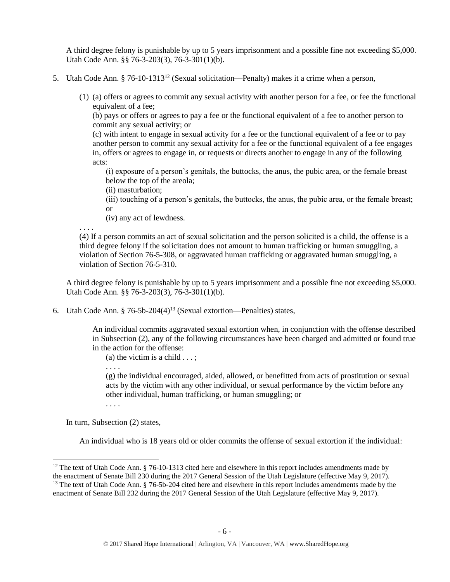A third degree felony is punishable by up to 5 years imprisonment and a possible fine not exceeding \$5,000. Utah Code Ann. §§ 76-3-203(3), 76-3-301(1)(b).

- 5. Utah Code Ann. § 76-10-1313<sup>12</sup> (Sexual solicitation—Penalty) makes it a crime when a person,
	- (1) (a) offers or agrees to commit any sexual activity with another person for a fee, or fee the functional equivalent of a fee;

<span id="page-5-0"></span>(b) pays or offers or agrees to pay a fee or the functional equivalent of a fee to another person to commit any sexual activity; or

(c) with intent to engage in sexual activity for a fee or the functional equivalent of a fee or to pay another person to commit any sexual activity for a fee or the functional equivalent of a fee engages in, offers or agrees to engage in, or requests or directs another to engage in any of the following acts:

(i) exposure of a person's genitals, the buttocks, the anus, the pubic area, or the female breast below the top of the areola;

(ii) masturbation;

(iii) touching of a person's genitals, the buttocks, the anus, the pubic area, or the female breast; or

(iv) any act of lewdness.

. . . . (4) If a person commits an act of sexual solicitation and the person solicited is a child, the offense is a third degree felony if the solicitation does not amount to human trafficking or human smuggling, a violation of Section 76-5-308, or aggravated human trafficking or aggravated human smuggling, a violation of Section 76-5-310.

A third degree felony is punishable by up to 5 years imprisonment and a possible fine not exceeding \$5,000. Utah Code Ann. §§ 76-3-203(3), 76-3-301(1)(b).

6. Utah Code Ann. § 76-5b-204(4)<sup>13</sup> (Sexual extortion—Penalties) states,

An individual commits aggravated sexual extortion when, in conjunction with the offense described in Subsection (2), any of the following circumstances have been charged and admitted or found true in the action for the offense:

<span id="page-5-1"></span>(a) the victim is a child  $\dots$ :

(g) the individual encouraged, aided, allowed, or benefitted from acts of prostitution or sexual acts by the victim with any other individual, or sexual performance by the victim before any other individual, human trafficking, or human smuggling; or

. . . .

. . . .

In turn, Subsection (2) states,

l

An individual who is 18 years old or older commits the offense of sexual extortion if the individual:

 $12$  The text of Utah Code Ann. § 76-10-1313 cited here and elsewhere in this report includes amendments made by the enactment of Senate Bill 230 during the 2017 General Session of the Utah Legislature (effective May 9, 2017). <sup>13</sup> The text of Utah Code Ann. § 76-5b-204 cited here and elsewhere in this report includes amendments made by the enactment of Senate Bill 232 during the 2017 General Session of the Utah Legislature (effective May 9, 2017).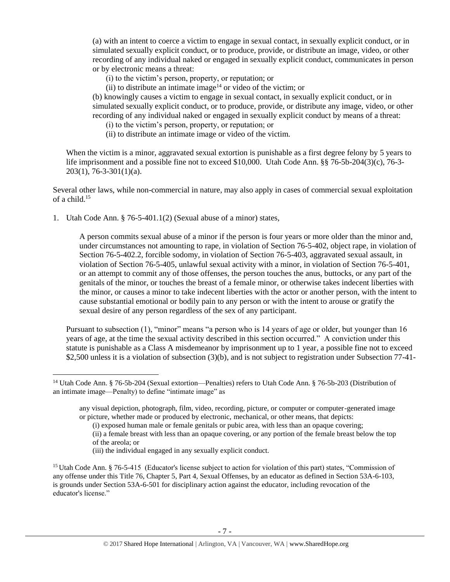(a) with an intent to coerce a victim to engage in sexual contact, in sexually explicit conduct, or in simulated sexually explicit conduct, or to produce, provide, or distribute an image, video, or other recording of any individual naked or engaged in sexually explicit conduct, communicates in person or by electronic means a threat:

(i) to the victim's person, property, or reputation; or

(ii) to distribute an intimate image<sup>14</sup> or video of the victim; or

(b) knowingly causes a victim to engage in sexual contact, in sexually explicit conduct, or in simulated sexually explicit conduct, or to produce, provide, or distribute any image, video, or other recording of any individual naked or engaged in sexually explicit conduct by means of a threat:

(i) to the victim's person, property, or reputation; or

(ii) to distribute an intimate image or video of the victim.

When the victim is a minor, aggravated sexual extortion is punishable as a first degree felony by 5 years to life imprisonment and a possible fine not to exceed \$10,000. Utah Code Ann. §§ 76-5b-204(3)(c), 76-3- 203(1), 76-3-301(1)(a).

Several other laws, while non-commercial in nature, may also apply in cases of commercial sexual exploitation of a child.<sup>15</sup>

1. Utah Code Ann. § 76-5-401.1(2) (Sexual abuse of a minor) states,

A person commits sexual abuse of a minor if the person is four years or more older than the minor and, under circumstances not amounting to rape, in violation of Section 76-5-402, object rape, in violation of Section 76-5-402.2, forcible sodomy, in violation of Section 76-5-403, aggravated sexual assault, in violation of Section 76-5-405, unlawful sexual activity with a minor, in violation of Section 76-5-401, or an attempt to commit any of those offenses, the person touches the anus, buttocks, or any part of the genitals of the minor, or touches the breast of a female minor, or otherwise takes indecent liberties with the minor, or causes a minor to take indecent liberties with the actor or another person, with the intent to cause substantial emotional or bodily pain to any person or with the intent to arouse or gratify the sexual desire of any person regardless of the sex of any participant.

Pursuant to subsection (1), "minor" means "a person who is 14 years of age or older, but younger than 16 years of age, at the time the sexual activity described in this section occurred." A conviction under this statute is punishable as a Class A misdemeanor by imprisonment up to 1 year, a possible fine not to exceed \$2,500 unless it is a violation of subsection (3)(b), and is not subject to registration under Subsection 77-41-

(i) exposed human male or female genitals or pubic area, with less than an opaque covering;

- (ii) a female breast with less than an opaque covering, or any portion of the female breast below the top of the areola; or
- (iii) the individual engaged in any sexually explicit conduct.

<sup>14</sup> Utah Code Ann. § 76-5b-204 (Sexual extortion—Penalties) refers to Utah Code Ann. § 76-5b-203 (Distribution of an intimate image—Penalty) to define "intimate image" as

any visual depiction, photograph, film, video, recording, picture, or computer or computer-generated image or picture, whether made or produced by electronic, mechanical, or other means, that depicts:

<sup>&</sup>lt;sup>15</sup> Utah Code Ann. § 76-5-415 (Educator's license subject to action for violation of this part) states, "Commission of any offense under this Title 76, Chapter 5, Part 4, Sexual Offenses, by an educator as defined in Section 53A-6-103, is grounds under Section 53A-6-501 for disciplinary action against the educator, including revocation of the educator's license."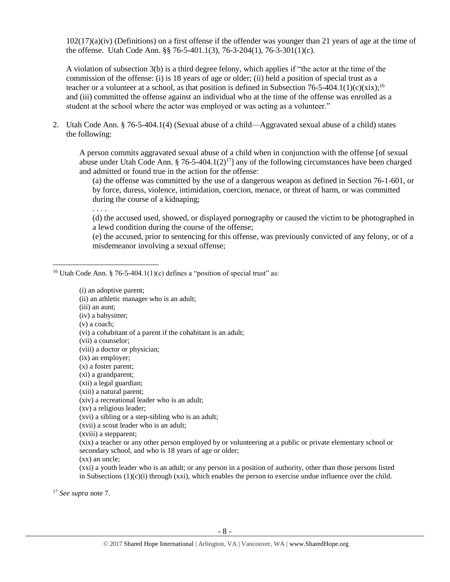102(17)(a)(iv) (Definitions) on a first offense if the offender was younger than 21 years of age at the time of the offense. Utah Code Ann. §§ 76-5-401.1(3), 76-3-204(1), 76-3-301(1)(c).

A violation of subsection 3(b) is a third degree felony, which applies if "the actor at the time of the commission of the offense: (i) is 18 years of age or older; (ii) held a position of special trust as a teacher or a volunteer at a school, as that position is defined in Subsection 76-5-404.1(1)(c)(xix);<sup>16</sup> and (iii) committed the offense against an individual who at the time of the offense was enrolled as a student at the school where the actor was employed or was acting as a volunteer."

2. Utah Code Ann. § 76-5-404.1(4) (Sexual abuse of a child—Aggravated sexual abuse of a child) states the following:

A person commits aggravated sexual abuse of a child when in conjunction with the offense [of sexual abuse under Utah Code Ann. § 76-5-404.1(2)<sup>17</sup>] any of the following circumstances have been charged and admitted or found true in the action for the offense:

(a) the offense was committed by the use of a dangerous weapon as defined in Section 76-1-601, or by force, duress, violence, intimidation, coercion, menace, or threat of harm, or was committed during the course of a kidnaping;

. . . .

(d) the accused used, showed, or displayed pornography or caused the victim to be photographed in a lewd condition during the course of the offense;

(e) the accused, prior to sentencing for this offense, was previously convicted of any felony, or of a misdemeanor involving a sexual offense;

<sup>16</sup> Utah Code Ann. § 76-5-404.1(1)(c) defines a "position of special trust" as:

(i) an adoptive parent;

(ii) an athletic manager who is an adult;

(iii) an aunt;

(iv) a babysitter;

(v) a coach;

 $\overline{\phantom{a}}$ 

(vi) a cohabitant of a parent if the cohabitant is an adult;

(vii) a counselor;

(viii) a doctor or physician;

(ix) an employer;

(x) a foster parent;

(xi) a grandparent;

(xii) a legal guardian;

(xiii) a natural parent;

(xiv) a recreational leader who is an adult;

(xv) a religious leader;

(xvi) a sibling or a step-sibling who is an adult;

(xvii) a scout leader who is an adult;

(xviii) a stepparent;

(xix) a teacher or any other person employed by or volunteering at a public or private elementary school or secondary school, and who is 18 years of age or older;

(xx) an uncle;

(xxi) a youth leader who is an adult; or any person in a position of authority, other than those persons listed in Subsections  $(1)(c)(i)$  through (xxi), which enables the person to exercise undue influence over the child.

<sup>17</sup> *See supra* note [7.](#page-3-0)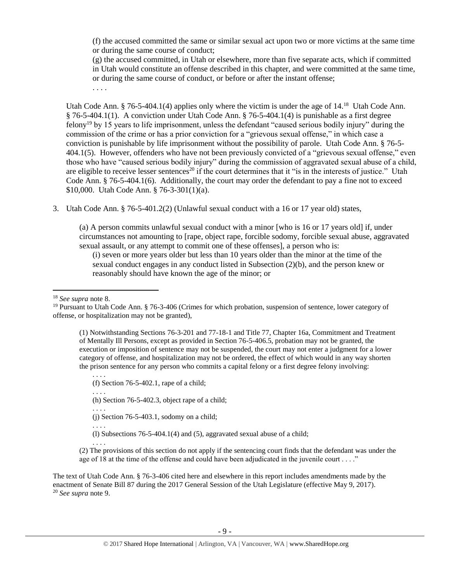(f) the accused committed the same or similar sexual act upon two or more victims at the same time or during the same course of conduct;

(g) the accused committed, in Utah or elsewhere, more than five separate acts, which if committed in Utah would constitute an offense described in this chapter, and were committed at the same time, or during the same course of conduct, or before or after the instant offense;

. . . .

<span id="page-8-0"></span>Utah Code Ann. § 76-5-404.1(4) applies only where the victim is under the age of 14.<sup>18</sup> Utah Code Ann. § 76-5-404.1(1). A conviction under Utah Code Ann. § 76-5-404.1(4) is punishable as a first degree felony<sup>19</sup> by 15 years to life imprisonment, unless the defendant "caused serious bodily injury" during the commission of the crime or has a prior conviction for a "grievous sexual offense," in which case a conviction is punishable by life imprisonment without the possibility of parole. Utah Code Ann. § 76-5- 404.1(5). However, offenders who have not been previously convicted of a "grievous sexual offense," even those who have "caused serious bodily injury" during the commission of aggravated sexual abuse of a child, are eligible to receive lesser sentences<sup>20</sup> if the court determines that it "is in the interests of justice." Utah Code Ann. § 76-5-404.1(6). Additionally, the court may order the defendant to pay a fine not to exceed \$10,000. Utah Code Ann. § 76-3-301(1)(a).

3. Utah Code Ann. § 76-5-401.2(2) (Unlawful sexual conduct with a 16 or 17 year old) states,

(a) A person commits unlawful sexual conduct with a minor [who is 16 or 17 years old] if, under circumstances not amounting to [rape, object rape, forcible sodomy, forcible sexual abuse, aggravated sexual assault, or any attempt to commit one of these offenses], a person who is:

(i) seven or more years older but less than 10 years older than the minor at the time of the sexual conduct engages in any conduct listed in Subsection (2)(b), and the person knew or reasonably should have known the age of the minor; or

<sup>18</sup> *See supra* note [8.](#page-3-1)

 $\overline{a}$ 

(1) Notwithstanding Sections 76-3-201 and 77-18-1 and Title 77, Chapter 16a, Commitment and Treatment of Mentally Ill Persons, except as provided in Section 76-5-406.5, probation may not be granted, the execution or imposition of sentence may not be suspended, the court may not enter a judgment for a lower category of offense, and hospitalization may not be ordered, the effect of which would in any way shorten the prison sentence for any person who commits a capital felony or a first degree felony involving:

. . . . (f) Section 76-5-402.1, rape of a child; . . . .

(h) Section 76-5-402.3, object rape of a child;

. . . . (j) Section 76-5-403.1, sodomy on a child;

. . . .

. . . .

(l) Subsections 76-5-404.1(4) and (5), aggravated sexual abuse of a child;

(2) The provisions of this section do not apply if the sentencing court finds that the defendant was under the age of 18 at the time of the offense and could have been adjudicated in the juvenile court . . . ."

The text of Utah Code Ann. § 76-3-406 cited here and elsewhere in this report includes amendments made by the enactment of Senate Bill 87 during the 2017 General Session of the Utah Legislature (effective May 9, 2017). <sup>20</sup> *See supra* note [9.](#page-3-2)

<sup>&</sup>lt;sup>19</sup> Pursuant to Utah Code Ann. § 76-3-406 (Crimes for which probation, suspension of sentence, lower category of offense, or hospitalization may not be granted),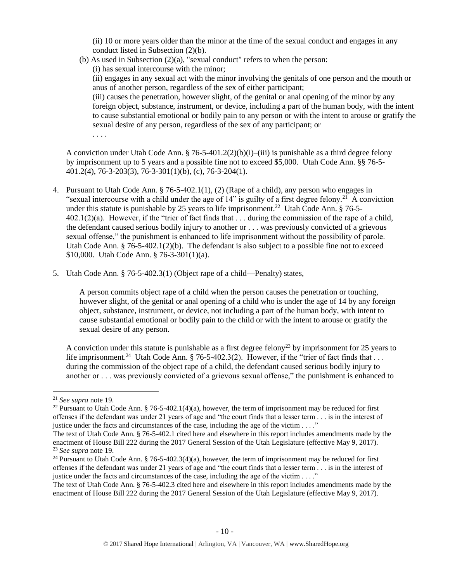(ii) 10 or more years older than the minor at the time of the sexual conduct and engages in any conduct listed in Subsection (2)(b).

(b) As used in Subsection  $(2)(a)$ , "sexual conduct" refers to when the person:

(i) has sexual intercourse with the minor;

(ii) engages in any sexual act with the minor involving the genitals of one person and the mouth or anus of another person, regardless of the sex of either participant;

(iii) causes the penetration, however slight, of the genital or anal opening of the minor by any foreign object, substance, instrument, or device, including a part of the human body, with the intent to cause substantial emotional or bodily pain to any person or with the intent to arouse or gratify the sexual desire of any person, regardless of the sex of any participant; or

. . . .

A conviction under Utah Code Ann. § 76-5-401.2(2)(b)(i)–(iii) is punishable as a third degree felony by imprisonment up to 5 years and a possible fine not to exceed \$5,000. Utah Code Ann. §§ 76-5- 401.2(4), 76-3-203(3), 76-3-301(1)(b), (c), 76-3-204(1).

- 4. Pursuant to Utah Code Ann. § 76-5-402.1(1), (2) (Rape of a child), any person who engages in "sexual intercourse with a child under the age of  $14$ " is guilty of a first degree felony.<sup>21</sup> A conviction under this statute is punishable by 25 years to life imprisonment.<sup>22</sup> Utah Code Ann. § 76-5-402.1(2)(a). However, if the "trier of fact finds that . . . during the commission of the rape of a child, the defendant caused serious bodily injury to another or . . . was previously convicted of a grievous sexual offense," the punishment is enhanced to life imprisonment without the possibility of parole. Utah Code Ann.  $§ 76-5-402.1(2)(b)$ . The defendant is also subject to a possible fine not to exceed \$10,000. Utah Code Ann. § 76-3-301(1)(a).
- 5. Utah Code Ann. § 76-5-402.3(1) (Object rape of a child—Penalty) states,

A person commits object rape of a child when the person causes the penetration or touching, however slight, of the genital or anal opening of a child who is under the age of 14 by any foreign object, substance, instrument, or device, not including a part of the human body, with intent to cause substantial emotional or bodily pain to the child or with the intent to arouse or gratify the sexual desire of any person.

A conviction under this statute is punishable as a first degree felony<sup>23</sup> by imprisonment for 25 years to life imprisonment.<sup>24</sup> Utah Code Ann. § 76-5-402.3(2). However, if the "trier of fact finds that . . . during the commission of the object rape of a child, the defendant caused serious bodily injury to another or . . . was previously convicted of a grievous sexual offense," the punishment is enhanced to

 $\overline{a}$ 

<sup>21</sup> *See supra* note [19.](#page-8-0)

<sup>&</sup>lt;sup>22</sup> Pursuant to Utah Code Ann. § 76-5-402.1(4)(a), however, the term of imprisonment may be reduced for first offenses if the defendant was under 21 years of age and "the court finds that a lesser term . . . is in the interest of justice under the facts and circumstances of the case, including the age of the victim  $\dots$ ."

The text of Utah Code Ann. § 76-5-402.1 cited here and elsewhere in this report includes amendments made by the enactment of House Bill 222 during the 2017 General Session of the Utah Legislature (effective May 9, 2017). <sup>23</sup> *See supra* note [19.](#page-8-0)

<sup>&</sup>lt;sup>24</sup> Pursuant to Utah Code Ann. § 76-5-402.3(4)(a), however, the term of imprisonment may be reduced for first offenses if the defendant was under 21 years of age and "the court finds that a lesser term . . . is in the interest of justice under the facts and circumstances of the case, including the age of the victim . . . ."

The text of Utah Code Ann. § 76-5-402.3 cited here and elsewhere in this report includes amendments made by the enactment of House Bill 222 during the 2017 General Session of the Utah Legislature (effective May 9, 2017).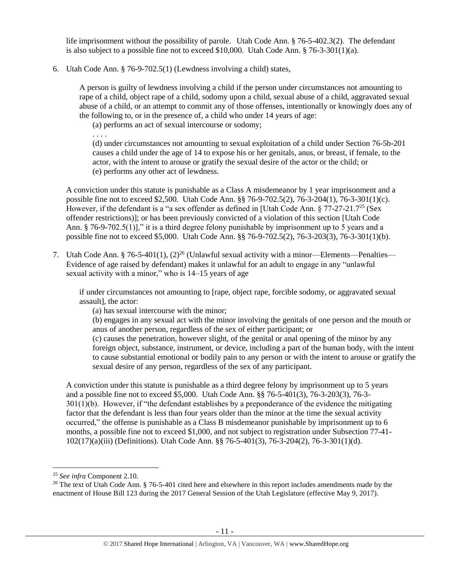life imprisonment without the possibility of parole. Utah Code Ann. § 76-5-402.3(2). The defendant is also subject to a possible fine not to exceed \$10,000. Utah Code Ann.  $§ 76-3-301(1)(a)$ .

6. Utah Code Ann. § 76-9-702.5(1) (Lewdness involving a child) states,

A person is guilty of lewdness involving a child if the person under circumstances not amounting to rape of a child, object rape of a child, sodomy upon a child, sexual abuse of a child, aggravated sexual abuse of a child, or an attempt to commit any of those offenses, intentionally or knowingly does any of the following to, or in the presence of, a child who under 14 years of age:

(a) performs an act of sexual intercourse or sodomy;

. . . .

(d) under circumstances not amounting to sexual exploitation of a child under Section 76-5b-201 causes a child under the age of 14 to expose his or her genitals, anus, or breast, if female, to the actor, with the intent to arouse or gratify the sexual desire of the actor or the child; or (e) performs any other act of lewdness.

A conviction under this statute is punishable as a Class A misdemeanor by 1 year imprisonment and a possible fine not to exceed \$2,500. Utah Code Ann. §§ 76-9-702.5(2), 76-3-204(1), 76-3-301(1)(c). However, if the defendant is a "a sex offender as defined in [Utah Code Ann. § 77-27-21.7<sup>25</sup> (Sex offender restrictions)]; or has been previously convicted of a violation of this section [Utah Code Ann. § 76-9-702.5(1)]," it is a third degree felony punishable by imprisonment up to 5 years and a possible fine not to exceed \$5,000. Utah Code Ann. §§ 76-9-702.5(2), 76-3-203(3), 76-3-301(1)(b).

7. Utah Code Ann. § 76-5-401(1),  $(2)^{26}$  (Unlawful sexual activity with a minor—Elements—Penalties— Evidence of age raised by defendant) makes it unlawful for an adult to engage in any "unlawful sexual activity with a minor," who is 14–15 years of age

if under circumstances not amounting to [rape, object rape, forcible sodomy, or aggravated sexual assault], the actor:

(a) has sexual intercourse with the minor;

(b) engages in any sexual act with the minor involving the genitals of one person and the mouth or anus of another person, regardless of the sex of either participant; or

(c) causes the penetration, however slight, of the genital or anal opening of the minor by any foreign object, substance, instrument, or device, including a part of the human body, with the intent to cause substantial emotional or bodily pain to any person or with the intent to arouse or gratify the sexual desire of any person, regardless of the sex of any participant.

A conviction under this statute is punishable as a third degree felony by imprisonment up to 5 years and a possible fine not to exceed \$5,000. Utah Code Ann. §§ 76-5-401(3), 76-3-203(3), 76-3- 301(1)(b). However, if "the defendant establishes by a preponderance of the evidence the mitigating factor that the defendant is less than four years older than the minor at the time the sexual activity occurred," the offense is punishable as a Class B misdemeanor punishable by imprisonment up to 6 months, a possible fine not to exceed \$1,000, and not subject to registration under Subsection 77-41- 102(17)(a)(iii) (Definitions). Utah Code Ann. §§ 76-5-401(3), 76-3-204(2), 76-3-301(1)(d).

<sup>25</sup> *See infra* Component 2.10.

<sup>&</sup>lt;sup>26</sup> The text of Utah Code Ann. § 76-5-401 cited here and elsewhere in this report includes amendments made by the enactment of House Bill 123 during the 2017 General Session of the Utah Legislature (effective May 9, 2017).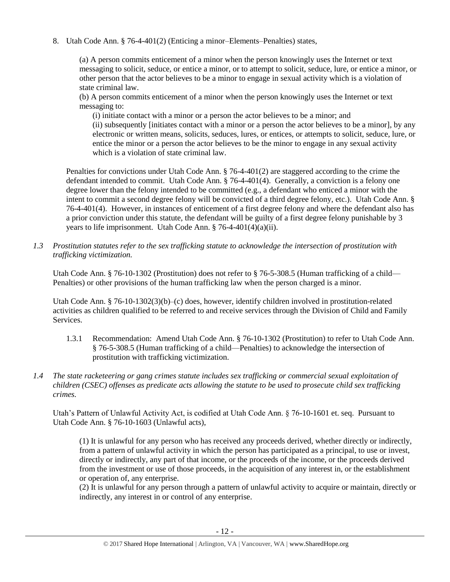8. Utah Code Ann. § 76-4-401(2) (Enticing a minor–Elements–Penalties) states,

(a) A person commits enticement of a minor when the person knowingly uses the Internet or text messaging to solicit, seduce, or entice a minor, or to attempt to solicit, seduce, lure, or entice a minor, or other person that the actor believes to be a minor to engage in sexual activity which is a violation of state criminal law.

(b) A person commits enticement of a minor when the person knowingly uses the Internet or text messaging to:

(i) initiate contact with a minor or a person the actor believes to be a minor; and (ii) subsequently [initiates contact with a minor or a person the actor believes to be a minor], by any electronic or written means, solicits, seduces, lures, or entices, or attempts to solicit, seduce, lure, or entice the minor or a person the actor believes to be the minor to engage in any sexual activity which is a violation of state criminal law.

Penalties for convictions under Utah Code Ann. § 76-4-401(2) are staggered according to the crime the defendant intended to commit. Utah Code Ann. § 76-4-401(4). Generally, a conviction is a felony one degree lower than the felony intended to be committed (e.g., a defendant who enticed a minor with the intent to commit a second degree felony will be convicted of a third degree felony, etc.). Utah Code Ann. § 76-4-401(4). However, in instances of enticement of a first degree felony and where the defendant also has a prior conviction under this statute, the defendant will be guilty of a first degree felony punishable by 3 years to life imprisonment. Utah Code Ann. § 76-4-401(4)(a)(ii).

*1.3 Prostitution statutes refer to the sex trafficking statute to acknowledge the intersection of prostitution with trafficking victimization.* 

Utah Code Ann. § 76-10-1302 (Prostitution) does not refer to § 76-5-308.5 (Human trafficking of a child— Penalties) or other provisions of the human trafficking law when the person charged is a minor.

Utah Code Ann. § 76-10-1302(3)(b)–(c) does, however, identify children involved in prostitution-related activities as children qualified to be referred to and receive services through the Division of Child and Family Services.

- 1.3.1 Recommendation: Amend Utah Code Ann. § 76-10-1302 (Prostitution) to refer to Utah Code Ann. § 76-5-308.5 (Human trafficking of a child—Penalties) to acknowledge the intersection of prostitution with trafficking victimization.
- *1.4 The state racketeering or gang crimes statute includes sex trafficking or commercial sexual exploitation of children (CSEC) offenses as predicate acts allowing the statute to be used to prosecute child sex trafficking crimes.*

Utah's Pattern of Unlawful Activity Act, is codified at Utah Code Ann. § 76-10-1601 et. seq. Pursuant to Utah Code Ann. § 76-10-1603 (Unlawful acts),

(1) It is unlawful for any person who has received any proceeds derived, whether directly or indirectly, from a pattern of unlawful activity in which the person has participated as a principal, to use or invest, directly or indirectly, any part of that income, or the proceeds of the income, or the proceeds derived from the investment or use of those proceeds, in the acquisition of any interest in, or the establishment or operation of, any enterprise.

(2) It is unlawful for any person through a pattern of unlawful activity to acquire or maintain, directly or indirectly, any interest in or control of any enterprise.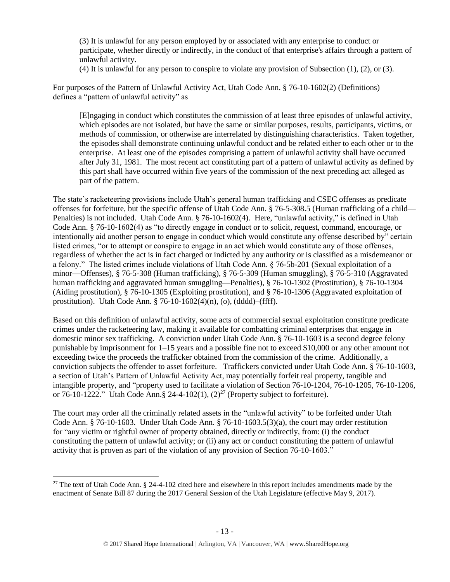(3) It is unlawful for any person employed by or associated with any enterprise to conduct or participate, whether directly or indirectly, in the conduct of that enterprise's affairs through a pattern of unlawful activity.

(4) It is unlawful for any person to conspire to violate any provision of Subsection (1), (2), or (3).

For purposes of the Pattern of Unlawful Activity Act, Utah Code Ann. § 76-10-1602(2) (Definitions) defines a "pattern of unlawful activity" as

[E]ngaging in conduct which constitutes the commission of at least three episodes of unlawful activity, which episodes are not isolated, but have the same or similar purposes, results, participants, victims, or methods of commission, or otherwise are interrelated by distinguishing characteristics. Taken together, the episodes shall demonstrate continuing unlawful conduct and be related either to each other or to the enterprise. At least one of the episodes comprising a pattern of unlawful activity shall have occurred after July 31, 1981. The most recent act constituting part of a pattern of unlawful activity as defined by this part shall have occurred within five years of the commission of the next preceding act alleged as part of the pattern.

The state's racketeering provisions include Utah's general human trafficking and CSEC offenses as predicate offenses for forfeiture, but the specific offense of Utah Code Ann. § 76-5-308.5 (Human trafficking of a child— Penalties) is not included. Utah Code Ann. § 76-10-1602(4). Here, "unlawful activity," is defined in Utah Code Ann. § 76-10-1602(4) as "to directly engage in conduct or to solicit, request, command, encourage, or intentionally aid another person to engage in conduct which would constitute any offense described by" certain listed crimes, "or to attempt or conspire to engage in an act which would constitute any of those offenses, regardless of whether the act is in fact charged or indicted by any authority or is classified as a misdemeanor or a felony." The listed crimes include violations of Utah Code Ann. § 76-5b-201 (Sexual exploitation of a minor—Offenses), § 76-5-308 (Human trafficking), § 76-5-309 (Human smuggling), § 76-5-310 (Aggravated human trafficking and aggravated human smuggling—Penalties), § 76-10-1302 (Prostitution), § 76-10-1304 (Aiding prostitution), § 76-10-1305 (Exploiting prostitution), and § 76-10-1306 (Aggravated exploitation of prostitution). Utah Code Ann. § 76-10-1602(4)(n), (o), (dddd)–(ffff).

Based on this definition of unlawful activity, some acts of commercial sexual exploitation constitute predicate crimes under the racketeering law, making it available for combatting criminal enterprises that engage in domestic minor sex trafficking. A conviction under Utah Code Ann. § 76-10-1603 is a second degree felony punishable by imprisonment for 1–15 years and a possible fine not to exceed \$10,000 or any other amount not exceeding twice the proceeds the trafficker obtained from the commission of the crime. Additionally, a conviction subjects the offender to asset forfeiture. Traffickers convicted under Utah Code Ann. § 76-10-1603, a section of Utah's Pattern of Unlawful Activity Act, may potentially forfeit real property, tangible and intangible property, and "property used to facilitate a violation of Section 76-10-1204, 76-10-1205, 76-10-1206, or 76-10-1222." Utah Code Ann.§ 24-4-102(1),  $(2)^{27}$  (Property subject to forfeiture).

<span id="page-12-0"></span>The court may order all the criminally related assets in the "unlawful activity" to be forfeited under Utah Code Ann. § 76-10-1603. Under Utah Code Ann. § 76-10-1603.5(3)(a), the court may order restitution for "any victim or rightful owner of property obtained, directly or indirectly, from: (i) the conduct constituting the pattern of unlawful activity; or (ii) any act or conduct constituting the pattern of unlawful activity that is proven as part of the violation of any provision of Section 76-10-1603."

<sup>&</sup>lt;sup>27</sup> The text of Utah Code Ann. § 24-4-102 cited here and elsewhere in this report includes amendments made by the enactment of Senate Bill 87 during the 2017 General Session of the Utah Legislature (effective May 9, 2017).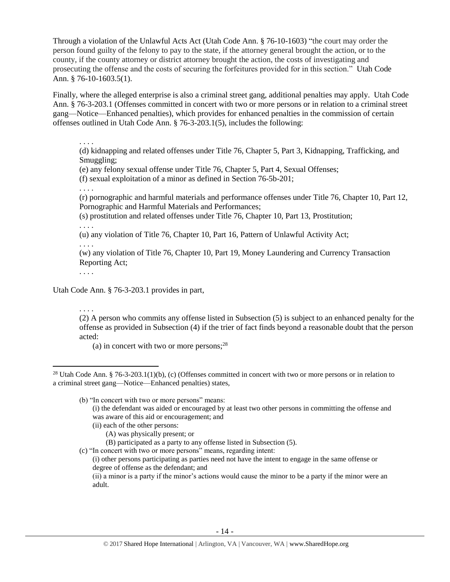Through a violation of the Unlawful Acts Act (Utah Code Ann. § 76-10-1603) "the court may order the person found guilty of the felony to pay to the state, if the attorney general brought the action, or to the county, if the county attorney or district attorney brought the action, the costs of investigating and prosecuting the offense and the costs of securing the forfeitures provided for in this section." Utah Code Ann. § 76-10-1603.5(1).

Finally, where the alleged enterprise is also a criminal street gang, additional penalties may apply. Utah Code Ann. § 76-3-203.1 (Offenses committed in concert with two or more persons or in relation to a criminal street gang—Notice—Enhanced penalties), which provides for enhanced penalties in the commission of certain offenses outlined in Utah Code Ann. § 76-3-203.1(5), includes the following:

. . . .

(d) kidnapping and related offenses under Title 76, Chapter 5, Part 3, Kidnapping, Trafficking, and Smuggling;

(e) any felony sexual offense under Title 76, Chapter 5, Part 4, Sexual Offenses;

(f) sexual exploitation of a minor as defined in Section 76-5b-201;

. . . .

(r) pornographic and harmful materials and performance offenses under Title 76, Chapter 10, Part 12, Pornographic and Harmful Materials and Performances;

(s) prostitution and related offenses under Title 76, Chapter 10, Part 13, Prostitution;

. . . .

(u) any violation of Title 76, Chapter 10, Part 16, Pattern of Unlawful Activity Act;

. . . .

(w) any violation of Title 76, Chapter 10, Part 19, Money Laundering and Currency Transaction Reporting Act;

. . . .

 $\overline{\phantom{a}}$ 

Utah Code Ann. § 76-3-203.1 provides in part,

. . . . (2) A person who commits any offense listed in Subsection (5) is subject to an enhanced penalty for the offense as provided in Subsection (4) if the trier of fact finds beyond a reasonable doubt that the person acted:

(a) in concert with two or more persons; $^{28}$ 

(b) "In concert with two or more persons" means: (i) the defendant was aided or encouraged by at least two other persons in committing the offense and was aware of this aid or encouragement; and

- (ii) each of the other persons:
	- (A) was physically present; or
	- (B) participated as a party to any offense listed in Subsection (5).
- (c) "In concert with two or more persons" means, regarding intent:

(i) other persons participating as parties need not have the intent to engage in the same offense or degree of offense as the defendant; and

(ii) a minor is a party if the minor's actions would cause the minor to be a party if the minor were an adult.

<sup>&</sup>lt;sup>28</sup> Utah Code Ann. § 76-3-203.1(1)(b), (c) (Offenses committed in concert with two or more persons or in relation to a criminal street gang—Notice—Enhanced penalties) states,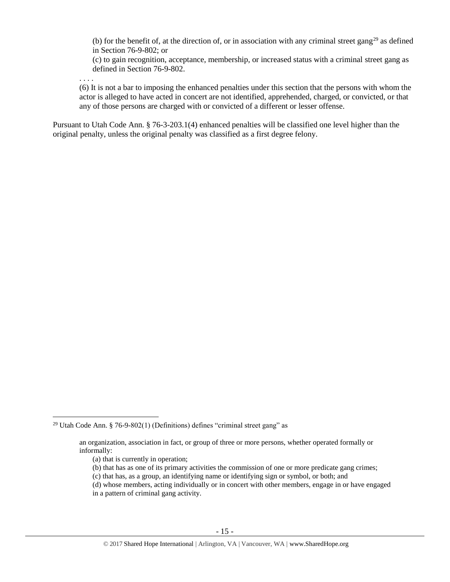(b) for the benefit of, at the direction of, or in association with any criminal street gang<sup>29</sup> as defined in Section 76-9-802; or

(c) to gain recognition, acceptance, membership, or increased status with a criminal street gang as defined in Section 76-9-802.

. . . .

(6) It is not a bar to imposing the enhanced penalties under this section that the persons with whom the actor is alleged to have acted in concert are not identified, apprehended, charged, or convicted, or that any of those persons are charged with or convicted of a different or lesser offense.

Pursuant to Utah Code Ann. § 76-3-203.1(4) enhanced penalties will be classified one level higher than the original penalty, unless the original penalty was classified as a first degree felony.

 $\overline{\phantom{a}}$ 

(d) whose members, acting individually or in concert with other members, engage in or have engaged

<sup>&</sup>lt;sup>29</sup> Utah Code Ann. § 76-9-802(1) (Definitions) defines "criminal street gang" as

an organization, association in fact, or group of three or more persons, whether operated formally or informally:

<sup>(</sup>a) that is currently in operation;

<sup>(</sup>b) that has as one of its primary activities the commission of one or more predicate gang crimes;

<sup>(</sup>c) that has, as a group, an identifying name or identifying sign or symbol, or both; and

in a pattern of criminal gang activity.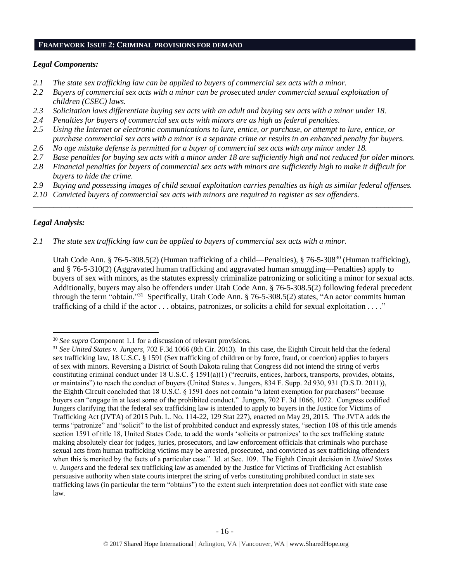## **FRAMEWORK ISSUE 2: CRIMINAL PROVISIONS FOR DEMAND**

# *Legal Components:*

- *2.1 The state sex trafficking law can be applied to buyers of commercial sex acts with a minor.*
- *2.2 Buyers of commercial sex acts with a minor can be prosecuted under commercial sexual exploitation of children (CSEC) laws.*
- *2.3 Solicitation laws differentiate buying sex acts with an adult and buying sex acts with a minor under 18.*
- *2.4 Penalties for buyers of commercial sex acts with minors are as high as federal penalties.*
- *2.5 Using the Internet or electronic communications to lure, entice, or purchase, or attempt to lure, entice, or purchase commercial sex acts with a minor is a separate crime or results in an enhanced penalty for buyers.*
- *2.6 No age mistake defense is permitted for a buyer of commercial sex acts with any minor under 18.*
- *2.7 Base penalties for buying sex acts with a minor under 18 are sufficiently high and not reduced for older minors.*
- *2.8 Financial penalties for buyers of commercial sex acts with minors are sufficiently high to make it difficult for buyers to hide the crime.*
- *2.9 Buying and possessing images of child sexual exploitation carries penalties as high as similar federal offenses.*

\_\_\_\_\_\_\_\_\_\_\_\_\_\_\_\_\_\_\_\_\_\_\_\_\_\_\_\_\_\_\_\_\_\_\_\_\_\_\_\_\_\_\_\_\_\_\_\_\_\_\_\_\_\_\_\_\_\_\_\_\_\_\_\_\_\_\_\_\_\_\_\_\_\_\_\_\_\_\_\_\_\_\_\_\_\_\_\_\_\_\_\_\_\_

*2.10 Convicted buyers of commercial sex acts with minors are required to register as sex offenders.* 

# *Legal Analysis:*

l

*2.1 The state sex trafficking law can be applied to buyers of commercial sex acts with a minor.*

Utah Code Ann. § 76-5-308.5(2) (Human trafficking of a child—Penalties), § 76-5-308<sup>30</sup> (Human trafficking), and § 76-5-310(2) (Aggravated human trafficking and aggravated human smuggling—Penalties) apply to buyers of sex with minors, as the statutes expressly criminalize patronizing or soliciting a minor for sexual acts. Additionally, buyers may also be offenders under Utah Code Ann. § 76-5-308.5(2) following federal precedent through the term "obtain."<sup>31</sup> Specifically, Utah Code Ann. § 76-5-308.5(2) states, "An actor commits human trafficking of a child if the actor . . . obtains, patronizes, or solicits a child for sexual exploitation . . . ."

<sup>30</sup> *See supra* Component 1.1 for a discussion of relevant provisions.

<sup>31</sup> *See United States v. Jungers*, 702 F.3d 1066 (8th Cir. 2013). In this case, the Eighth Circuit held that the federal sex trafficking law, 18 U.S.C. § 1591 (Sex trafficking of children or by force, fraud, or coercion) applies to buyers of sex with minors. Reversing a District of South Dakota ruling that Congress did not intend the string of verbs constituting criminal conduct under 18 U.S.C. § 1591(a)(1) ("recruits, entices, harbors, transports, provides, obtains, or maintains") to reach the conduct of buyers (United States v. Jungers, 834 F. Supp. 2d 930, 931 (D.S.D. 2011)), the Eighth Circuit concluded that 18 U.S.C. § 1591 does not contain "a latent exemption for purchasers" because buyers can "engage in at least some of the prohibited conduct." Jungers, 702 F. 3d 1066, 1072. Congress codified Jungers clarifying that the federal sex trafficking law is intended to apply to buyers in the Justice for Victims of Trafficking Act (JVTA) of 2015 Pub. L. No. 114-22, 129 Stat 227), enacted on May 29, 2015. The JVTA adds the terms "patronize" and "solicit" to the list of prohibited conduct and expressly states, "section 108 of this title amends section 1591 of title 18, United States Code, to add the words 'solicits or patronizes' to the sex trafficking statute making absolutely clear for judges, juries, prosecutors, and law enforcement officials that criminals who purchase sexual acts from human trafficking victims may be arrested, prosecuted, and convicted as sex trafficking offenders when this is merited by the facts of a particular case." Id. at Sec. 109. The Eighth Circuit decision in *United States v. Jungers* and the federal sex trafficking law as amended by the Justice for Victims of Trafficking Act establish persuasive authority when state courts interpret the string of verbs constituting prohibited conduct in state sex trafficking laws (in particular the term "obtains") to the extent such interpretation does not conflict with state case law.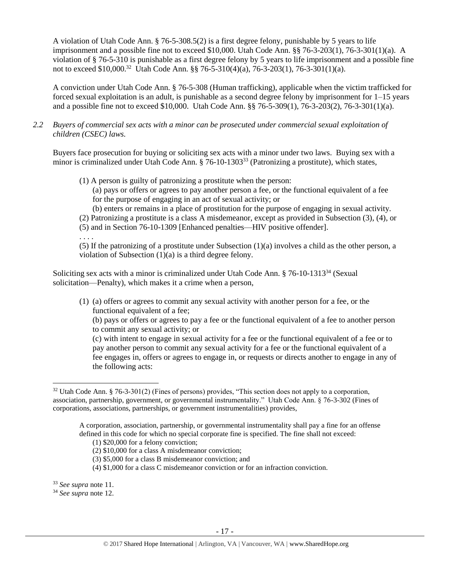A violation of Utah Code Ann. § 76-5-308.5(2) is a first degree felony, punishable by 5 years to life imprisonment and a possible fine not to exceed \$10,000. Utah Code Ann. §§ 76-3-203(1), 76-3-301(1)(a). A violation of § 76-5-310 is punishable as a first degree felony by 5 years to life imprisonment and a possible fine not to exceed \$10,000.<sup>32</sup> Utah Code Ann. §§ 76-5-310(4)(a), 76-3-203(1), 76-3-301(1)(a).

A conviction under Utah Code Ann. § 76-5-308 (Human trafficking), applicable when the victim trafficked for forced sexual exploitation is an adult, is punishable as a second degree felony by imprisonment for 1–15 years and a possible fine not to exceed \$10,000. Utah Code Ann. §§ 76-5-309(1), 76-3-203(2), 76-3-301(1)(a).

*2.2 Buyers of commercial sex acts with a minor can be prosecuted under commercial sexual exploitation of children (CSEC) laws.*

Buyers face prosecution for buying or soliciting sex acts with a minor under two laws. Buying sex with a minor is criminalized under Utah Code Ann. § 76-10-1303<sup>33</sup> (Patronizing a prostitute), which states,

- (1) A person is guilty of patronizing a prostitute when the person:
	- (a) pays or offers or agrees to pay another person a fee, or the functional equivalent of a fee for the purpose of engaging in an act of sexual activity; or
	- (b) enters or remains in a place of prostitution for the purpose of engaging in sexual activity.
- (2) Patronizing a prostitute is a class A misdemeanor, except as provided in Subsection (3), (4), or
- (5) and in Section 76-10-1309 [Enhanced penalties—HIV positive offender].

. . . .

(5) If the patronizing of a prostitute under Subsection (1)(a) involves a child as the other person, a violation of Subsection (1)(a) is a third degree felony.

Soliciting sex acts with a minor is criminalized under Utah Code Ann. § 76-10-1313<sup>34</sup> (Sexual solicitation—Penalty), which makes it a crime when a person,

(1) (a) offers or agrees to commit any sexual activity with another person for a fee, or the functional equivalent of a fee;

(b) pays or offers or agrees to pay a fee or the functional equivalent of a fee to another person to commit any sexual activity; or

(c) with intent to engage in sexual activity for a fee or the functional equivalent of a fee or to pay another person to commit any sexual activity for a fee or the functional equivalent of a fee engages in, offers or agrees to engage in, or requests or directs another to engage in any of the following acts:

A corporation, association, partnership, or governmental instrumentality shall pay a fine for an offense defined in this code for which no special corporate fine is specified. The fine shall not exceed:

l

<sup>32</sup> Utah Code Ann. § 76-3-301(2) (Fines of persons) provides, "This section does not apply to a corporation, association, partnership, government, or governmental instrumentality." Utah Code Ann. § 76-3-302 (Fines of corporations, associations, partnerships, or government instrumentalities) provides,

<sup>(1) \$20,000</sup> for a felony conviction;

<sup>(2) \$10,000</sup> for a class A misdemeanor conviction;

<sup>(3) \$5,000</sup> for a class B misdemeanor conviction; and

<sup>(4) \$1,000</sup> for a class C misdemeanor conviction or for an infraction conviction.

<sup>33</sup> *See supra* note [11.](#page-4-0)

<sup>34</sup> *See supra* note [12.](#page-5-0)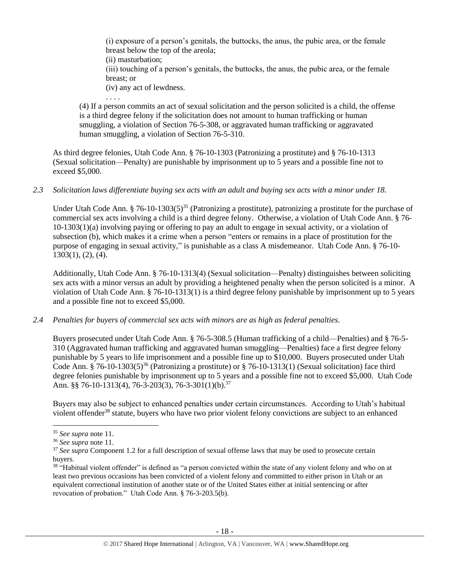(i) exposure of a person's genitals, the buttocks, the anus, the pubic area, or the female breast below the top of the areola;

(ii) masturbation;

. . . .

(iii) touching of a person's genitals, the buttocks, the anus, the pubic area, or the female breast; or

(iv) any act of lewdness.

(4) If a person commits an act of sexual solicitation and the person solicited is a child, the offense is a third degree felony if the solicitation does not amount to human trafficking or human smuggling, a violation of Section 76-5-308, or aggravated human trafficking or aggravated human smuggling, a violation of Section 76-5-310.

As third degree felonies, Utah Code Ann. § 76-10-1303 (Patronizing a prostitute) and § 76-10-1313 (Sexual solicitation—Penalty) are punishable by imprisonment up to 5 years and a possible fine not to exceed \$5,000.

# *2.3 Solicitation laws differentiate buying sex acts with an adult and buying sex acts with a minor under 18.*

Under Utah Code Ann. § 76-10-1303(5)<sup>35</sup> (Patronizing a prostitute), patronizing a prostitute for the purchase of commercial sex acts involving a child is a third degree felony. Otherwise, a violation of Utah Code Ann. § 76- 10-1303(1)(a) involving paying or offering to pay an adult to engage in sexual activity, or a violation of subsection (b), which makes it a crime when a person "enters or remains in a place of prostitution for the purpose of engaging in sexual activity," is punishable as a class A misdemeanor. Utah Code Ann. § 76-10- 1303(1), (2), (4).

Additionally, Utah Code Ann. § 76-10-1313(4) (Sexual solicitation—Penalty) distinguishes between soliciting sex acts with a minor versus an adult by providing a heightened penalty when the person solicited is a minor. A violation of Utah Code Ann. § 76-10-1313(1) is a third degree felony punishable by imprisonment up to 5 years and a possible fine not to exceed \$5,000.

# *2.4 Penalties for buyers of commercial sex acts with minors are as high as federal penalties.*

Buyers prosecuted under Utah Code Ann. § 76-5-308.5 (Human trafficking of a child—Penalties) and § 76-5- 310 (Aggravated human trafficking and aggravated human smuggling—Penalties) face a first degree felony punishable by 5 years to life imprisonment and a possible fine up to \$10,000. Buyers prosecuted under Utah Code Ann. § 76-10-1303(5)<sup>36</sup> (Patronizing a prostitute) or § 76-10-1313(1) (Sexual solicitation) face third degree felonies punishable by imprisonment up to 5 years and a possible fine not to exceed \$5,000. Utah Code Ann. §§ 76-10-1313(4), 76-3-203(3), 76-3-301(1)(b).<sup>37</sup>

Buyers may also be subject to enhanced penalties under certain circumstances. According to Utah's habitual violent offender<sup>38</sup> statute, buyers who have two prior violent felony convictions are subject to an enhanced

<sup>35</sup> *See supra* note [11.](#page-4-0)

<sup>36</sup> *See supra* note [11.](#page-4-0)

<sup>&</sup>lt;sup>37</sup> *See supra* Component 1.2 for a full description of sexual offense laws that may be used to prosecute certain buyers.

<sup>&</sup>lt;sup>38</sup> "Habitual violent offender" is defined as "a person convicted within the state of any violent felony and who on at least two previous occasions has been convicted of a violent felony and committed to either prison in Utah or an equivalent correctional institution of another state or of the United States either at initial sentencing or after revocation of probation." Utah Code Ann. § 76-3-203.5(b).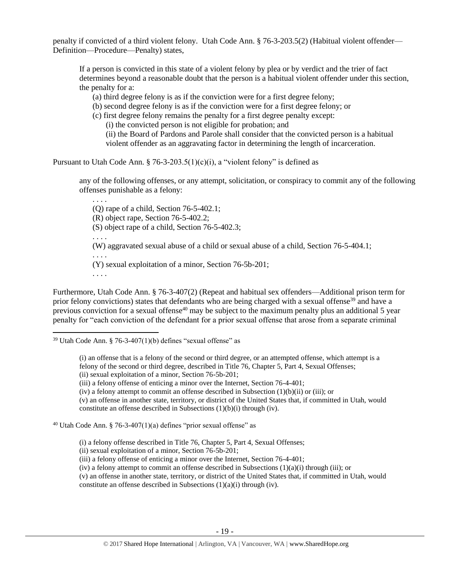penalty if convicted of a third violent felony. Utah Code Ann. § 76-3-203.5(2) (Habitual violent offender— Definition—Procedure—Penalty) states,

If a person is convicted in this state of a violent felony by plea or by verdict and the trier of fact determines beyond a reasonable doubt that the person is a habitual violent offender under this section, the penalty for a:

(a) third degree felony is as if the conviction were for a first degree felony;

- (b) second degree felony is as if the conviction were for a first degree felony; or
- (c) first degree felony remains the penalty for a first degree penalty except:

(i) the convicted person is not eligible for probation; and

(ii) the Board of Pardons and Parole shall consider that the convicted person is a habitual violent offender as an aggravating factor in determining the length of incarceration.

Pursuant to Utah Code Ann. § 76-3-203.5(1)(c)(i), a "violent felony" is defined as

any of the following offenses, or any attempt, solicitation, or conspiracy to commit any of the following offenses punishable as a felony:

(Q) rape of a child, Section 76-5-402.1;

(R) object rape, Section 76-5-402.2;

(S) object rape of a child, Section 76-5-402.3;

. . . .

. . . .

(W) aggravated sexual abuse of a child or sexual abuse of a child, Section 76-5-404.1;

. . . . (Y) sexual exploitation of a minor, Section 76-5b-201;

. . . .

l

Furthermore, Utah Code Ann. § 76-3-407(2) (Repeat and habitual sex offenders—Additional prison term for prior felony convictions) states that defendants who are being charged with a sexual offense<sup>39</sup> and have a previous conviction for a sexual offense<sup>40</sup> may be subject to the maximum penalty plus an additional 5 year penalty for "each conviction of the defendant for a prior sexual offense that arose from a separate criminal

(ii) sexual exploitation of a minor, Section 76-5b-201;

(iii) a felony offense of enticing a minor over the Internet, Section 76-4-401;

(iv) a felony attempt to commit an offense described in Subsection (1)(b)(ii) or (iii); or

(v) an offense in another state, territory, or district of the United States that, if committed in Utah, would constitute an offense described in Subsections (1)(b)(i) through (iv).

<sup>40</sup> Utah Code Ann. § 76-3-407(1)(a) defines "prior sexual offense" as

(i) a felony offense described in Title 76, Chapter 5, Part 4, Sexual Offenses;

(ii) sexual exploitation of a minor, Section 76-5b-201;

(iii) a felony offense of enticing a minor over the Internet, Section 76-4-401;

(iv) a felony attempt to commit an offense described in Subsections  $(1)(a)(i)$  through (iii); or

(v) an offense in another state, territory, or district of the United States that, if committed in Utah, would constitute an offense described in Subsections (1)(a)(i) through (iv).

 $39$  Utah Code Ann. § 76-3-407(1)(b) defines "sexual offense" as

<sup>(</sup>i) an offense that is a felony of the second or third degree, or an attempted offense, which attempt is a felony of the second or third degree, described in Title 76, Chapter 5, Part 4, Sexual Offenses;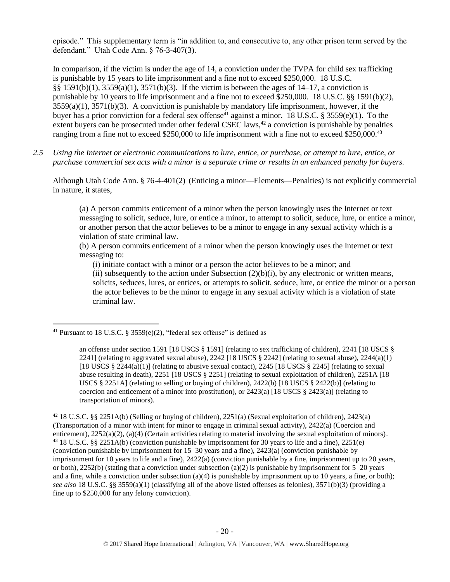episode." This supplementary term is "in addition to, and consecutive to, any other prison term served by the defendant." Utah Code Ann. § 76-3-407(3).

In comparison, if the victim is under the age of 14, a conviction under the TVPA for child sex trafficking is punishable by 15 years to life imprisonment and a fine not to exceed \$250,000. 18 U.S.C. §§ 1591(b)(1), 3559(a)(1), 3571(b)(3). If the victim is between the ages of 14–17, a conviction is punishable by 10 years to life imprisonment and a fine not to exceed \$250,000. 18 U.S.C. §§ 1591(b)(2),  $3559(a)(1)$ ,  $3571(b)(3)$ . A conviction is punishable by mandatory life imprisonment, however, if the buyer has a prior conviction for a federal sex offense<sup>41</sup> against a minor. 18 U.S.C. § 3559(e)(1). To the extent buyers can be prosecuted under other federal CSEC laws, $42$  a conviction is punishable by penalties ranging from a fine not to exceed \$250,000 to life imprisonment with a fine not to exceed \$250,000.<sup>43</sup>

*2.5 Using the Internet or electronic communications to lure, entice, or purchase, or attempt to lure, entice, or purchase commercial sex acts with a minor is a separate crime or results in an enhanced penalty for buyers.*

Although Utah Code Ann. § 76-4-401(2) (Enticing a minor—Elements—Penalties) is not explicitly commercial in nature, it states,

<span id="page-19-0"></span>(a) A person commits enticement of a minor when the person knowingly uses the Internet or text messaging to solicit, seduce, lure, or entice a minor, to attempt to solicit, seduce, lure, or entice a minor, or another person that the actor believes to be a minor to engage in any sexual activity which is a violation of state criminal law.

(b) A person commits enticement of a minor when the person knowingly uses the Internet or text messaging to:

(i) initiate contact with a minor or a person the actor believes to be a minor; and

(ii) subsequently to the action under Subsection  $(2)(b)(i)$ , by any electronic or written means, solicits, seduces, lures, or entices, or attempts to solicit, seduce, lure, or entice the minor or a person the actor believes to be the minor to engage in any sexual activity which is a violation of state criminal law.

<sup>&</sup>lt;sup>41</sup> Pursuant to 18 U.S.C. § 3559(e)(2), "federal sex offense" is defined as

an offense under section 1591 [18 USCS § 1591] (relating to sex trafficking of children), 2241 [18 USCS § 2241] (relating to aggravated sexual abuse),  $2242$  [18 USCS § 2242] (relating to sexual abuse),  $2244(a)(1)$ [18 USCS  $\S$  2244(a)(1)] (relating to abusive sexual contact), 2245 [18 USCS  $\S$  2245] (relating to sexual abuse resulting in death), 2251 [18 USCS § 2251] (relating to sexual exploitation of children), 2251A [18 USCS  $\S 2251$ A] (relating to selling or buying of children), 2422(b) [18 USCS  $\S 2422$ (b)] (relating to coercion and enticement of a minor into prostitution), or  $2423(a)$  [18 USCS §  $2423(a)$ ] (relating to transportation of minors).

<sup>42</sup> 18 U.S.C. §§ 2251A(b) (Selling or buying of children), 2251(a) (Sexual exploitation of children), 2423(a) (Transportation of a minor with intent for minor to engage in criminal sexual activity), 2422(a) (Coercion and enticement), 2252(a)(2), (a)(4) (Certain activities relating to material involving the sexual exploitation of minors). <sup>43</sup> 18 U.S.C. §§ 2251A(b) (conviction punishable by imprisonment for 30 years to life and a fine), 2251(e) (conviction punishable by imprisonment for 15–30 years and a fine), 2423(a) (conviction punishable by imprisonment for 10 years to life and a fine), 2422(a) (conviction punishable by a fine, imprisonment up to 20 years, or both), 2252(b) (stating that a conviction under subsection (a)(2) is punishable by imprisonment for  $5-20$  years and a fine, while a conviction under subsection (a)(4) is punishable by imprisonment up to 10 years, a fine, or both); *see also* 18 U.S.C. §§ 3559(a)(1) (classifying all of the above listed offenses as felonies), 3571(b)(3) (providing a fine up to \$250,000 for any felony conviction).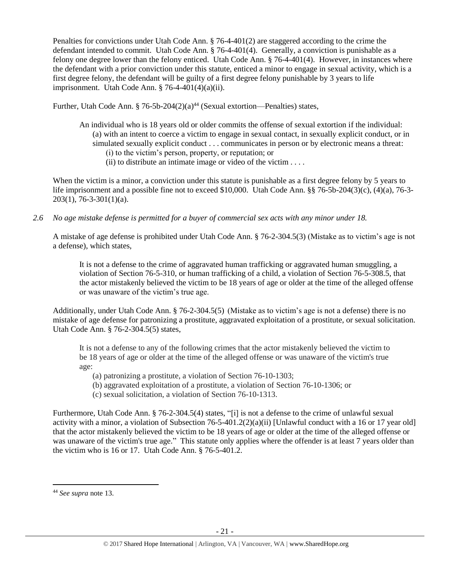Penalties for convictions under Utah Code Ann. § 76-4-401(2) are staggered according to the crime the defendant intended to commit. Utah Code Ann. § 76-4-401(4). Generally, a conviction is punishable as a felony one degree lower than the felony enticed. Utah Code Ann. § 76-4-401(4). However, in instances where the defendant with a prior conviction under this statute, enticed a minor to engage in sexual activity, which is a first degree felony, the defendant will be guilty of a first degree felony punishable by 3 years to life imprisonment. Utah Code Ann. § 76-4-401(4)(a)(ii).

Further, Utah Code Ann. § 76-5b-204 $(2)(a)^{44}$  (Sexual extortion—Penalties) states,

- An individual who is 18 years old or older commits the offense of sexual extortion if the individual: (a) with an intent to coerce a victim to engage in sexual contact, in sexually explicit conduct, or in simulated sexually explicit conduct . . . communicates in person or by electronic means a threat: (i) to the victim's person, property, or reputation; or
	- (ii) to distribute an intimate image or video of the victim  $\dots$

When the victim is a minor, a conviction under this statute is punishable as a first degree felony by 5 years to life imprisonment and a possible fine not to exceed \$10,000. Utah Code Ann. §§ 76-5b-204(3)(c), (4)(a), 76-3- 203(1), 76-3-301(1)(a).

*2.6 No age mistake defense is permitted for a buyer of commercial sex acts with any minor under 18.*

A mistake of age defense is prohibited under Utah Code Ann. § 76-2-304.5(3) (Mistake as to victim's age is not a defense), which states,

It is not a defense to the crime of aggravated human trafficking or aggravated human smuggling, a violation of Section 76-5-310, or human trafficking of a child, a violation of Section 76-5-308.5, that the actor mistakenly believed the victim to be 18 years of age or older at the time of the alleged offense or was unaware of the victim's true age.

Additionally, under Utah Code Ann. § 76-2-304.5(5) (Mistake as to victim's age is not a defense) there is no mistake of age defense for patronizing a prostitute, aggravated exploitation of a prostitute, or sexual solicitation. Utah Code Ann. § 76-2-304.5(5) states,

It is not a defense to any of the following crimes that the actor mistakenly believed the victim to be 18 years of age or older at the time of the alleged offense or was unaware of the victim's true age:

- (a) patronizing a prostitute, a violation of Section 76-10-1303;
- (b) aggravated exploitation of a prostitute, a violation of Section 76-10-1306; or
- (c) sexual solicitation, a violation of Section 76-10-1313.

Furthermore, Utah Code Ann. § 76-2-304.5(4) states, "[i] is not a defense to the crime of unlawful sexual activity with a minor, a violation of Subsection 76-5-401.2(2)(a)(ii) [Unlawful conduct with a 16 or 17 year old] that the actor mistakenly believed the victim to be 18 years of age or older at the time of the alleged offense or was unaware of the victim's true age." This statute only applies where the offender is at least 7 years older than the victim who is 16 or 17. Utah Code Ann. § 76-5-401.2.

l

<sup>44</sup> *See supra* note [13.](#page-5-1)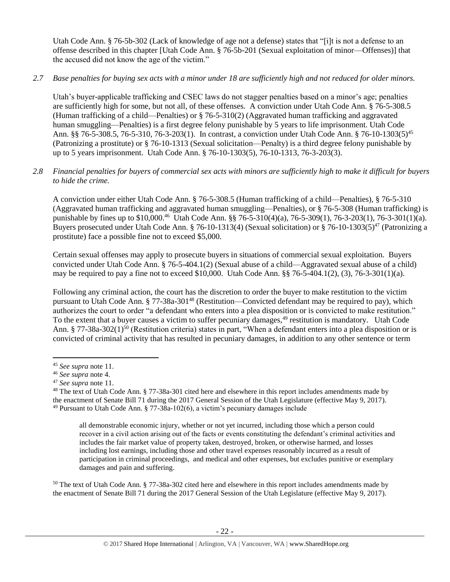Utah Code Ann. § 76-5b-302 (Lack of knowledge of age not a defense) states that "[i]t is not a defense to an offense described in this chapter [Utah Code Ann. § 76-5b-201 (Sexual exploitation of minor—Offenses)] that the accused did not know the age of the victim."

# *2.7 Base penalties for buying sex acts with a minor under 18 are sufficiently high and not reduced for older minors.*

Utah's buyer-applicable trafficking and CSEC laws do not stagger penalties based on a minor's age; penalties are sufficiently high for some, but not all, of these offenses. A conviction under Utah Code Ann. § 76-5-308.5 (Human trafficking of a child—Penalties) or § 76-5-310(2) (Aggravated human trafficking and aggravated human smuggling—Penalties) is a first degree felony punishable by 5 years to life imprisonment. Utah Code Ann. §§ 76-5-308.5, 76-5-310, 76-3-203(1). In contrast, a conviction under Utah Code Ann. § 76-10-1303(5)<sup>45</sup> (Patronizing a prostitute) or § 76-10-1313 (Sexual solicitation—Penalty) is a third degree felony punishable by up to 5 years imprisonment. Utah Code Ann. § 76-10-1303(5), 76-10-1313, 76-3-203(3).

# *2.8 Financial penalties for buyers of commercial sex acts with minors are sufficiently high to make it difficult for buyers to hide the crime.*

A conviction under either Utah Code Ann. § 76-5-308.5 (Human trafficking of a child—Penalties), § 76-5-310 (Aggravated human trafficking and aggravated human smuggling—Penalties), or § 76-5-308 (Human trafficking) is punishable by fines up to \$10,000.<sup>46</sup> Utah Code Ann. §§ 76-5-310(4)(a), 76-5-309(1), 76-3-203(1), 76-3-301(1)(a). Buyers prosecuted under Utah Code Ann. § 76-10-1313(4) (Sexual solicitation) or § 76-10-1303(5)<sup>47</sup> (Patronizing a prostitute) face a possible fine not to exceed \$5,000.

Certain sexual offenses may apply to prosecute buyers in situations of commercial sexual exploitation. Buyers convicted under Utah Code Ann. § 76-5-404.1(2) (Sexual abuse of a child—Aggravated sexual abuse of a child) may be required to pay a fine not to exceed  $$10,000$ . Utah Code Ann.  $§$  76-5-404.1(2), (3), 76-3-301(1)(a).

<span id="page-21-0"></span>Following any criminal action, the court has the discretion to order the buyer to make restitution to the victim pursuant to Utah Code Ann. § 77-38a-301<sup>48</sup> (Restitution—Convicted defendant may be required to pay), which authorizes the court to order "a defendant who enters into a plea disposition or is convicted to make restitution." To the extent that a buyer causes a victim to suffer pecuniary damages,<sup>49</sup> restitution is mandatory. Utah Code Ann. § 77-38a-302(1)<sup>50</sup> (Restitution criteria) states in part, "When a defendant enters into a plea disposition or is convicted of criminal activity that has resulted in pecuniary damages, in addition to any other sentence or term

<span id="page-21-1"></span> $\overline{a}$ 

all demonstrable economic injury, whether or not yet incurred, including those which a person could recover in a civil action arising out of the facts or events constituting the defendant's criminal activities and includes the fair market value of property taken, destroyed, broken, or otherwise harmed, and losses including lost earnings, including those and other travel expenses reasonably incurred as a result of participation in criminal proceedings, and medical and other expenses, but excludes punitive or exemplary damages and pain and suffering.

<sup>50</sup> The text of Utah Code Ann. § 77-38a-302 cited here and elsewhere in this report includes amendments made by the enactment of Senate Bill 71 during the 2017 General Session of the Utah Legislature (effective May 9, 2017).

<sup>45</sup> *See supra* note [11.](#page-4-0)

<sup>46</sup> *See supra* note [4.](#page-2-0)

<sup>47</sup> *See supra* note [11.](#page-4-0)

<sup>&</sup>lt;sup>48</sup> The text of Utah Code Ann. § 77-38a-301 cited here and elsewhere in this report includes amendments made by the enactment of Senate Bill 71 during the 2017 General Session of the Utah Legislature (effective May 9, 2017). <sup>49</sup> Pursuant to Utah Code Ann. § 77-38a-102(6), a victim's pecuniary damages include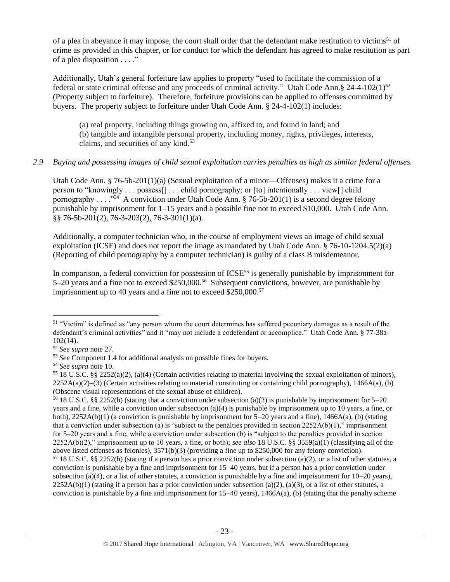of a plea in abeyance it may impose, the court shall order that the defendant make restitution to victims<sup>51</sup> of crime as provided in this chapter, or for conduct for which the defendant has agreed to make restitution as part of a plea disposition . . . ."

Additionally, Utah's general forfeiture law applies to property "used to facilitate the commission of a federal or state criminal offense and any proceeds of criminal activity." Utah Code Ann.§ 24-4-102(1)<sup>52</sup> (Property subject to forfeiture). Therefore, forfeiture provisions can be applied to offenses committed by buyers. The property subject to forfeiture under Utah Code Ann. § 24-4-102(1) includes:

(a) real property, including things growing on, affixed to, and found in land; and (b) tangible and intangible personal property, including money, rights, privileges, interests, claims, and securities of any kind.<sup>53</sup>

# *2.9 Buying and possessing images of child sexual exploitation carries penalties as high as similar federal offenses.*

Utah Code Ann. § 76-5b-201(1)(a) (Sexual exploitation of a minor—Offenses) makes it a crime for a person to "knowingly . . . possess[] . . . child pornography; or [to] intentionally . . . view[] child pornography . . . . "<sup>54</sup> A conviction under Utah Code Ann. § 76-5b-201(1) is a second degree felony punishable by imprisonment for 1–15 years and a possible fine not to exceed \$10,000. Utah Code Ann. §§ 76-5b-201(2), 76-3-203(2), 76-3-301(1)(a).

Additionally, a computer technician who, in the course of employment views an image of child sexual exploitation (ICSE) and does not report the image as mandated by Utah Code Ann. § 76-10-1204.5(2)(a) (Reporting of child pornography by a computer technician) is guilty of a class B misdemeanor.

In comparison, a federal conviction for possession of ICSE<sup>55</sup> is generally punishable by imprisonment for  $5-20$  years and a fine not to exceed \$250,000.<sup>56</sup> Subsequent convictions, however, are punishable by imprisonment up to 40 years and a fine not to exceed \$250,000.<sup>57</sup>

 $\overline{\phantom{a}}$ 

<sup>56</sup> 18 U.S.C. §§ 2252(b) (stating that a conviction under subsection (a)(2) is punishable by imprisonment for 5–20 years and a fine, while a conviction under subsection (a)(4) is punishable by imprisonment up to 10 years, a fine, or both),  $2252A(b)(1)$  (a conviction is punishable by imprisonment for 5–20 years and a fine),  $1466A(a)$ , (b) (stating that a conviction under subsection (a) is "subject to the penalties provided in section  $2252A(b)(1)$ ," imprisonment for 5–20 years and a fine, while a conviction under subsection (b) is "subject to the penalties provided in section 2252A(b)(2)," imprisonment up to 10 years, a fine, or both); *see also* 18 U.S.C. §§ 3559(a)(1) (classifying all of the above listed offenses as felonies), 3571(b)(3) (providing a fine up to \$250,000 for any felony conviction).

 $51$  "Victim" is defined as "any person whom the court determines has suffered pecuniary damages as a result of the defendant's criminal activities" and it "may not include a codefendant or accomplice." Utah Code Ann. § 77-38a-102(14).

<sup>52</sup> *See supra* note [27.](#page-12-0)

<sup>53</sup> *See* Component 1.4 for additional analysis on possible fines for buyers.

<sup>54</sup> *See supra* note [10.](#page-4-1) 

<sup>&</sup>lt;sup>55</sup> 18 U.S.C. §§ 2252(a)(2), (a)(4) (Certain activities relating to material involving the sexual exploitation of minors),  $2252A(a)(2)$ –(3) (Certain activities relating to material constituting or containing child pornography), 1466A(a), (b) (Obscene visual representations of the sexual abuse of children).

 $57$  18 U.S.C. §§ 2252(b) (stating if a person has a prior conviction under subsection (a)(2), or a list of other statutes, a conviction is punishable by a fine and imprisonment for 15–40 years, but if a person has a prior conviction under subsection (a)(4), or a list of other statutes, a conviction is punishable by a fine and imprisonment for  $10-20$  years),  $2252A(b)(1)$  (stating if a person has a prior conviction under subsection (a)(2), (a)(3), or a list of other statutes, a conviction is punishable by a fine and imprisonment for  $15-40$  years),  $1466A(a)$ , (b) (stating that the penalty scheme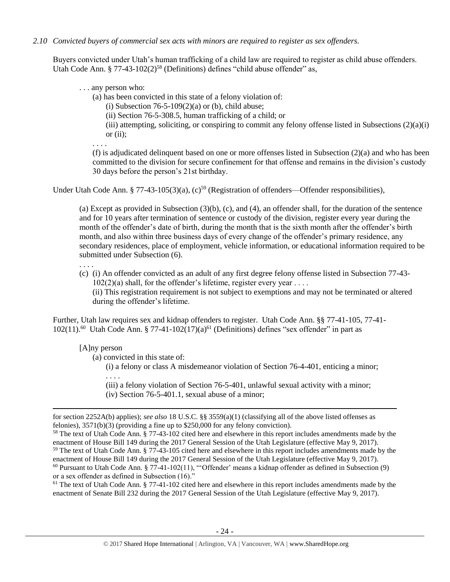*2.10 Convicted buyers of commercial sex acts with minors are required to register as sex offenders.* 

Buyers convicted under Utah's human trafficking of a child law are required to register as child abuse offenders. Utah Code Ann. § 77-43-102(2)<sup>58</sup> (Definitions) defines "child abuse offender" as,

. . . any person who:

(a) has been convicted in this state of a felony violation of:

<span id="page-23-0"></span>(i) Subsection  $76-5-109(2)(a)$  or (b), child abuse;

(ii) Section 76-5-308.5, human trafficking of a child; or

(iii) attempting, soliciting, or conspiring to commit any felony offense listed in Subsections  $(2)(a)(i)$ or  $(ii)$ ;

. . . .

<span id="page-23-1"></span>(f) is adjudicated delinquent based on one or more offenses listed in Subsection  $(2)(a)$  and who has been committed to the division for secure confinement for that offense and remains in the division's custody 30 days before the person's 21st birthday.

Under Utah Code Ann. § 77-43-105(3)(a), (c)<sup>59</sup> (Registration of offenders—Offender responsibilities),

(a) Except as provided in Subsection (3)(b), (c), and (4), an offender shall, for the duration of the sentence and for 10 years after termination of sentence or custody of the division, register every year during the month of the offender's date of birth, during the month that is the sixth month after the offender's birth month, and also within three business days of every change of the offender's primary residence, any secondary residences, place of employment, vehicle information, or educational information required to be submitted under Subsection (6).

(c) (i) An offender convicted as an adult of any first degree felony offense listed in Subsection 77-43-  $102(2)(a)$  shall, for the offender's lifetime, register every year ... (ii) This registration requirement is not subject to exemptions and may not be terminated or altered during the offender's lifetime.

Further, Utah law requires sex and kidnap offenders to register. Utah Code Ann. §§ 77-41-105, 77-41-  $102(11)$ .<sup>60</sup> Utah Code Ann. § 77-41-102(17)(a)<sup>61</sup> (Definitions) defines "sex offender" in part as

<span id="page-23-2"></span>[A]ny person

 $\overline{a}$ 

. . . .

(a) convicted in this state of:

<span id="page-23-3"></span>(i) a felony or class A misdemeanor violation of Section 76-4-401, enticing a minor; . . . .

(iii) a felony violation of Section 76-5-401, unlawful sexual activity with a minor; (iv) Section 76-5-401.1, sexual abuse of a minor;

<sup>61</sup> The text of Utah Code Ann. § 77-41-102 cited here and elsewhere in this report includes amendments made by the enactment of Senate Bill 232 during the 2017 General Session of the Utah Legislature (effective May 9, 2017).

for section 2252A(b) applies); *see also* 18 U.S.C. §§ 3559(a)(1) (classifying all of the above listed offenses as felonies), 3571(b)(3) (providing a fine up to \$250,000 for any felony conviction).

<sup>58</sup> The text of Utah Code Ann. § 77-43-102 cited here and elsewhere in this report includes amendments made by the enactment of House Bill 149 during the 2017 General Session of the Utah Legislature (effective May 9, 2017). <sup>59</sup> The text of Utah Code Ann. § 77-43-105 cited here and elsewhere in this report includes amendments made by the

enactment of House Bill 149 during the 2017 General Session of the Utah Legislature (effective May 9, 2017).  $60$  Pursuant to Utah Code Ann. § 77-41-102(11), "Offender' means a kidnap offender as defined in Subsection (9) or a sex offender as defined in Subsection (16)."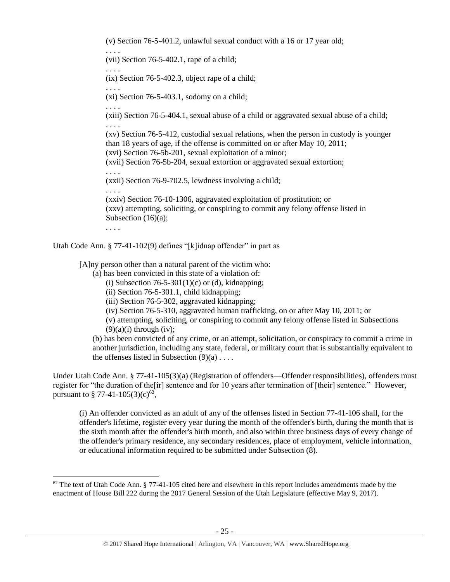(v) Section 76-5-401.2, unlawful sexual conduct with a 16 or 17 year old;

(vii) Section 76-5-402.1, rape of a child;

. . . . (ix) Section 76-5-402.3, object rape of a child;

(xi) Section 76-5-403.1, sodomy on a child;

(xiii) Section 76-5-404.1, sexual abuse of a child or aggravated sexual abuse of a child; . . . .

(xv) Section 76-5-412, custodial sexual relations, when the person in custody is younger than 18 years of age, if the offense is committed on or after May 10, 2011; (xvi) Section 76-5b-201, sexual exploitation of a minor;

(xvii) Section 76-5b-204, sexual extortion or aggravated sexual extortion;

(xxii) Section 76-9-702.5, lewdness involving a child;

. . . . (xxiv) Section 76-10-1306, aggravated exploitation of prostitution; or (xxv) attempting, soliciting, or conspiring to commit any felony offense listed in Subsection (16)(a);

. . . .

 $\overline{\phantom{a}}$ 

. . . .

. . . .

. . . .

. . . .

Utah Code Ann. § 77-41-102(9) defines "[k]idnap offender" in part as

[A]ny person other than a natural parent of the victim who:

- (a) has been convicted in this state of a violation of:
	- (i) Subsection  $76-5-301(1)(c)$  or (d), kidnapping;
	- (ii) Section 76-5-301.1, child kidnapping;
	- (iii) Section 76-5-302, aggravated kidnapping;
	- (iv) Section 76-5-310, aggravated human trafficking, on or after May 10, 2011; or
	- (v) attempting, soliciting, or conspiring to commit any felony offense listed in Subsections  $(9)(a)(i)$  through (iv);

(b) has been convicted of any crime, or an attempt, solicitation, or conspiracy to commit a crime in another jurisdiction, including any state, federal, or military court that is substantially equivalent to the offenses listed in Subsection  $(9)(a)$ ...

Under Utah Code Ann. § 77-41-105(3)(a) (Registration of offenders—Offender responsibilities), offenders must register for "the duration of the[ir] sentence and for 10 years after termination of [their] sentence." However, pursuant to § 77-41-105(3)(c)<sup>62</sup>,

(i) An offender convicted as an adult of any of the offenses listed in Section 77-41-106 shall, for the offender's lifetime, register every year during the month of the offender's birth, during the month that is the sixth month after the offender's birth month, and also within three business days of every change of the offender's primary residence, any secondary residences, place of employment, vehicle information, or educational information required to be submitted under Subsection (8).

 $62$  The text of Utah Code Ann. § 77-41-105 cited here and elsewhere in this report includes amendments made by the enactment of House Bill 222 during the 2017 General Session of the Utah Legislature (effective May 9, 2017).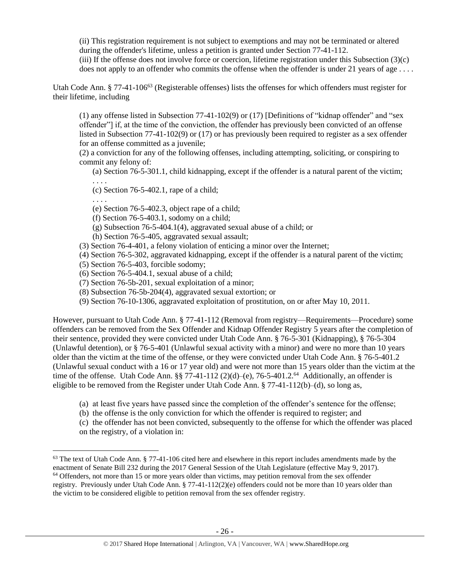(ii) This registration requirement is not subject to exemptions and may not be terminated or altered during the offender's lifetime, unless a petition is granted under Section 77-41-112.

<span id="page-25-0"></span>(iii) If the offense does not involve force or coercion, lifetime registration under this Subsection (3)(c) does not apply to an offender who commits the offense when the offender is under 21 years of age ....

Utah Code Ann. § 77-41-106 $^{63}$  (Registerable offenses) lists the offenses for which offenders must register for their lifetime, including

(1) any offense listed in Subsection 77-41-102(9) or (17) [Definitions of "kidnap offender" and "sex offender"] if, at the time of the conviction, the offender has previously been convicted of an offense listed in Subsection 77-41-102(9) or (17) or has previously been required to register as a sex offender for an offense committed as a juvenile;

(2) a conviction for any of the following offenses, including attempting, soliciting, or conspiring to commit any felony of:

(a) Section 76-5-301.1, child kidnapping, except if the offender is a natural parent of the victim;

. . . . (c) Section 76-5-402.1, rape of a child;

. . . .

 $\overline{\phantom{a}}$ 

(e) Section 76-5-402.3, object rape of a child;

(f) Section 76-5-403.1, sodomy on a child;

(g) Subsection 76-5-404.1(4), aggravated sexual abuse of a child; or

(h) Section 76-5-405, aggravated sexual assault;

- (3) Section 76-4-401, a felony violation of enticing a minor over the Internet;
- (4) Section 76-5-302, aggravated kidnapping, except if the offender is a natural parent of the victim;
- (5) Section 76-5-403, forcible sodomy;
- (6) Section 76-5-404.1, sexual abuse of a child;
- (7) Section 76-5b-201, sexual exploitation of a minor;
- (8) Subsection 76-5b-204(4), aggravated sexual extortion; or
- (9) Section 76-10-1306, aggravated exploitation of prostitution, on or after May 10, 2011.

However, pursuant to Utah Code Ann. § 77-41-112 (Removal from registry—Requirements—Procedure) some offenders can be removed from the Sex Offender and Kidnap Offender Registry 5 years after the completion of their sentence, provided they were convicted under Utah Code Ann. § 76-5-301 (Kidnapping), § 76-5-304 (Unlawful detention), or § 76-5-401 (Unlawful sexual activity with a minor) and were no more than 10 years older than the victim at the time of the offense, or they were convicted under Utah Code Ann. § 76-5-401.2 (Unlawful sexual conduct with a 16 or 17 year old) and were not more than 15 years older than the victim at the time of the offense. Utah Code Ann.  $\S$   $77-41-112$  (2)(d)–(e), 76-5-401.2.<sup>64</sup> Additionally, an offender is eligible to be removed from the Register under Utah Code Ann.  $\S 77-41-112(b)-(d)$ , so long as,

- (a) at least five years have passed since the completion of the offender's sentence for the offense;
- (b) the offense is the only conviction for which the offender is required to register; and

(c) the offender has not been convicted, subsequently to the offense for which the offender was placed on the registry, of a violation in:

 $63$  The text of Utah Code Ann. § 77-41-106 cited here and elsewhere in this report includes amendments made by the enactment of Senate Bill 232 during the 2017 General Session of the Utah Legislature (effective May 9, 2017). <sup>64</sup> Offenders, not more than 15 or more years older than victims, may petition removal from the sex offender registry. Previously under Utah Code Ann. § 77-41-112(2)(e) offenders could not be more than 10 years older than the victim to be considered eligible to petition removal from the sex offender registry.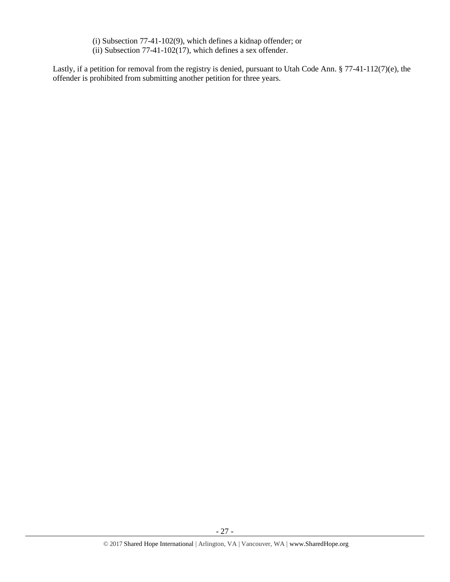(i) Subsection 77-41-102(9), which defines a kidnap offender; or (ii) Subsection 77-41-102(17), which defines a sex offender.

Lastly, if a petition for removal from the registry is denied, pursuant to Utah Code Ann. § 77-41-112(7)(e), the offender is prohibited from submitting another petition for three years.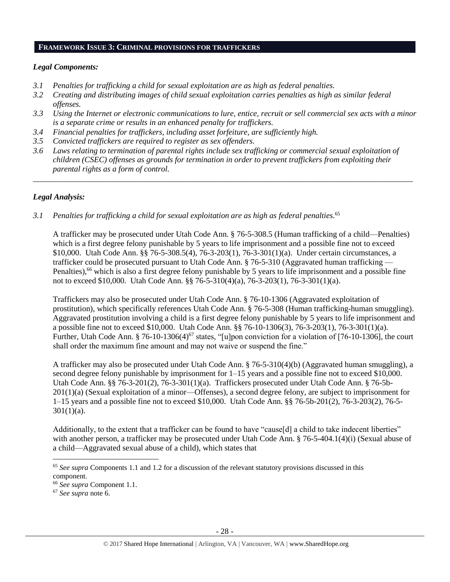## **FRAMEWORK ISSUE 3: CRIMINAL PROVISIONS FOR TRAFFICKERS**

# *Legal Components:*

- *3.1 Penalties for trafficking a child for sexual exploitation are as high as federal penalties.*
- *3.2 Creating and distributing images of child sexual exploitation carries penalties as high as similar federal offenses.*
- *3.3 Using the Internet or electronic communications to lure, entice, recruit or sell commercial sex acts with a minor is a separate crime or results in an enhanced penalty for traffickers.*
- *3.4 Financial penalties for traffickers, including asset forfeiture, are sufficiently high.*
- *3.5 Convicted traffickers are required to register as sex offenders.*
- *3.6 Laws relating to termination of parental rights include sex trafficking or commercial sexual exploitation of children (CSEC) offenses as grounds for termination in order to prevent traffickers from exploiting their parental rights as a form of control.*

*\_\_\_\_\_\_\_\_\_\_\_\_\_\_\_\_\_\_\_\_\_\_\_\_\_\_\_\_\_\_\_\_\_\_\_\_\_\_\_\_\_\_\_\_\_\_\_\_\_\_\_\_\_\_\_\_\_\_\_\_\_\_\_\_\_\_\_\_\_\_\_\_\_\_\_\_\_\_\_\_\_\_\_\_\_\_\_\_\_\_\_\_\_\_*

# *Legal Analysis:*

*3.1 Penalties for trafficking a child for sexual exploitation are as high as federal penalties.* 65

A trafficker may be prosecuted under Utah Code Ann. § 76-5-308.5 (Human trafficking of a child—Penalties) which is a first degree felony punishable by 5 years to life imprisonment and a possible fine not to exceed \$10,000. Utah Code Ann. §§ 76-5-308.5(4), 76-3-203(1), 76-3-301(1)(a). Under certain circumstances, a trafficker could be prosecuted pursuant to Utah Code Ann. § 76-5-310 (Aggravated human trafficking — Penalties),<sup>66</sup> which is also a first degree felony punishable by 5 years to life imprisonment and a possible fine not to exceed \$10,000. Utah Code Ann. §§ 76-5-310(4)(a), 76-3-203(1), 76-3-301(1)(a).

Traffickers may also be prosecuted under Utah Code Ann. § 76-10-1306 (Aggravated exploitation of prostitution), which specifically references Utah Code Ann. § 76-5-308 (Human trafficking-human smuggling). Aggravated prostitution involving a child is a first degree felony punishable by 5 years to life imprisonment and a possible fine not to exceed \$10,000. Utah Code Ann. §§ 76-10-1306(3), 76-3-203(1), 76-3-301(1)(a). Further, Utah Code Ann.  $\S 76-10-1306(4)^{67}$  states, "[u]pon conviction for a violation of [76-10-1306], the court shall order the maximum fine amount and may not waive or suspend the fine."

A trafficker may also be prosecuted under Utah Code Ann. § 76-5-310(4)(b) (Aggravated human smuggling), a second degree felony punishable by imprisonment for 1–15 years and a possible fine not to exceed \$10,000. Utah Code Ann. §§ 76-3-201(2), 76-3-301(1)(a). Traffickers prosecuted under Utah Code Ann. § 76-5b-201(1)(a) (Sexual exploitation of a minor—Offenses), a second degree felony, are subject to imprisonment for 1–15 years and a possible fine not to exceed \$10,000. Utah Code Ann. §§ 76-5b-201(2), 76-3-203(2), 76-5-  $301(1)(a)$ .

Additionally, to the extent that a trafficker can be found to have "cause[d] a child to take indecent liberties" with another person, a trafficker may be prosecuted under Utah Code Ann. § 76-5-404.1(4)(i) (Sexual abuse of a child—Aggravated sexual abuse of a child), which states that

l

<sup>65</sup> *See supra* Components 1.1 and 1.2 for a discussion of the relevant statutory provisions discussed in this component.

<sup>66</sup> *See supra* Component 1.1.

<sup>67</sup> *See supra* note [6.](#page-3-3)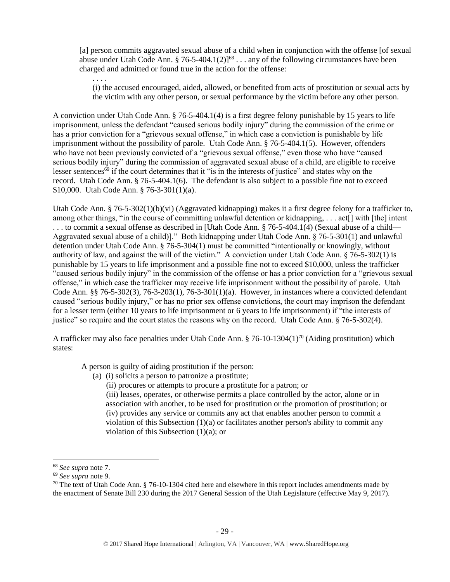[a] person commits aggravated sexual abuse of a child when in conjunction with the offense [of sexual abuse under Utah Code Ann. § 76-5-404.1(2)<sup> $168$ </sup>... any of the following circumstances have been charged and admitted or found true in the action for the offense:

(i) the accused encouraged, aided, allowed, or benefited from acts of prostitution or sexual acts by the victim with any other person, or sexual performance by the victim before any other person.

A conviction under Utah Code Ann. § 76-5-404.1(4) is a first degree felony punishable by 15 years to life imprisonment, unless the defendant "caused serious bodily injury" during the commission of the crime or has a prior conviction for a "grievous sexual offense," in which case a conviction is punishable by life imprisonment without the possibility of parole. Utah Code Ann. § 76-5-404.1(5). However, offenders who have not been previously convicted of a "grievous sexual offense," even those who have "caused serious bodily injury" during the commission of aggravated sexual abuse of a child, are eligible to receive lesser sentences<sup>69</sup> if the court determines that it "is in the interests of justice" and states why on the record. Utah Code Ann. § 76-5-404.1(6). The defendant is also subject to a possible fine not to exceed \$10,000. Utah Code Ann. § 76-3-301(1)(a).

Utah Code Ann. § 76-5-302(1)(b)(vi) (Aggravated kidnapping) makes it a first degree felony for a trafficker to, among other things, "in the course of committing unlawful detention or kidnapping, . . . act<sup>[]</sup> with [the] intent . . . to commit a sexual offense as described in [Utah Code Ann. § 76-5-404.1(4) (Sexual abuse of a child— Aggravated sexual abuse of a child)]." Both kidnapping under Utah Code Ann. § 76-5-301(1) and unlawful detention under Utah Code Ann. § 76-5-304(1) must be committed "intentionally or knowingly, without authority of law, and against the will of the victim." A conviction under Utah Code Ann. § 76-5-302(1) is punishable by 15 years to life imprisonment and a possible fine not to exceed \$10,000, unless the trafficker "caused serious bodily injury" in the commission of the offense or has a prior conviction for a "grievous sexual offense," in which case the trafficker may receive life imprisonment without the possibility of parole. Utah Code Ann. §§ 76-5-302(3), 76-3-203(1), 76-3-301(1)(a). However, in instances where a convicted defendant caused "serious bodily injury," or has no prior sex offense convictions, the court may imprison the defendant for a lesser term (either 10 years to life imprisonment or 6 years to life imprisonment) if "the interests of justice" so require and the court states the reasons why on the record. Utah Code Ann. § 76-5-302(4).

A trafficker may also face penalties under Utah Code Ann. § 76-10-1304(1)<sup>70</sup> (Aiding prostitution) which states:

A person is guilty of aiding prostitution if the person:

- (a) (i) solicits a person to patronize a prostitute;
	- (ii) procures or attempts to procure a prostitute for a patron; or

<span id="page-28-0"></span>(iii) leases, operates, or otherwise permits a place controlled by the actor, alone or in association with another, to be used for prostitution or the promotion of prostitution; or (iv) provides any service or commits any act that enables another person to commit a violation of this Subsection (1)(a) or facilitates another person's ability to commit any violation of this Subsection (1)(a); or

l

. . . .

<sup>68</sup> *See supra* note [7.](#page-3-0)

<sup>69</sup> *See supra* note [9.](#page-3-2)

 $70$  The text of Utah Code Ann. § 76-10-1304 cited here and elsewhere in this report includes amendments made by the enactment of Senate Bill 230 during the 2017 General Session of the Utah Legislature (effective May 9, 2017).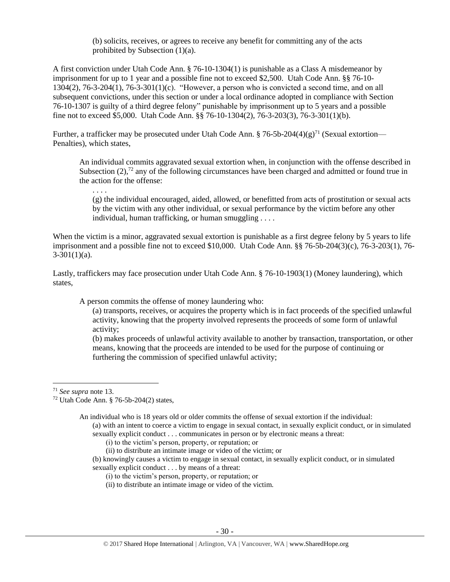(b) solicits, receives, or agrees to receive any benefit for committing any of the acts prohibited by Subsection (1)(a).

A first conviction under Utah Code Ann. § 76-10-1304(1) is punishable as a Class A misdemeanor by imprisonment for up to 1 year and a possible fine not to exceed \$2,500. Utah Code Ann. §§ 76-10- 1304(2), 76-3-204(1), 76-3-301(1)(c). "However, a person who is convicted a second time, and on all subsequent convictions, under this section or under a local ordinance adopted in compliance with Section 76-10-1307 is guilty of a third degree felony" punishable by imprisonment up to 5 years and a possible fine not to exceed \$5,000. Utah Code Ann. §§ 76-10-1304(2), 76-3-203(3), 76-3-301(1)(b).

Further, a trafficker may be prosecuted under Utah Code Ann.  $\S$  76-5b-204(4)(g)<sup>71</sup> (Sexual extortion— Penalties), which states,

An individual commits aggravated sexual extortion when, in conjunction with the offense described in Subsection  $(2)$ ,<sup>72</sup> any of the following circumstances have been charged and admitted or found true in the action for the offense:

(g) the individual encouraged, aided, allowed, or benefitted from acts of prostitution or sexual acts by the victim with any other individual, or sexual performance by the victim before any other individual, human trafficking, or human smuggling . . . .

When the victim is a minor, aggravated sexual extortion is punishable as a first degree felony by 5 years to life imprisonment and a possible fine not to exceed \$10,000. Utah Code Ann. §§ 76-5b-204(3)(c), 76-3-203(1), 76-  $3-301(1)(a)$ .

Lastly, traffickers may face prosecution under Utah Code Ann. § 76-10-1903(1) (Money laundering), which states,

A person commits the offense of money laundering who:

(a) transports, receives, or acquires the property which is in fact proceeds of the specified unlawful activity, knowing that the property involved represents the proceeds of some form of unlawful activity;

(b) makes proceeds of unlawful activity available to another by transaction, transportation, or other means, knowing that the proceeds are intended to be used for the purpose of continuing or furthering the commission of specified unlawful activity;

l

. . . .

<sup>71</sup> *See supra* note [13.](#page-5-1)

<sup>72</sup> Utah Code Ann. § 76-5b-204(2) states,

An individual who is 18 years old or older commits the offense of sexual extortion if the individual:

<sup>(</sup>a) with an intent to coerce a victim to engage in sexual contact, in sexually explicit conduct, or in simulated sexually explicit conduct . . . communicates in person or by electronic means a threat:

<sup>(</sup>i) to the victim's person, property, or reputation; or

<sup>(</sup>ii) to distribute an intimate image or video of the victim; or

<sup>(</sup>b) knowingly causes a victim to engage in sexual contact, in sexually explicit conduct, or in simulated sexually explicit conduct . . . by means of a threat:

<sup>(</sup>i) to the victim's person, property, or reputation; or

<sup>(</sup>ii) to distribute an intimate image or video of the victim.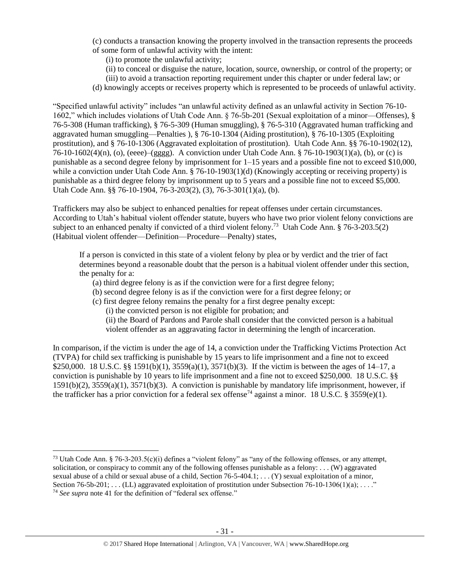(c) conducts a transaction knowing the property involved in the transaction represents the proceeds of some form of unlawful activity with the intent:

(i) to promote the unlawful activity;

(ii) to conceal or disguise the nature, location, source, ownership, or control of the property; or

(iii) to avoid a transaction reporting requirement under this chapter or under federal law; or

(d) knowingly accepts or receives property which is represented to be proceeds of unlawful activity.

"Specified unlawful activity" includes "an unlawful activity defined as an unlawful activity in Section 76-10- 1602," which includes violations of Utah Code Ann. § 76-5b-201 (Sexual exploitation of a minor—Offenses), § 76-5-308 (Human trafficking), § 76-5-309 (Human smuggling), § 76-5-310 (Aggravated human trafficking and aggravated human smuggling—Penalties ), § 76-10-1304 (Aiding prostitution), § 76-10-1305 (Exploiting prostitution), and § 76-10-1306 (Aggravated exploitation of prostitution). Utah Code Ann. §§ 76-10-1902(12), 76-10-1602(4)(n), (o), (eeee)–(gggg). A conviction under Utah Code Ann. § 76-10-1903(1)(a), (b), or (c) is punishable as a second degree felony by imprisonment for 1–15 years and a possible fine not to exceed \$10,000, while a conviction under Utah Code Ann. § 76-10-1903(1)(d) (Knowingly accepting or receiving property) is punishable as a third degree felony by imprisonment up to 5 years and a possible fine not to exceed \$5,000. Utah Code Ann. §§ 76-10-1904, 76-3-203(2), (3), 76-3-301(1)(a), (b).

Traffickers may also be subject to enhanced penalties for repeat offenses under certain circumstances. According to Utah's habitual violent offender statute, buyers who have two prior violent felony convictions are subject to an enhanced penalty if convicted of a third violent felony.<sup>73</sup> Utah Code Ann. § 76-3-203.5(2) (Habitual violent offender—Definition—Procedure—Penalty) states,

If a person is convicted in this state of a violent felony by plea or by verdict and the trier of fact determines beyond a reasonable doubt that the person is a habitual violent offender under this section, the penalty for a:

- (a) third degree felony is as if the conviction were for a first degree felony;
- (b) second degree felony is as if the conviction were for a first degree felony; or
- (c) first degree felony remains the penalty for a first degree penalty except:
	- (i) the convicted person is not eligible for probation; and

 $\overline{\phantom{a}}$ 

(ii) the Board of Pardons and Parole shall consider that the convicted person is a habitual violent offender as an aggravating factor in determining the length of incarceration.

In comparison, if the victim is under the age of 14, a conviction under the Trafficking Victims Protection Act (TVPA) for child sex trafficking is punishable by 15 years to life imprisonment and a fine not to exceed \$250,000. 18 U.S.C. §§ 1591(b)(1), 3559(a)(1), 3571(b)(3). If the victim is between the ages of 14–17, a conviction is punishable by 10 years to life imprisonment and a fine not to exceed \$250,000. 18 U.S.C. §§ 1591(b)(2), 3559(a)(1), 3571(b)(3). A conviction is punishable by mandatory life imprisonment, however, if the trafficker has a prior conviction for a federal sex offense<sup>74</sup> against a minor. 18 U.S.C. § 3559(e)(1).

<sup>&</sup>lt;sup>73</sup> Utah Code Ann. § 76-3-203.5(c)(i) defines a "violent felony" as "any of the following offenses, or any attempt, solicitation, or conspiracy to commit any of the following offenses punishable as a felony:  $\dots$  (W) aggravated sexual abuse of a child or sexual abuse of a child, Section  $76-5-404.1$ ; . . . (Y) sexual exploitation of a minor, Section 76-5b-201; . . . (LL) aggravated exploitation of prostitution under Subsection 76-10-1306(1)(a); . . . ." <sup>74</sup> *See supra* note [41](#page-19-0) for the definition of "federal sex offense."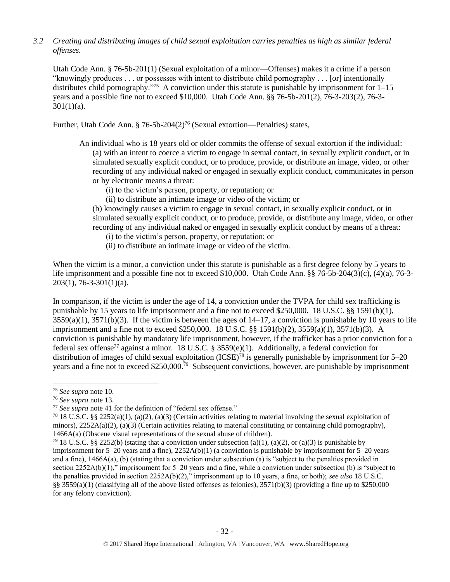*3.2 Creating and distributing images of child sexual exploitation carries penalties as high as similar federal offenses.*

Utah Code Ann. § 76-5b-201(1) (Sexual exploitation of a minor—Offenses) makes it a crime if a person "knowingly produces . . . or possesses with intent to distribute child pornography . . . [or] intentionally distributes child pornography."<sup>75</sup> A conviction under this statute is punishable by imprisonment for  $1-15$ years and a possible fine not to exceed \$10,000. Utah Code Ann. §§ 76-5b-201(2), 76-3-203(2), 76-3-  $301(1)(a)$ .

Further, Utah Code Ann. § 76-5b-204(2)<sup>76</sup> (Sexual extortion—Penalties) states,

- An individual who is 18 years old or older commits the offense of sexual extortion if the individual: (a) with an intent to coerce a victim to engage in sexual contact, in sexually explicit conduct, or in simulated sexually explicit conduct, or to produce, provide, or distribute an image, video, or other recording of any individual naked or engaged in sexually explicit conduct, communicates in person or by electronic means a threat:
	- (i) to the victim's person, property, or reputation; or
	- (ii) to distribute an intimate image or video of the victim; or

(b) knowingly causes a victim to engage in sexual contact, in sexually explicit conduct, or in simulated sexually explicit conduct, or to produce, provide, or distribute any image, video, or other recording of any individual naked or engaged in sexually explicit conduct by means of a threat:

- (i) to the victim's person, property, or reputation; or
- (ii) to distribute an intimate image or video of the victim.

When the victim is a minor, a conviction under this statute is punishable as a first degree felony by 5 years to life imprisonment and a possible fine not to exceed \$10,000. Utah Code Ann. §§ 76-5b-204(3)(c), (4)(a), 76-3- 203(1), 76-3-301(1)(a).

In comparison, if the victim is under the age of 14, a conviction under the TVPA for child sex trafficking is punishable by 15 years to life imprisonment and a fine not to exceed \$250,000. 18 U.S.C. §§ 1591(b)(1),  $3559(a)(1)$ ,  $3571(b)(3)$ . If the victim is between the ages of  $14-17$ , a conviction is punishable by 10 years to life imprisonment and a fine not to exceed \$250,000. 18 U.S.C. §§ 1591(b)(2), 3559(a)(1), 3571(b)(3). A conviction is punishable by mandatory life imprisonment, however, if the trafficker has a prior conviction for a federal sex offense<sup>77</sup> against a minor. 18 U.S.C. § 3559(e)(1). Additionally, a federal conviction for distribution of images of child sexual exploitation (ICSE)<sup>78</sup> is generally punishable by imprisonment for 5–20 years and a fine not to exceed \$250,000.<sup>79</sup> Subsequent convictions, however, are punishable by imprisonment

l

<sup>75</sup> *See supra* note [10.](#page-4-1)

<sup>76</sup> *See supra* note [13.](#page-5-1)

<sup>77</sup> *See supra* note [41](#page-19-0) for the definition of "federal sex offense."

<sup>&</sup>lt;sup>78</sup> 18 U.S.C. §§ 2252(a)(1), (a)(2), (a)(3) (Certain activities relating to material involving the sexual exploitation of minors),  $2252A(a)(2)$ , (a)(3) (Certain activities relating to material constituting or containing child pornography), 1466A(a) (Obscene visual representations of the sexual abuse of children).

<sup>&</sup>lt;sup>79</sup> 18 U.S.C. §§ 2252(b) (stating that a conviction under subsection (a)(1), (a)(2), or (a)(3) is punishable by imprisonment for 5–20 years and a fine), 2252A(b)(1) (a conviction is punishable by imprisonment for 5–20 years and a fine), 1466A(a), (b) (stating that a conviction under subsection (a) is "subject to the penalties provided in section 2252A(b)(1)," imprisonment for 5–20 years and a fine, while a conviction under subsection (b) is "subject to the penalties provided in section 2252A(b)(2)," imprisonment up to 10 years, a fine, or both); *see also* 18 U.S.C. §§ 3559(a)(1) (classifying all of the above listed offenses as felonies),  $3571(b)(3)$  (providing a fine up to \$250,000 for any felony conviction).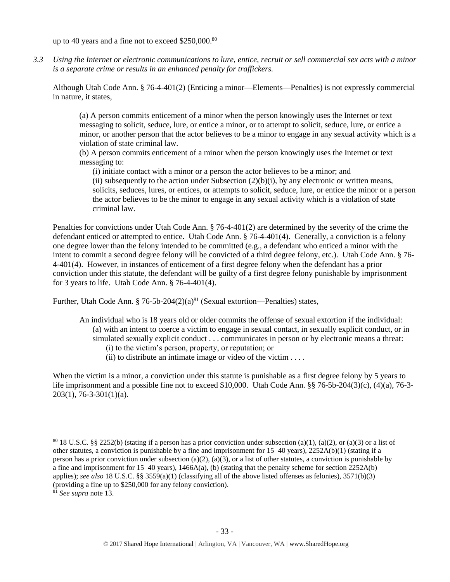up to 40 years and a fine not to exceed \$250,000.80

*3.3 Using the Internet or electronic communications to lure, entice, recruit or sell commercial sex acts with a minor is a separate crime or results in an enhanced penalty for traffickers.*

Although Utah Code Ann. § 76-4-401(2) (Enticing a minor—Elements—Penalties) is not expressly commercial in nature, it states,

(a) A person commits enticement of a minor when the person knowingly uses the Internet or text messaging to solicit, seduce, lure, or entice a minor, or to attempt to solicit, seduce, lure, or entice a minor, or another person that the actor believes to be a minor to engage in any sexual activity which is a violation of state criminal law.

(b) A person commits enticement of a minor when the person knowingly uses the Internet or text messaging to:

(i) initiate contact with a minor or a person the actor believes to be a minor; and (ii) subsequently to the action under Subsection  $(2)(b)(i)$ , by any electronic or written means, solicits, seduces, lures, or entices, or attempts to solicit, seduce, lure, or entice the minor or a person the actor believes to be the minor to engage in any sexual activity which is a violation of state criminal law.

Penalties for convictions under Utah Code Ann. § 76-4-401(2) are determined by the severity of the crime the defendant enticed or attempted to entice. Utah Code Ann. § 76-4-401(4). Generally, a conviction is a felony one degree lower than the felony intended to be committed (e.g., a defendant who enticed a minor with the intent to commit a second degree felony will be convicted of a third degree felony, etc.). Utah Code Ann. § 76- 4-401(4). However, in instances of enticement of a first degree felony when the defendant has a prior conviction under this statute, the defendant will be guilty of a first degree felony punishable by imprisonment for 3 years to life. Utah Code Ann. § 76-4-401(4).

Further, Utah Code Ann. § 76-5b-204 $(2)(a)^{81}$  (Sexual extortion—Penalties) states,

- An individual who is 18 years old or older commits the offense of sexual extortion if the individual: (a) with an intent to coerce a victim to engage in sexual contact, in sexually explicit conduct, or in simulated sexually explicit conduct . . . communicates in person or by electronic means a threat: (i) to the victim's person, property, or reputation; or
	- (ii) to distribute an intimate image or video of the victim  $\dots$ .

When the victim is a minor, a conviction under this statute is punishable as a first degree felony by 5 years to life imprisonment and a possible fine not to exceed \$10,000. Utah Code Ann. §§ 76-5b-204(3)(c), (4)(a), 76-3- 203(1), 76-3-301(1)(a).

l

 $80\,18$  U.S.C. §§ 2252(b) (stating if a person has a prior conviction under subsection (a)(1), (a)(2), or (a)(3) or a list of other statutes, a conviction is punishable by a fine and imprisonment for  $15-40$  years),  $2252A(b)(1)$  (stating if a person has a prior conviction under subsection (a)(2), (a)(3), or a list of other statutes, a conviction is punishable by a fine and imprisonment for  $15-40$  years),  $1466A(a)$ , (b) (stating that the penalty scheme for section  $2252A(b)$ applies); *see also* 18 U.S.C. §§ 3559(a)(1) (classifying all of the above listed offenses as felonies), 3571(b)(3) (providing a fine up to \$250,000 for any felony conviction).

<sup>81</sup> *See supra* note [13.](#page-5-1)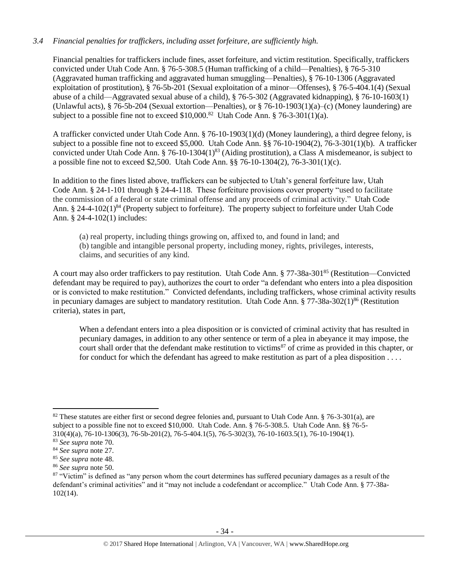# *3.4 Financial penalties for traffickers, including asset forfeiture, are sufficiently high.*

Financial penalties for traffickers include fines, asset forfeiture, and victim restitution. Specifically, traffickers convicted under Utah Code Ann. § 76-5-308.5 (Human trafficking of a child—Penalties), § 76-5-310 (Aggravated human trafficking and aggravated human smuggling—Penalties), § 76-10-1306 (Aggravated exploitation of prostitution), § 76-5b-201 (Sexual exploitation of a minor—Offenses), § 76-5-404.1(4) (Sexual abuse of a child—Aggravated sexual abuse of a child), § 76-5-302 (Aggravated kidnapping), § 76-10-1603(1) (Unlawful acts), § 76-5b-204 (Sexual extortion—Penalties), or § 76-10-1903(1)(a)–(c) (Money laundering) are subject to a possible fine not to exceed  $$10,000$ .<sup>82</sup> Utah Code Ann. § 76-3-301(1)(a).

A trafficker convicted under Utah Code Ann. § 76-10-1903(1)(d) (Money laundering), a third degree felony, is subject to a possible fine not to exceed \$5,000. Utah Code Ann. §§ 76-10-1904(2), 76-3-301(1)(b). A trafficker convicted under Utah Code Ann. § 76-10-1304 $(1)^{83}$  (Aiding prostitution), a Class A misdemeanor, is subject to a possible fine not to exceed \$2,500. Utah Code Ann. §§ 76-10-1304(2), 76-3-301(1)(c).

In addition to the fines listed above, traffickers can be subjected to Utah's general forfeiture law, Utah Code Ann. § 24-1-101 through § 24-4-118. These forfeiture provisions cover property "used to facilitate the commission of a federal or state criminal offense and any proceeds of criminal activity." Utah Code Ann.  $\S 24-4-102(1)^{84}$  (Property subject to forfeiture). The property subject to forfeiture under Utah Code Ann. § 24-4-102(1) includes:

(a) real property, including things growing on, affixed to, and found in land; and (b) tangible and intangible personal property, including money, rights, privileges, interests, claims, and securities of any kind.

A court may also order traffickers to pay restitution. Utah Code Ann. § 77-38a-301<sup>85</sup> (Restitution—Convicted defendant may be required to pay), authorizes the court to order "a defendant who enters into a plea disposition or is convicted to make restitution." Convicted defendants, including traffickers, whose criminal activity results in pecuniary damages are subject to mandatory restitution. Utah Code Ann.  $\S 77-38a-302(1)^{86}$  (Restitution criteria), states in part,

When a defendant enters into a plea disposition or is convicted of criminal activity that has resulted in pecuniary damages, in addition to any other sentence or term of a plea in abeyance it may impose, the court shall order that the defendant make restitution to victims<sup>87</sup> of crime as provided in this chapter, or for conduct for which the defendant has agreed to make restitution as part of a plea disposition . . . .

 $\overline{a}$ 

<sup>&</sup>lt;sup>82</sup> These statutes are either first or second degree felonies and, pursuant to Utah Code Ann.  $\S$  76-3-301(a), are subject to a possible fine not to exceed \$10,000. Utah Code. Ann. § 76-5-308.5. Utah Code Ann. §§ 76-5- 310(4)(a), 76-10-1306(3), 76-5b-201(2), 76-5-404.1(5), 76-5-302(3), 76-10-1603.5(1), 76-10-1904(1).

<sup>83</sup> *See supra* note [70.](#page-28-0)

<sup>84</sup> *See supra* note [27.](#page-12-0)

<sup>85</sup> *See supra* note [48.](#page-21-0)

<sup>86</sup> *See supra* note [50.](#page-21-1)

 $87$  "Victim" is defined as "any person whom the court determines has suffered pecuniary damages as a result of the defendant's criminal activities" and it "may not include a codefendant or accomplice." Utah Code Ann. § 77-38a-102(14).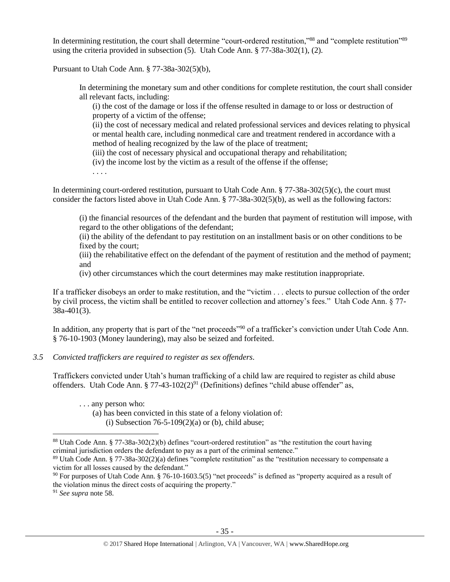In determining restitution, the court shall determine "court-ordered restitution,"<sup>88</sup> and "complete restitution"<sup>89</sup> using the criteria provided in subsection (5). Utah Code Ann. § 77-38a-302(1), (2).

Pursuant to Utah Code Ann. § 77-38a-302(5)(b),

In determining the monetary sum and other conditions for complete restitution, the court shall consider all relevant facts, including:

(i) the cost of the damage or loss if the offense resulted in damage to or loss or destruction of property of a victim of the offense;

(ii) the cost of necessary medical and related professional services and devices relating to physical or mental health care, including nonmedical care and treatment rendered in accordance with a method of healing recognized by the law of the place of treatment;

(iii) the cost of necessary physical and occupational therapy and rehabilitation;

(iv) the income lost by the victim as a result of the offense if the offense;

. . . .

In determining court-ordered restitution, pursuant to Utah Code Ann. § 77-38a-302(5)(c), the court must consider the factors listed above in Utah Code Ann. § 77-38a-302(5)(b), as well as the following factors:

(i) the financial resources of the defendant and the burden that payment of restitution will impose, with regard to the other obligations of the defendant;

(ii) the ability of the defendant to pay restitution on an installment basis or on other conditions to be fixed by the court;

(iii) the rehabilitative effect on the defendant of the payment of restitution and the method of payment; and

(iv) other circumstances which the court determines may make restitution inappropriate.

If a trafficker disobeys an order to make restitution, and the "victim . . . elects to pursue collection of the order by civil process, the victim shall be entitled to recover collection and attorney's fees." Utah Code Ann. § 77- 38a-401(3).

In addition, any property that is part of the "net proceeds"<sup>90</sup> of a trafficker's conviction under Utah Code Ann. § 76-10-1903 (Money laundering), may also be seized and forfeited.

# *3.5 Convicted traffickers are required to register as sex offenders.*

Traffickers convicted under Utah's human trafficking of a child law are required to register as child abuse offenders. Utah Code Ann. § 77-43-102(2)<sup>91</sup> (Definitions) defines "child abuse offender" as,

. . . any person who:

(a) has been convicted in this state of a felony violation of: (i) Subsection  $76-5-109(2)(a)$  or (b), child abuse;

l

<sup>88</sup> Utah Code Ann. § 77-38a-302(2)(b) defines "court-ordered restitution" as "the restitution the court having criminal jurisdiction orders the defendant to pay as a part of the criminal sentence."

<sup>89</sup> Utah Code Ann. § 77-38a-302(2)(a) defines "complete restitution" as the "restitution necessary to compensate a victim for all losses caused by the defendant."

 $90$  For purposes of Utah Code Ann. § 76-10-1603.5(5) "net proceeds" is defined as "property acquired as a result of the violation minus the direct costs of acquiring the property."

<sup>91</sup> *See supra* note [58.](#page-23-0)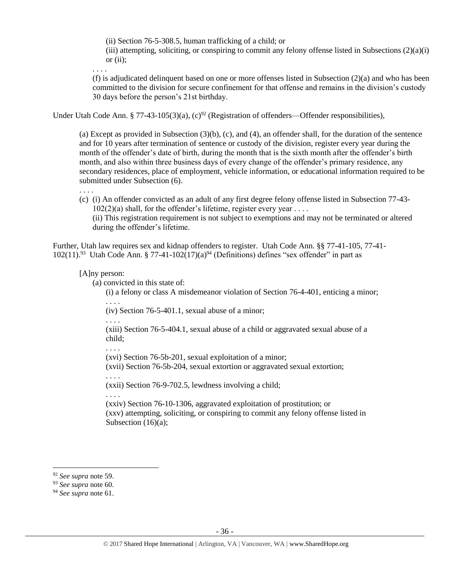(ii) Section 76-5-308.5, human trafficking of a child; or

(iii) attempting, soliciting, or conspiring to commit any felony offense listed in Subsections (2)(a)(i) or (ii);

. . . .

(f) is adjudicated delinquent based on one or more offenses listed in Subsection  $(2)(a)$  and who has been committed to the division for secure confinement for that offense and remains in the division's custody 30 days before the person's 21st birthday.

Under Utah Code Ann. § 77-43-105(3)(a), (c)<sup>92</sup> (Registration of offenders—Offender responsibilities),

(a) Except as provided in Subsection (3)(b), (c), and (4), an offender shall, for the duration of the sentence and for 10 years after termination of sentence or custody of the division, register every year during the month of the offender's date of birth, during the month that is the sixth month after the offender's birth month, and also within three business days of every change of the offender's primary residence, any secondary residences, place of employment, vehicle information, or educational information required to be submitted under Subsection (6).

(c) (i) An offender convicted as an adult of any first degree felony offense listed in Subsection 77-43-  $102(2)(a)$  shall, for the offender's lifetime, register every year .... (ii) This registration requirement is not subject to exemptions and may not be terminated or altered during the offender's lifetime.

Further, Utah law requires sex and kidnap offenders to register. Utah Code Ann. §§ 77-41-105, 77-41-  $102(11).^{93}$  Utah Code Ann. § 77-41-102(17)(a)<sup>94</sup> (Definitions) defines "sex offender" in part as

# [A]ny person:

. . . .

(a) convicted in this state of:

(i) a felony or class A misdemeanor violation of Section 76-4-401, enticing a minor;

. . . . (iv) Section 76-5-401.1, sexual abuse of a minor;

. . . .

. . . .

(xiii) Section 76-5-404.1, sexual abuse of a child or aggravated sexual abuse of a child;

(xvi) Section 76-5b-201, sexual exploitation of a minor;

(xvii) Section 76-5b-204, sexual extortion or aggravated sexual extortion;

(xxii) Section 76-9-702.5, lewdness involving a child;

. . . .

. . . .

(xxiv) Section 76-10-1306, aggravated exploitation of prostitution; or (xxv) attempting, soliciting, or conspiring to commit any felony offense listed in Subsection (16)(a);

<sup>92</sup> *See supra* note [59.](#page-23-1)

<sup>93</sup> *See supra* note [60.](#page-23-2)

<sup>94</sup> *See supra* note [61.](#page-23-3)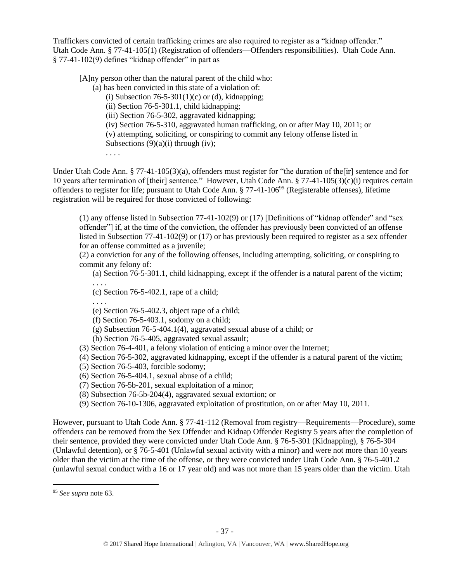Traffickers convicted of certain trafficking crimes are also required to register as a "kidnap offender." Utah Code Ann. § 77-41-105(1) (Registration of offenders—Offenders responsibilities). Utah Code Ann. § 77-41-102(9) defines "kidnap offender" in part as

[A]ny person other than the natural parent of the child who:

(a) has been convicted in this state of a violation of:

(i) Subsection  $76-5-301(1)$ (c) or (d), kidnapping;

(ii) Section 76-5-301.1, child kidnapping;

(iii) Section 76-5-302, aggravated kidnapping;

(iv) Section 76-5-310, aggravated human trafficking, on or after May 10, 2011; or

(v) attempting, soliciting, or conspiring to commit any felony offense listed in

Subsections  $(9)(a)(i)$  through (iv);

. . . .

Under Utah Code Ann. § 77-41-105(3)(a), offenders must register for "the duration of the [ir] sentence and for 10 years after termination of [their] sentence." However, Utah Code Ann. § 77-41-105(3)(c)(i) requires certain offenders to register for life; pursuant to Utah Code Ann. § 77-41-106<sup>95</sup> (Registerable offenses), lifetime registration will be required for those convicted of following:

(1) any offense listed in Subsection 77-41-102(9) or (17) [Definitions of "kidnap offender" and "sex offender"] if, at the time of the conviction, the offender has previously been convicted of an offense listed in Subsection 77-41-102(9) or (17) or has previously been required to register as a sex offender for an offense committed as a juvenile;

(2) a conviction for any of the following offenses, including attempting, soliciting, or conspiring to commit any felony of:

(a) Section 76-5-301.1, child kidnapping, except if the offender is a natural parent of the victim;

(c) Section 76-5-402.1, rape of a child;

. . . .

. . . .

(e) Section 76-5-402.3, object rape of a child;

(f) Section 76-5-403.1, sodomy on a child;

(g) Subsection 76-5-404.1(4), aggravated sexual abuse of a child; or

(h) Section 76-5-405, aggravated sexual assault;

(3) Section 76-4-401, a felony violation of enticing a minor over the Internet;

(4) Section 76-5-302, aggravated kidnapping, except if the offender is a natural parent of the victim;

(5) Section 76-5-403, forcible sodomy;

(6) Section 76-5-404.1, sexual abuse of a child;

(7) Section 76-5b-201, sexual exploitation of a minor;

(8) Subsection 76-5b-204(4), aggravated sexual extortion; or

(9) Section 76-10-1306, aggravated exploitation of prostitution, on or after May 10, 2011.

However, pursuant to Utah Code Ann. § 77-41-112 (Removal from registry—Requirements—Procedure), some offenders can be removed from the Sex Offender and Kidnap Offender Registry 5 years after the completion of their sentence, provided they were convicted under Utah Code Ann. § 76-5-301 (Kidnapping), § 76-5-304 (Unlawful detention), or § 76-5-401 (Unlawful sexual activity with a minor) and were not more than 10 years older than the victim at the time of the offense, or they were convicted under Utah Code Ann. § 76-5-401.2 (unlawful sexual conduct with a 16 or 17 year old) and was not more than 15 years older than the victim. Utah

l

<sup>95</sup> *See supra* note [63.](#page-25-0)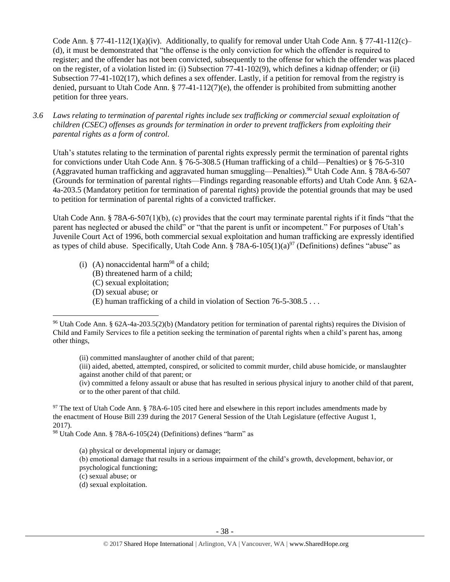Code Ann.  $\S 77-41-112(1)(a)(iv)$ . Additionally, to qualify for removal under Utah Code Ann.  $\S 77-41-112(c)$ (d), it must be demonstrated that "the offense is the only conviction for which the offender is required to register; and the offender has not been convicted, subsequently to the offense for which the offender was placed on the register, of a violation listed in: (i) Subsection 77-41-102(9), which defines a kidnap offender; or (ii) Subsection 77-41-102(17), which defines a sex offender. Lastly, if a petition for removal from the registry is denied, pursuant to Utah Code Ann. § 77-41-112(7)(e), the offender is prohibited from submitting another petition for three years.

*3.6 Laws relating to termination of parental rights include sex trafficking or commercial sexual exploitation of children (CSEC) offenses as grounds for termination in order to prevent traffickers from exploiting their parental rights as a form of control.*

Utah's statutes relating to the termination of parental rights expressly permit the termination of parental rights for convictions under Utah Code Ann. § 76-5-308.5 (Human trafficking of a child—Penalties) or § 76-5-310 (Aggravated human trafficking and aggravated human smuggling—Penalties). <sup>96</sup> Utah Code Ann. § 78A-6-507 (Grounds for termination of parental rights—Findings regarding reasonable efforts) and Utah Code Ann. § 62A-4a-203.5 (Mandatory petition for termination of parental rights) provide the potential grounds that may be used to petition for termination of parental rights of a convicted trafficker.

Utah Code Ann. § 78A-6-507(1)(b), (c) provides that the court may terminate parental rights if it finds "that the parent has neglected or abused the child" or "that the parent is unfit or incompetent." For purposes of Utah's Juvenile Court Act of 1996, both commercial sexual exploitation and human trafficking are expressly identified as types of child abuse. Specifically, Utah Code Ann. § 78A-6-105(1)(a)<sup>97</sup> (Definitions) defines "abuse" as

- (i) (A) nonaccidental harm<sup>98</sup> of a child;
	- (B) threatened harm of a child;
	- (C) sexual exploitation;
	- (D) sexual abuse; or

 $\overline{\phantom{a}}$ 

<span id="page-37-1"></span><span id="page-37-0"></span>(E) human trafficking of a child in violation of Section 76-5-308.5 . . .

(ii) committed manslaughter of another child of that parent;

(iv) committed a felony assault or abuse that has resulted in serious physical injury to another child of that parent, or to the other parent of that child.

<sup>97</sup> The text of Utah Code Ann. § 78A-6-105 cited here and elsewhere in this report includes amendments made by the enactment of House Bill 239 during the 2017 General Session of the Utah Legislature (effective August 1, 2017).

<sup>98</sup> Utah Code Ann. § 78A-6-105(24) (Definitions) defines "harm" as

(a) physical or developmental injury or damage;

(b) emotional damage that results in a serious impairment of the child's growth, development, behavior, or

psychological functioning;

(c) sexual abuse; or

(d) sexual exploitation.

<sup>96</sup> Utah Code Ann. § 62A-4a-203.5(2)(b) (Mandatory petition for termination of parental rights) requires the Division of Child and Family Services to file a petition seeking the termination of parental rights when a child's parent has, among other things,

<sup>(</sup>iii) aided, abetted, attempted, conspired, or solicited to commit murder, child abuse homicide, or manslaughter against another child of that parent; or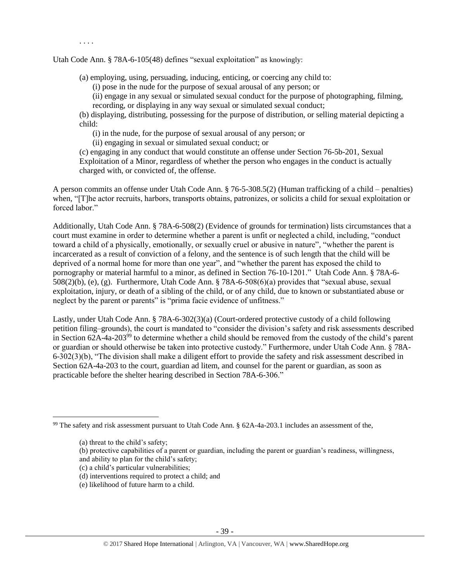. . . .

Utah Code Ann. § 78A-6-105(48) defines "sexual exploitation" as knowingly:

(a) employing, using, persuading, inducing, enticing, or coercing any child to:

(i) pose in the nude for the purpose of sexual arousal of any person; or

(ii) engage in any sexual or simulated sexual conduct for the purpose of photographing, filming, recording, or displaying in any way sexual or simulated sexual conduct;

(b) displaying, distributing, possessing for the purpose of distribution, or selling material depicting a child:

(i) in the nude, for the purpose of sexual arousal of any person; or

(ii) engaging in sexual or simulated sexual conduct; or

(c) engaging in any conduct that would constitute an offense under Section 76-5b-201, Sexual Exploitation of a Minor, regardless of whether the person who engages in the conduct is actually charged with, or convicted of, the offense.

A person commits an offense under Utah Code Ann. § 76-5-308.5(2) (Human trafficking of a child – penalties) when, "[T]he actor recruits, harbors, transports obtains, patronizes, or solicits a child for sexual exploitation or forced labor."

Additionally, Utah Code Ann. § 78A-6-508(2) (Evidence of grounds for termination) lists circumstances that a court must examine in order to determine whether a parent is unfit or neglected a child, including, "conduct toward a child of a physically, emotionally, or sexually cruel or abusive in nature", "whether the parent is incarcerated as a result of conviction of a felony, and the sentence is of such length that the child will be deprived of a normal home for more than one year", and "whether the parent has exposed the child to pornography or material harmful to a minor, as defined in Section 76-10-1201." Utah Code Ann. § 78A-6- 508(2)(b), (e), (g). Furthermore, Utah Code Ann. § 78A-6-508(6)(a) provides that "sexual abuse, sexual exploitation, injury, or death of a sibling of the child, or of any child, due to known or substantiated abuse or neglect by the parent or parents" is "prima facie evidence of unfitness."

Lastly, under Utah Code Ann. § 78A-6-302(3)(a) (Court-ordered protective custody of a child following petition filing–grounds), the court is mandated to "consider the division's safety and risk assessments described in Section 62A-4a-203<sup>99</sup> to determine whether a child should be removed from the custody of the child's parent or guardian or should otherwise be taken into protective custody." Furthermore, under Utah Code Ann. § 78A-6-302(3)(b), "The division shall make a diligent effort to provide the safety and risk assessment described in Section 62A-4a-203 to the court, guardian ad litem, and counsel for the parent or guardian, as soon as practicable before the shelter hearing described in Section 78A-6-306."

- (c) a child's particular vulnerabilities;
- (d) interventions required to protect a child; and
- (e) likelihood of future harm to a child.

<sup>99</sup> The safety and risk assessment pursuant to Utah Code Ann. § 62A-4a-203.1 includes an assessment of the,

<sup>(</sup>a) threat to the child's safety;

<sup>(</sup>b) protective capabilities of a parent or guardian, including the parent or guardian's readiness, willingness,

and ability to plan for the child's safety;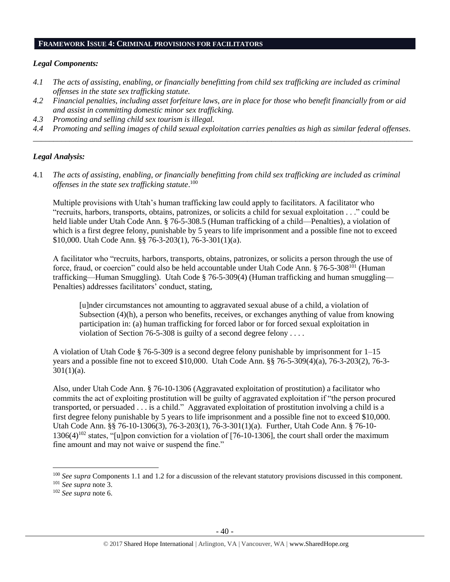#### **FRAMEWORK ISSUE 4: CRIMINAL PROVISIONS FOR FACILITATORS**

## *Legal Components:*

- *4.1 The acts of assisting, enabling, or financially benefitting from child sex trafficking are included as criminal offenses in the state sex trafficking statute.*
- *4.2 Financial penalties, including asset forfeiture laws, are in place for those who benefit financially from or aid and assist in committing domestic minor sex trafficking.*
- *4.3 Promoting and selling child sex tourism is illegal.*
- *4.4 Promoting and selling images of child sexual exploitation carries penalties as high as similar federal offenses. \_\_\_\_\_\_\_\_\_\_\_\_\_\_\_\_\_\_\_\_\_\_\_\_\_\_\_\_\_\_\_\_\_\_\_\_\_\_\_\_\_\_\_\_\_\_\_\_\_\_\_\_\_\_\_\_\_\_\_\_\_\_\_\_\_\_\_\_\_\_\_\_\_\_\_\_\_\_\_\_\_\_\_\_\_\_\_\_\_\_\_\_\_\_*

# *Legal Analysis:*

4.1 *The acts of assisting, enabling, or financially benefitting from child sex trafficking are included as criminal offenses in the state sex trafficking statute*. 100

Multiple provisions with Utah's human trafficking law could apply to facilitators. A facilitator who "recruits, harbors, transports, obtains, patronizes, or solicits a child for sexual exploitation . . ." could be held liable under Utah Code Ann. § 76-5-308.5 (Human trafficking of a child—Penalties), a violation of which is a first degree felony, punishable by 5 years to life imprisonment and a possible fine not to exceed \$10,000. Utah Code Ann. §§ 76-3-203(1), 76-3-301(1)(a).

A facilitator who "recruits, harbors, transports, obtains, patronizes, or solicits a person through the use of force, fraud, or coercion" could also be held accountable under Utah Code Ann. § 76-5-308<sup>101</sup> (Human trafficking—Human Smuggling). Utah Code § 76-5-309(4) (Human trafficking and human smuggling— Penalties) addresses facilitators' conduct, stating,

[u]nder circumstances not amounting to aggravated sexual abuse of a child, a violation of Subsection (4)(h), a person who benefits, receives, or exchanges anything of value from knowing participation in: (a) human trafficking for forced labor or for forced sexual exploitation in violation of Section 76-5-308 is guilty of a second degree felony  $\dots$ .

A violation of Utah Code § 76-5-309 is a second degree felony punishable by imprisonment for 1–15 years and a possible fine not to exceed \$10,000. Utah Code Ann. §§ 76-5-309(4)(a), 76-3-203(2), 76-3-  $301(1)(a)$ .

Also, under Utah Code Ann. § 76-10-1306 (Aggravated exploitation of prostitution) a facilitator who commits the act of exploiting prostitution will be guilty of aggravated exploitation if "the person procured transported, or persuaded . . . is a child." Aggravated exploitation of prostitution involving a child is a first degree felony punishable by 5 years to life imprisonment and a possible fine not to exceed \$10,000. Utah Code Ann. §§ 76-10-1306(3), 76-3-203(1), 76-3-301(1)(a). Further, Utah Code Ann. § 76-10-  $1306(4)^{102}$  states, "[u]pon conviction for a violation of [76-10-1306], the court shall order the maximum fine amount and may not waive or suspend the fine."

<sup>100</sup> *See supra* Components 1.1 and 1.2 for a discussion of the relevant statutory provisions discussed in this component.

<sup>101</sup> *See supra* not[e 3.](#page-1-0)

<sup>102</sup> *See supra* not[e 6.](#page-3-3)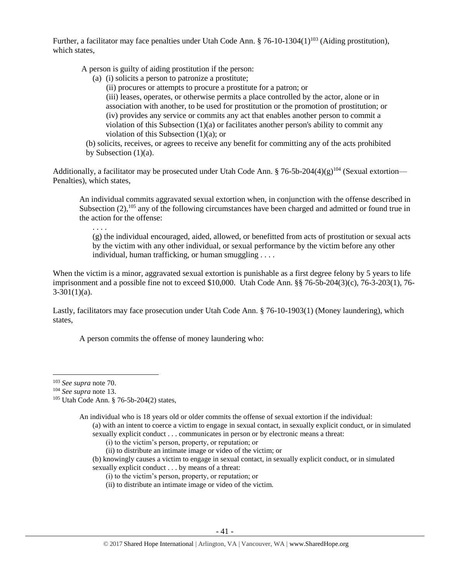Further, a facilitator may face penalties under Utah Code Ann.  $\S$  76-10-1304(1)<sup>103</sup> (Aiding prostitution), which states,

A person is guilty of aiding prostitution if the person:

- (a) (i) solicits a person to patronize a prostitute;
	- (ii) procures or attempts to procure a prostitute for a patron; or

(iii) leases, operates, or otherwise permits a place controlled by the actor, alone or in association with another, to be used for prostitution or the promotion of prostitution; or (iv) provides any service or commits any act that enables another person to commit a violation of this Subsection  $(1)(a)$  or facilitates another person's ability to commit any violation of this Subsection (1)(a); or

(b) solicits, receives, or agrees to receive any benefit for committing any of the acts prohibited by Subsection  $(1)(a)$ .

Additionally, a facilitator may be prosecuted under Utah Code Ann. § 76-5b-204(4)(g)<sup>104</sup> (Sexual extortion— Penalties), which states,

An individual commits aggravated sexual extortion when, in conjunction with the offense described in Subsection  $(2)$ ,  $^{105}$  any of the following circumstances have been charged and admitted or found true in the action for the offense:

(g) the individual encouraged, aided, allowed, or benefitted from acts of prostitution or sexual acts by the victim with any other individual, or sexual performance by the victim before any other individual, human trafficking, or human smuggling . . . .

When the victim is a minor, aggravated sexual extortion is punishable as a first degree felony by 5 years to life imprisonment and a possible fine not to exceed \$10,000. Utah Code Ann. §§ 76-5b-204(3)(c), 76-3-203(1), 76-  $3-301(1)(a)$ .

Lastly, facilitators may face prosecution under Utah Code Ann. § 76-10-1903(1) (Money laundering), which states,

A person commits the offense of money laundering who:

 $\overline{\phantom{a}}$ 

. . . .

An individual who is 18 years old or older commits the offense of sexual extortion if the individual:

- (i) to the victim's person, property, or reputation; or
- (ii) to distribute an intimate image or video of the victim; or
- (b) knowingly causes a victim to engage in sexual contact, in sexually explicit conduct, or in simulated sexually explicit conduct . . . by means of a threat:
	- (i) to the victim's person, property, or reputation; or
	- (ii) to distribute an intimate image or video of the victim.

<sup>103</sup> *See supra* not[e 70.](#page-28-0)

<sup>104</sup> *See supra* not[e 13.](#page-5-1)

<sup>105</sup> Utah Code Ann. § 76-5b-204(2) states,

<sup>(</sup>a) with an intent to coerce a victim to engage in sexual contact, in sexually explicit conduct, or in simulated sexually explicit conduct . . . communicates in person or by electronic means a threat: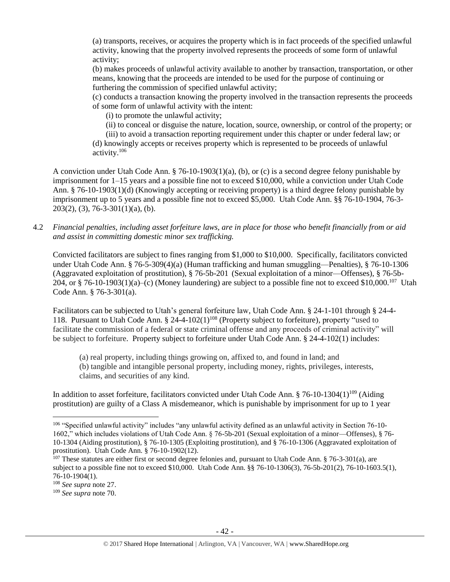(a) transports, receives, or acquires the property which is in fact proceeds of the specified unlawful activity, knowing that the property involved represents the proceeds of some form of unlawful activity;

(b) makes proceeds of unlawful activity available to another by transaction, transportation, or other means, knowing that the proceeds are intended to be used for the purpose of continuing or furthering the commission of specified unlawful activity;

(c) conducts a transaction knowing the property involved in the transaction represents the proceeds of some form of unlawful activity with the intent:

(i) to promote the unlawful activity;

(ii) to conceal or disguise the nature, location, source, ownership, or control of the property; or

(iii) to avoid a transaction reporting requirement under this chapter or under federal law; or (d) knowingly accepts or receives property which is represented to be proceeds of unlawful activity.<sup>106</sup>

A conviction under Utah Code Ann. § 76-10-1903(1)(a), (b), or (c) is a second degree felony punishable by imprisonment for 1–15 years and a possible fine not to exceed \$10,000, while a conviction under Utah Code Ann. § 76-10-1903(1)(d) (Knowingly accepting or receiving property) is a third degree felony punishable by imprisonment up to 5 years and a possible fine not to exceed \$5,000. Utah Code Ann. §§ 76-10-1904, 76-3-  $203(2)$ , (3), 76-3-301(1)(a), (b).

4.2 *Financial penalties, including asset forfeiture laws, are in place for those who benefit financially from or aid and assist in committing domestic minor sex trafficking.*

Convicted facilitators are subject to fines ranging from \$1,000 to \$10,000. Specifically, facilitators convicted under Utah Code Ann. § 76-5-309(4)(a) (Human trafficking and human smuggling—Penalties), § 76-10-1306 (Aggravated exploitation of prostitution), § 76-5b-201 (Sexual exploitation of a minor—Offenses), § 76-5b-204, or § 76-10-1903(1)(a)–(c) (Money laundering) are subject to a possible fine not to exceed \$10,000.<sup>107</sup> Utah Code Ann. § 76-3-301(a).

Facilitators can be subjected to Utah's general forfeiture law, Utah Code Ann. § 24-1-101 through § 24-4- 118. Pursuant to Utah Code Ann. § 24-4-102(1)<sup>108</sup> (Property subject to forfeiture), property "used to facilitate the commission of a federal or state criminal offense and any proceeds of criminal activity" will be subject to forfeiture. Property subject to forfeiture under Utah Code Ann. § 24-4-102(1) includes:

(a) real property, including things growing on, affixed to, and found in land; and (b) tangible and intangible personal property, including money, rights, privileges, interests, claims, and securities of any kind.

In addition to asset forfeiture, facilitators convicted under Utah Code Ann.  $\S$  76-10-1304(1)<sup>109</sup> (Aiding prostitution) are guilty of a Class A misdemeanor, which is punishable by imprisonment for up to 1 year

<sup>106</sup> "Specified unlawful activity" includes "any unlawful activity defined as an unlawful activity in Section 76-10- 1602," which includes violations of Utah Code Ann. § 76-5b-201 (Sexual exploitation of a minor—Offenses), § 76- 10-1304 (Aiding prostitution), § 76-10-1305 (Exploiting prostitution), and § 76-10-1306 (Aggravated exploitation of prostitution). Utah Code Ann. § 76-10-1902(12).

 $107$  These statutes are either first or second degree felonies and, pursuant to Utah Code Ann. § 76-3-301(a), are subject to a possible fine not to exceed \$10,000. Utah Code Ann. §§ 76-10-1306(3), 76-5b-201(2), 76-10-1603.5(1), 76-10-1904(1).

<sup>108</sup> *See supra* not[e 27.](#page-12-0)

<sup>109</sup> *See supra* not[e 70.](#page-28-0)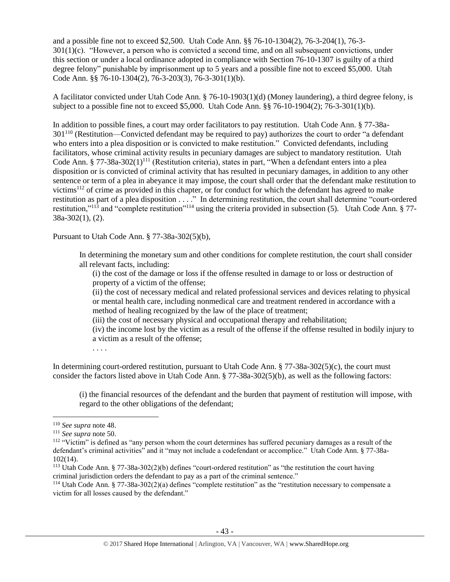and a possible fine not to exceed \$2,500. Utah Code Ann. §§ 76-10-1304(2), 76-3-204(1), 76-3-  $301(1)(c)$ . "However, a person who is convicted a second time, and on all subsequent convictions, under this section or under a local ordinance adopted in compliance with Section 76-10-1307 is guilty of a third degree felony" punishable by imprisonment up to 5 years and a possible fine not to exceed \$5,000. Utah Code Ann. §§ 76-10-1304(2), 76-3-203(3), 76-3-301(1)(b).

A facilitator convicted under Utah Code Ann. § 76-10-1903(1)(d) (Money laundering), a third degree felony, is subject to a possible fine not to exceed \$5,000. Utah Code Ann. §§ 76-10-1904(2); 76-3-301(1)(b).

In addition to possible fines, a court may order facilitators to pay restitution. Utah Code Ann. § 77-38a- $301^{110}$  (Restitution—Convicted defendant may be required to pay) authorizes the court to order "a defendant" who enters into a plea disposition or is convicted to make restitution." Convicted defendants, including facilitators, whose criminal activity results in pecuniary damages are subject to mandatory restitution. Utah Code Ann. § 77-38a-302(1)<sup>111</sup> (Restitution criteria), states in part, "When a defendant enters into a plea disposition or is convicted of criminal activity that has resulted in pecuniary damages, in addition to any other sentence or term of a plea in abeyance it may impose, the court shall order that the defendant make restitution to victims<sup>112</sup> of crime as provided in this chapter, or for conduct for which the defendant has agreed to make restitution as part of a plea disposition . . . ." In determining restitution, the court shall determine "court-ordered restitution,"<sup>113</sup> and "complete restitution"<sup>114</sup> using the criteria provided in subsection (5). Utah Code Ann. § 77- 38a-302(1), (2).

Pursuant to Utah Code Ann. § 77-38a-302(5)(b),

In determining the monetary sum and other conditions for complete restitution, the court shall consider all relevant facts, including:

(i) the cost of the damage or loss if the offense resulted in damage to or loss or destruction of property of a victim of the offense;

(ii) the cost of necessary medical and related professional services and devices relating to physical or mental health care, including nonmedical care and treatment rendered in accordance with a method of healing recognized by the law of the place of treatment;

(iii) the cost of necessary physical and occupational therapy and rehabilitation;

(iv) the income lost by the victim as a result of the offense if the offense resulted in bodily injury to a victim as a result of the offense;

. . . .

In determining court-ordered restitution, pursuant to Utah Code Ann. § 77-38a-302(5)(c), the court must consider the factors listed above in Utah Code Ann. § 77-38a-302(5)(b), as well as the following factors:

(i) the financial resources of the defendant and the burden that payment of restitution will impose, with regard to the other obligations of the defendant;

<sup>110</sup> *See supra* not[e 48.](#page-21-0)

<sup>111</sup> *See supra* not[e 50.](#page-21-1)

<sup>112</sup> "Victim" is defined as "any person whom the court determines has suffered pecuniary damages as a result of the defendant's criminal activities" and it "may not include a codefendant or accomplice." Utah Code Ann. § 77-38a-102(14).

<sup>113</sup> Utah Code Ann. § 77-38a-302(2)(b) defines "court-ordered restitution" as "the restitution the court having criminal jurisdiction orders the defendant to pay as a part of the criminal sentence."

<sup>114</sup> Utah Code Ann. § 77-38a-302(2)(a) defines "complete restitution" as the "restitution necessary to compensate a victim for all losses caused by the defendant."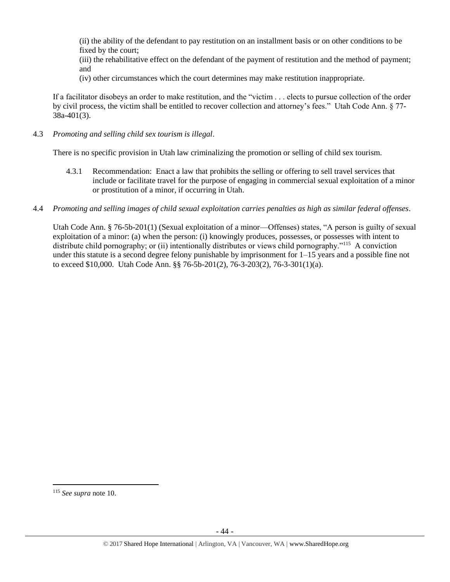(ii) the ability of the defendant to pay restitution on an installment basis or on other conditions to be fixed by the court;

(iii) the rehabilitative effect on the defendant of the payment of restitution and the method of payment; and

(iv) other circumstances which the court determines may make restitution inappropriate.

If a facilitator disobeys an order to make restitution, and the "victim . . . elects to pursue collection of the order by civil process, the victim shall be entitled to recover collection and attorney's fees." Utah Code Ann. § 77- 38a-401(3).

4.3 *Promoting and selling child sex tourism is illegal*.

There is no specific provision in Utah law criminalizing the promotion or selling of child sex tourism.

- 4.3.1 Recommendation: Enact a law that prohibits the selling or offering to sell travel services that include or facilitate travel for the purpose of engaging in commercial sexual exploitation of a minor or prostitution of a minor, if occurring in Utah.
- 4.4 *Promoting and selling images of child sexual exploitation carries penalties as high as similar federal offenses*.

Utah Code Ann. § 76-5b-201(1) (Sexual exploitation of a minor—Offenses) states, "A person is guilty of sexual exploitation of a minor: (a) when the person: (i) knowingly produces, possesses, or possesses with intent to distribute child pornography; or (ii) intentionally distributes or views child pornography."<sup>115</sup> A conviction under this statute is a second degree felony punishable by imprisonment for 1–15 years and a possible fine not to exceed \$10,000. Utah Code Ann. §§ 76-5b-201(2), 76-3-203(2), 76-3-301(1)(a).

l

<sup>115</sup> *See supra* not[e 10.](#page-4-1)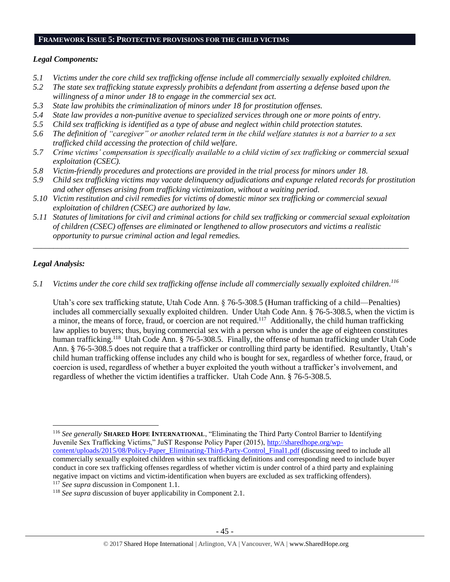#### **FRAMEWORK ISSUE 5: PROTECTIVE PROVISIONS FOR THE CHILD VICTIMS**

# *Legal Components:*

- *5.1 Victims under the core child sex trafficking offense include all commercially sexually exploited children.*
- *5.2 The state sex trafficking statute expressly prohibits a defendant from asserting a defense based upon the willingness of a minor under 18 to engage in the commercial sex act.*
- *5.3 State law prohibits the criminalization of minors under 18 for prostitution offenses.*
- *5.4 State law provides a non-punitive avenue to specialized services through one or more points of entry.*
- *5.5 Child sex trafficking is identified as a type of abuse and neglect within child protection statutes.*
- *5.6 The definition of "caregiver" or another related term in the child welfare statutes is not a barrier to a sex trafficked child accessing the protection of child welfare.*
- *5.7 Crime victims' compensation is specifically available to a child victim of sex trafficking or commercial sexual exploitation (CSEC).*
- *5.8 Victim-friendly procedures and protections are provided in the trial process for minors under 18.*
- *5.9 Child sex trafficking victims may vacate delinquency adjudications and expunge related records for prostitution and other offenses arising from trafficking victimization, without a waiting period.*
- *5.10 Victim restitution and civil remedies for victims of domestic minor sex trafficking or commercial sexual exploitation of children (CSEC) are authorized by law.*
- *5.11 Statutes of limitations for civil and criminal actions for child sex trafficking or commercial sexual exploitation of children (CSEC) offenses are eliminated or lengthened to allow prosecutors and victims a realistic opportunity to pursue criminal action and legal remedies.*

*\_\_\_\_\_\_\_\_\_\_\_\_\_\_\_\_\_\_\_\_\_\_\_\_\_\_\_\_\_\_\_\_\_\_\_\_\_\_\_\_\_\_\_\_\_\_\_\_\_\_\_\_\_\_\_\_\_\_\_\_\_\_\_\_\_\_\_\_\_\_\_\_\_\_\_\_\_\_\_\_\_\_\_\_\_\_\_\_\_\_\_\_\_*

# *Legal Analysis:*

 $\overline{\phantom{a}}$ 

*5.1 Victims under the core child sex trafficking offense include all commercially sexually exploited children. 116*

Utah's core sex trafficking statute, Utah Code Ann. § 76-5-308.5 (Human trafficking of a child—Penalties) includes all commercially sexually exploited children. Under Utah Code Ann. § 76-5-308.5, when the victim is a minor, the means of force, fraud, or coercion are not required.<sup>117</sup> Additionally, the child human trafficking law applies to buyers; thus, buying commercial sex with a person who is under the age of eighteen constitutes human trafficking.<sup>118</sup> Utah Code Ann. § 76-5-308.5. Finally, the offense of human trafficking under Utah Code Ann. § 76-5-308.5 does not require that a trafficker or controlling third party be identified. Resultantly, Utah's child human trafficking offense includes any child who is bought for sex, regardless of whether force, fraud, or coercion is used, regardless of whether a buyer exploited the youth without a trafficker's involvement, and regardless of whether the victim identifies a trafficker. Utah Code Ann. § 76-5-308.5.

<sup>116</sup> *See generally* **SHARED HOPE INTERNATIONAL**, "Eliminating the Third Party Control Barrier to Identifying Juvenile Sex Trafficking Victims," JuST Response Policy Paper (2015), [http://sharedhope.org/wp](http://sharedhope.org/wp-content/uploads/2015/08/Policy-Paper_Eliminating-Third-Party-Control_Final1.pdf)[content/uploads/2015/08/Policy-Paper\\_Eliminating-Third-Party-Control\\_Final1.pdf](http://sharedhope.org/wp-content/uploads/2015/08/Policy-Paper_Eliminating-Third-Party-Control_Final1.pdf) (discussing need to include all commercially sexually exploited children within sex trafficking definitions and corresponding need to include buyer conduct in core sex trafficking offenses regardless of whether victim is under control of a third party and explaining negative impact on victims and victim-identification when buyers are excluded as sex trafficking offenders). <sup>117</sup> *See supra* discussion in Component 1.1.

<sup>118</sup> *See supra* discussion of buyer applicability in Component 2.1.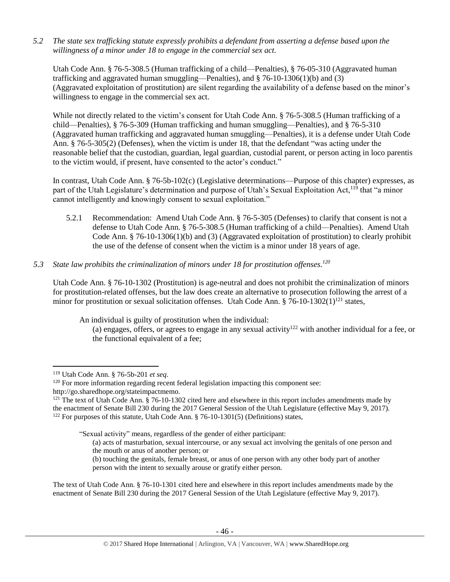*5.2 The state sex trafficking statute expressly prohibits a defendant from asserting a defense based upon the willingness of a minor under 18 to engage in the commercial sex act.* 

Utah Code Ann. § 76-5-308.5 (Human trafficking of a child—Penalties), § 76-05-310 (Aggravated human trafficking and aggravated human smuggling—Penalties), and  $\S$  76-10-1306(1)(b) and (3) (Aggravated exploitation of prostitution) are silent regarding the availability of a defense based on the minor's willingness to engage in the commercial sex act.

While not directly related to the victim's consent for Utah Code Ann. § 76-5-308.5 (Human trafficking of a child—Penalties), § 76-5-309 (Human trafficking and human smuggling—Penalties), and § 76-5-310 (Aggravated human trafficking and aggravated human smuggling—Penalties), it is a defense under Utah Code Ann. § 76-5-305(2) (Defenses), when the victim is under 18, that the defendant "was acting under the reasonable belief that the custodian, guardian, legal guardian, custodial parent, or person acting in loco parentis to the victim would, if present, have consented to the actor's conduct."

In contrast, Utah Code Ann. § 76-5b-102(c) (Legislative determinations—Purpose of this chapter) expresses, as part of the Utah Legislature's determination and purpose of Utah's Sexual Exploitation Act,<sup>119</sup> that "a minor cannot intelligently and knowingly consent to sexual exploitation."

- 5.2.1 Recommendation: Amend Utah Code Ann. § 76-5-305 (Defenses) to clarify that consent is not a defense to Utah Code Ann. § 76-5-308.5 (Human trafficking of a child—Penalties). Amend Utah Code Ann. § 76-10-1306(1)(b) and (3) (Aggravated exploitation of prostitution) to clearly prohibit the use of the defense of consent when the victim is a minor under 18 years of age.
- *5.3 State law prohibits the criminalization of minors under 18 for prostitution offenses. 120*

Utah Code Ann. § 76-10-1302 (Prostitution) is age-neutral and does not prohibit the criminalization of minors for prostitution-related offenses, but the law does create an alternative to prosecution following the arrest of a minor for prostitution or sexual solicitation offenses. Utah Code Ann.  $\S$  76-10-1302(1)<sup>121</sup> states,

An individual is guilty of prostitution when the individual:

(a) engages, offers, or agrees to engage in any sexual activity<sup>122</sup> with another individual for a fee, or the functional equivalent of a fee;

 $\overline{\phantom{a}}$ 

- (a) acts of masturbation, sexual intercourse, or any sexual act involving the genitals of one person and the mouth or anus of another person; or
- (b) touching the genitals, female breast, or anus of one person with any other body part of another person with the intent to sexually arouse or gratify either person.

The text of Utah Code Ann. § 76-10-1301 cited here and elsewhere in this report includes amendments made by the enactment of Senate Bill 230 during the 2017 General Session of the Utah Legislature (effective May 9, 2017).

<sup>119</sup> Utah Code Ann. § 76-5b-201 *et seq*.

<sup>&</sup>lt;sup>120</sup> For more information regarding recent federal legislation impacting this component see:

http://go.sharedhope.org/stateimpactmemo.

 $121$  The text of Utah Code Ann. § 76-10-1302 cited here and elsewhere in this report includes amendments made by the enactment of Senate Bill 230 during the 2017 General Session of the Utah Legislature (effective May 9, 2017). <sup>122</sup> For purposes of this statute, Utah Code Ann. § 76-10-1301(5) (Definitions) states,

<sup>&</sup>quot;Sexual activity" means, regardless of the gender of either participant: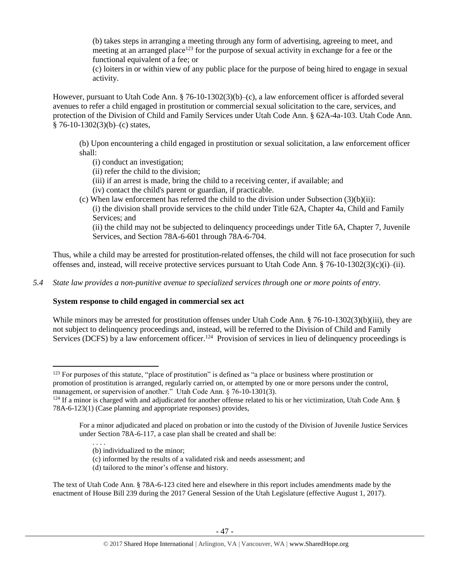(b) takes steps in arranging a meeting through any form of advertising, agreeing to meet, and meeting at an arranged place<sup>123</sup> for the purpose of sexual activity in exchange for a fee or the functional equivalent of a fee; or

(c) loiters in or within view of any public place for the purpose of being hired to engage in sexual activity.

However, pursuant to Utah Code Ann. § 76-10-1302(3)(b)–(c), a law enforcement officer is afforded several avenues to refer a child engaged in prostitution or commercial sexual solicitation to the care, services, and protection of the Division of Child and Family Services under Utah Code Ann. § 62A-4a-103. Utah Code Ann.  $§ 76-10-1302(3)(b)-(c) states,$ 

(b) Upon encountering a child engaged in prostitution or sexual solicitation, a law enforcement officer shall:

- (i) conduct an investigation;
- (ii) refer the child to the division;
- (iii) if an arrest is made, bring the child to a receiving center, if available; and
- (iv) contact the child's parent or guardian, if practicable.
- (c) When law enforcement has referred the child to the division under Subsection  $(3)(b)(ii)$ : (i) the division shall provide services to the child under Title 62A, Chapter 4a, Child and Family Services; and

(ii) the child may not be subjected to delinquency proceedings under Title 6A, Chapter 7, Juvenile Services, and Section 78A-6-601 through 78A-6-704.

Thus, while a child may be arrested for prostitution-related offenses, the child will not face prosecution for such offenses and, instead, will receive protective services pursuant to Utah Code Ann. § 76-10-1302(3)(c)(i)–(ii).

*5.4 State law provides a non-punitive avenue to specialized services through one or more points of entry.*

# **System response to child engaged in commercial sex act**

While minors may be arrested for prostitution offenses under Utah Code Ann. § 76-10-1302(3)(b)(iii), they are not subject to delinquency proceedings and, instead, will be referred to the Division of Child and Family Services (DCFS) by a law enforcement officer.<sup>124</sup> Provision of services in lieu of delinquency proceedings is

 $123$  For purposes of this statute, "place of prostitution" is defined as "a place or business where prostitution or promotion of prostitution is arranged, regularly carried on, or attempted by one or more persons under the control, management, or supervision of another." Utah Code Ann. § 76-10-1301(3).

 $124$  If a minor is charged with and adjudicated for another offense related to his or her victimization, Utah Code Ann. § 78A-6-123(1) (Case planning and appropriate responses) provides,

For a minor adjudicated and placed on probation or into the custody of the Division of Juvenile Justice Services under Section 78A-6-117, a case plan shall be created and shall be:

<sup>. . . .</sup> (b) individualized to the minor;

<sup>(</sup>c) informed by the results of a validated risk and needs assessment; and

<sup>(</sup>d) tailored to the minor's offense and history.

The text of Utah Code Ann. § 78A-6-123 cited here and elsewhere in this report includes amendments made by the enactment of House Bill 239 during the 2017 General Session of the Utah Legislature (effective August 1, 2017).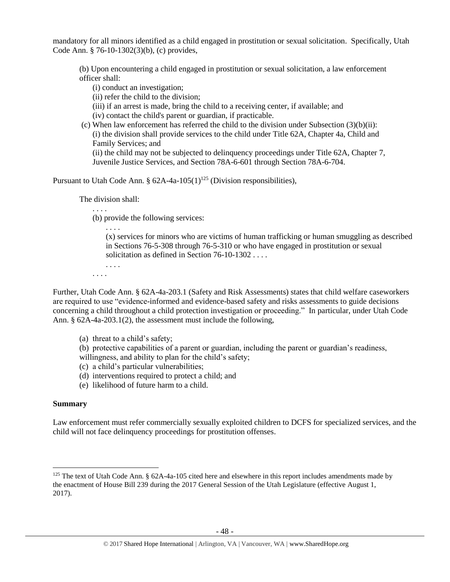mandatory for all minors identified as a child engaged in prostitution or sexual solicitation. Specifically, Utah Code Ann. § 76-10-1302(3)(b), (c) provides,

(b) Upon encountering a child engaged in prostitution or sexual solicitation, a law enforcement officer shall:

(i) conduct an investigation;

(ii) refer the child to the division;

(iii) if an arrest is made, bring the child to a receiving center, if available; and

(iv) contact the child's parent or guardian, if practicable.

(c) When law enforcement has referred the child to the division under Subsection  $(3)(b)(ii)$ : (i) the division shall provide services to the child under Title 62A, Chapter 4a, Child and Family Services; and

(ii) the child may not be subjected to delinquency proceedings under Title 62A, Chapter 7, Juvenile Justice Services, and Section 78A-6-601 through Section 78A-6-704.

Pursuant to Utah Code Ann. §  $62A-4a-105(1)^{125}$  (Division responsibilities),

The division shall:

<span id="page-47-0"></span>. . . .

. . . .

. . . . (b) provide the following services:

> (x) services for minors who are victims of human trafficking or human smuggling as described in Sections 76-5-308 through 76-5-310 or who have engaged in prostitution or sexual solicitation as defined in Section 76-10-1302 . . . .

. . . .

Further, Utah Code Ann. § 62A-4a-203.1 (Safety and Risk Assessments) states that child welfare caseworkers are required to use "evidence-informed and evidence-based safety and risks assessments to guide decisions concerning a child throughout a child protection investigation or proceeding." In particular, under Utah Code Ann. § 62A-4a-203.1(2), the assessment must include the following,

(a) threat to a child's safety;

(b) protective capabilities of a parent or guardian, including the parent or guardian's readiness, willingness, and ability to plan for the child's safety;

- (c) a child's particular vulnerabilities;
- (d) interventions required to protect a child; and
- (e) likelihood of future harm to a child.

# **Summary**

 $\overline{\phantom{a}}$ 

Law enforcement must refer commercially sexually exploited children to DCFS for specialized services, and the child will not face delinquency proceedings for prostitution offenses.

<sup>&</sup>lt;sup>125</sup> The text of Utah Code Ann. § 62A-4a-105 cited here and elsewhere in this report includes amendments made by the enactment of House Bill 239 during the 2017 General Session of the Utah Legislature (effective August 1, 2017).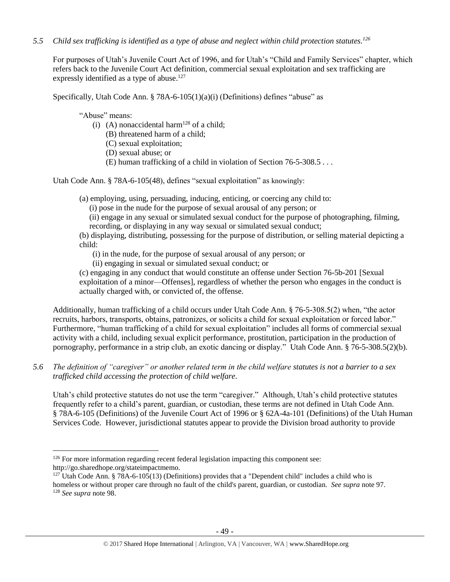*5.5 Child sex trafficking is identified as a type of abuse and neglect within child protection statutes. 126*

For purposes of Utah's Juvenile Court Act of 1996, and for Utah's "Child and Family Services" chapter, which refers back to the Juvenile Court Act definition, commercial sexual exploitation and sex trafficking are expressly identified as a type of abuse.<sup>127</sup>

Specifically, Utah Code Ann. § 78A-6-105(1)(a)(i) (Definitions) defines "abuse" as

"Abuse" means:

 $\overline{\phantom{a}}$ 

- (i) (A) nonaccidental harm<sup>128</sup> of a child;
	- (B) threatened harm of a child;
	- (C) sexual exploitation;
	- (D) sexual abuse; or
	- (E) human trafficking of a child in violation of Section 76-5-308.5 . . .

Utah Code Ann. § 78A-6-105(48), defines "sexual exploitation" as knowingly:

(a) employing, using, persuading, inducing, enticing, or coercing any child to:

(i) pose in the nude for the purpose of sexual arousal of any person; or

(ii) engage in any sexual or simulated sexual conduct for the purpose of photographing, filming, recording, or displaying in any way sexual or simulated sexual conduct;

(b) displaying, distributing, possessing for the purpose of distribution, or selling material depicting a child:

(i) in the nude, for the purpose of sexual arousal of any person; or

(ii) engaging in sexual or simulated sexual conduct; or

(c) engaging in any conduct that would constitute an offense under Section 76-5b-201 [Sexual exploitation of a minor—Offenses], regardless of whether the person who engages in the conduct is actually charged with, or convicted of, the offense.

Additionally, human trafficking of a child occurs under Utah Code Ann. § 76-5-308.5(2) when, "the actor recruits, harbors, transports, obtains, patronizes, or solicits a child for sexual exploitation or forced labor." Furthermore, "human trafficking of a child for sexual exploitation" includes all forms of commercial sexual activity with a child, including sexual explicit performance, prostitution, participation in the production of pornography, performance in a strip club, an exotic dancing or display." Utah Code Ann. § 76-5-308.5(2)(b).

# *5.6 The definition of "caregiver" or another related term in the child welfare statutes is not a barrier to a sex trafficked child accessing the protection of child welfare.*

Utah's child protective statutes do not use the term "caregiver." Although, Utah's child protective statutes frequently refer to a child's parent, guardian, or custodian, these terms are not defined in Utah Code Ann. § 78A-6-105 (Definitions) of the Juvenile Court Act of 1996 or § 62A-4a-101 (Definitions) of the Utah Human Services Code. However, jurisdictional statutes appear to provide the Division broad authority to provide

<sup>&</sup>lt;sup>126</sup> For more information regarding recent federal legislation impacting this component see: http://go.sharedhope.org/stateimpactmemo.

<sup>&</sup>lt;sup>127</sup> Utah Code Ann. § 78A-6-105(13) (Definitions) provides that a "Dependent child" includes a child who is homeless or without proper care through no fault of the child's parent, guardian, or custodian. *See supra* note [97.](#page-37-0) <sup>128</sup> *See supra* not[e 98.](#page-37-1)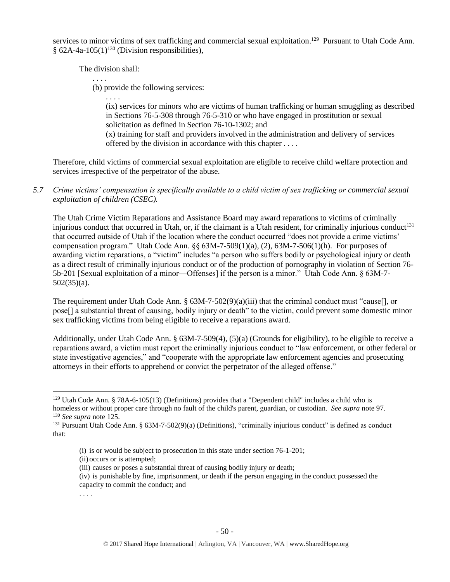services to minor victims of sex trafficking and commercial sexual exploitation.<sup>129</sup> Pursuant to Utah Code Ann. § 62A-4a-105(1)<sup>130</sup> (Division responsibilities),

The division shall:

. . . .

(b) provide the following services:

. . . .

(ix) services for minors who are victims of human trafficking or human smuggling as described in Sections 76-5-308 through 76-5-310 or who have engaged in prostitution or sexual solicitation as defined in Section 76-10-1302; and

(x) training for staff and providers involved in the administration and delivery of services offered by the division in accordance with this chapter . . . .

Therefore, child victims of commercial sexual exploitation are eligible to receive child welfare protection and services irrespective of the perpetrator of the abuse.

*5.7 Crime victims' compensation is specifically available to a child victim of sex trafficking or commercial sexual exploitation of children (CSEC).*

The Utah Crime Victim Reparations and Assistance Board may award reparations to victims of criminally injurious conduct that occurred in Utah, or, if the claimant is a Utah resident, for criminally injurious conduct<sup>131</sup> that occurred outside of Utah if the location where the conduct occurred "does not provide a crime victims' compensation program." Utah Code Ann.  $\S$ § 63M-7-509(1)(a), (2), 63M-7-506(1)(h). For purposes of awarding victim reparations, a "victim" includes "a person who suffers bodily or psychological injury or death as a direct result of criminally injurious conduct or of the production of pornography in violation of Section 76- 5b-201 [Sexual exploitation of a minor—Offenses] if the person is a minor." Utah Code Ann. § 63M-7- 502(35)(a).

The requirement under Utah Code Ann. § 63M-7-502(9)(a)(iii) that the criminal conduct must "cause[], or pose[] a substantial threat of causing, bodily injury or death" to the victim, could prevent some domestic minor sex trafficking victims from being eligible to receive a reparations award.

Additionally, under Utah Code Ann. § 63M-7-509(4), (5)(a) (Grounds for eligibility), to be eligible to receive a reparations award, a victim must report the criminally injurious conduct to "law enforcement, or other federal or state investigative agencies," and "cooperate with the appropriate law enforcement agencies and prosecuting attorneys in their efforts to apprehend or convict the perpetrator of the alleged offense."

. . . .

 $\overline{a}$ 

<sup>&</sup>lt;sup>129</sup> Utah Code Ann. § 78A-6-105(13) (Definitions) provides that a "Dependent child" includes a child who is homeless or without proper care through no fault of the child's parent, guardian, or custodian. *See supra* note [97.](#page-37-0) <sup>130</sup> *See supra* not[e 125.](#page-47-0)

<sup>&</sup>lt;sup>131</sup> Pursuant Utah Code Ann. § 63M-7-502(9)(a) (Definitions), "criminally injurious conduct" is defined as conduct that:

<sup>(</sup>i) is or would be subject to prosecution in this state under section 76-1-201;

<sup>(</sup>ii) occurs or is attempted;

<sup>(</sup>iii) causes or poses a substantial threat of causing bodily injury or death;

<sup>(</sup>iv) is punishable by fine, imprisonment, or death if the person engaging in the conduct possessed the capacity to commit the conduct; and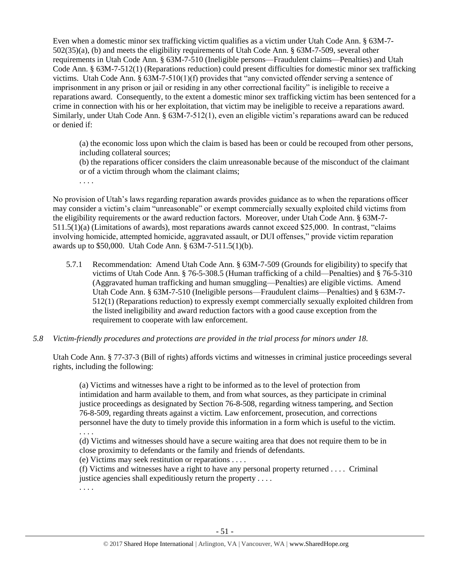Even when a domestic minor sex trafficking victim qualifies as a victim under Utah Code Ann. § 63M-7- 502(35)(a), (b) and meets the eligibility requirements of Utah Code Ann. § 63M-7-509, several other requirements in Utah Code Ann. § 63M-7-510 (Ineligible persons—Fraudulent claims—Penalties) and Utah Code Ann. § 63M-7-512(1) (Reparations reduction) could present difficulties for domestic minor sex trafficking victims. Utah Code Ann. § 63M-7-510(1)(f) provides that "any convicted offender serving a sentence of imprisonment in any prison or jail or residing in any other correctional facility" is ineligible to receive a reparations award. Consequently, to the extent a domestic minor sex trafficking victim has been sentenced for a crime in connection with his or her exploitation, that victim may be ineligible to receive a reparations award. Similarly, under Utah Code Ann. § 63M-7-512(1), even an eligible victim's reparations award can be reduced or denied if:

(a) the economic loss upon which the claim is based has been or could be recouped from other persons, including collateral sources;

(b) the reparations officer considers the claim unreasonable because of the misconduct of the claimant or of a victim through whom the claimant claims;

. . . .

No provision of Utah's laws regarding reparation awards provides guidance as to when the reparations officer may consider a victim's claim "unreasonable" or exempt commercially sexually exploited child victims from the eligibility requirements or the award reduction factors. Moreover, under Utah Code Ann. § 63M-7- 511.5(1)(a) (Limitations of awards), most reparations awards cannot exceed \$25,000. In contrast, "claims involving homicide, attempted homicide, aggravated assault, or DUI offenses," provide victim reparation awards up to \$50,000. Utah Code Ann. § 63M-7-511.5(1)(b).

- 5.7.1 Recommendation: Amend Utah Code Ann. § 63M-7-509 (Grounds for eligibility) to specify that victims of Utah Code Ann. § 76-5-308.5 (Human trafficking of a child—Penalties) and § 76-5-310 (Aggravated human trafficking and human smuggling—Penalties) are eligible victims. Amend Utah Code Ann. § 63M-7-510 (Ineligible persons—Fraudulent claims—Penalties) and § 63M-7- 512(1) (Reparations reduction) to expressly exempt commercially sexually exploited children from the listed ineligibility and award reduction factors with a good cause exception from the requirement to cooperate with law enforcement.
- *5.8 Victim-friendly procedures and protections are provided in the trial process for minors under 18.*

Utah Code Ann. § 77-37-3 (Bill of rights) affords victims and witnesses in criminal justice proceedings several rights, including the following:

(a) Victims and witnesses have a right to be informed as to the level of protection from intimidation and harm available to them, and from what sources, as they participate in criminal justice proceedings as designated by Section 76-8-508, regarding witness tampering, and Section 76-8-509, regarding threats against a victim. Law enforcement, prosecution, and corrections personnel have the duty to timely provide this information in a form which is useful to the victim. . . . .

(d) Victims and witnesses should have a secure waiting area that does not require them to be in close proximity to defendants or the family and friends of defendants.

(e) Victims may seek restitution or reparations . . . .

(f) Victims and witnesses have a right to have any personal property returned . . . . Criminal justice agencies shall expeditiously return the property . . . .

. . . .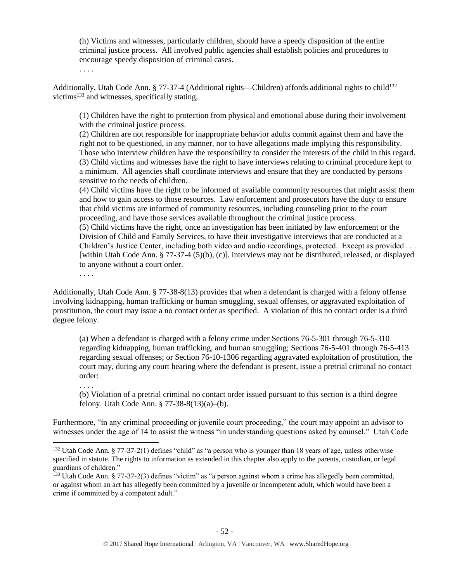(h) Victims and witnesses, particularly children, should have a speedy disposition of the entire criminal justice process. All involved public agencies shall establish policies and procedures to encourage speedy disposition of criminal cases.

. . . .

Additionally, Utah Code Ann. § 77-37-4 (Additional rights—Children) affords additional rights to child<sup>132</sup> victims<sup>133</sup> and witnesses, specifically stating,

(1) Children have the right to protection from physical and emotional abuse during their involvement with the criminal justice process.

(2) Children are not responsible for inappropriate behavior adults commit against them and have the right not to be questioned, in any manner, nor to have allegations made implying this responsibility. Those who interview children have the responsibility to consider the interests of the child in this regard. (3) Child victims and witnesses have the right to have interviews relating to criminal procedure kept to a minimum. All agencies shall coordinate interviews and ensure that they are conducted by persons sensitive to the needs of children.

(4) Child victims have the right to be informed of available community resources that might assist them and how to gain access to those resources. Law enforcement and prosecutors have the duty to ensure that child victims are informed of community resources, including counseling prior to the court proceeding, and have those services available throughout the criminal justice process.

(5) Child victims have the right, once an investigation has been initiated by law enforcement or the Division of Child and Family Services, to have their investigative interviews that are conducted at a Children's Justice Center, including both video and audio recordings, protected. Except as provided . . . [within Utah Code Ann. § 77-37-4 (5)(b), (c)], interviews may not be distributed, released, or displayed to anyone without a court order.

. . . .

 $\overline{a}$ 

Additionally, Utah Code Ann. § 77-38-8(13) provides that when a defendant is charged with a felony offense involving kidnapping, human trafficking or human smuggling, sexual offenses, or aggravated exploitation of prostitution, the court may issue a no contact order as specified. A violation of this no contact order is a third degree felony.

(a) When a defendant is charged with a felony crime under Sections 76-5-301 through 76-5-310 regarding kidnapping, human trafficking, and human smuggling; Sections 76-5-401 through 76-5-413 regarding sexual offenses; or Section 76-10-1306 regarding aggravated exploitation of prostitution, the court may, during any court hearing where the defendant is present, issue a pretrial criminal no contact order:

. . . . (b) Violation of a pretrial criminal no contact order issued pursuant to this section is a third degree felony. Utah Code Ann. § 77-38-8(13)(a)–(b).

Furthermore, "in any criminal proceeding or juvenile court proceeding," the court may appoint an advisor to witnesses under the age of 14 to assist the witness "in understanding questions asked by counsel." Utah Code

<sup>&</sup>lt;sup>132</sup> Utah Code Ann. § 77-37-2(1) defines "child" as "a person who is younger than 18 years of age, unless otherwise specified in statute. The rights to information as extended in this chapter also apply to the parents, custodian, or legal guardians of children."

<sup>&</sup>lt;sup>133</sup> Utah Code Ann. § 77-37-2(3) defines "victim" as "a person against whom a crime has allegedly been committed, or against whom an act has allegedly been committed by a juvenile or incompetent adult, which would have been a crime if committed by a competent adult."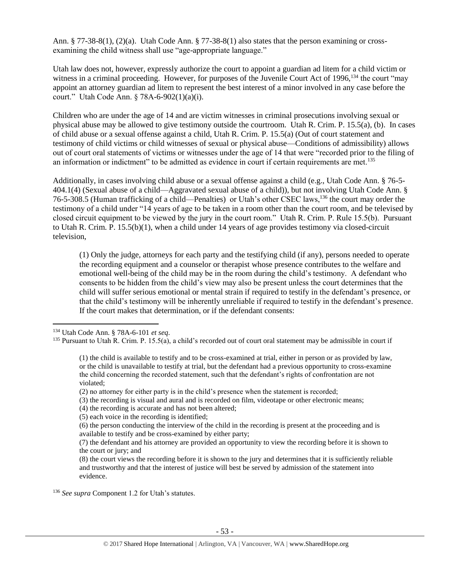Ann. § 77-38-8(1), (2)(a). Utah Code Ann. § 77-38-8(1) also states that the person examining or crossexamining the child witness shall use "age-appropriate language."

Utah law does not, however, expressly authorize the court to appoint a guardian ad litem for a child victim or witness in a criminal proceeding. However, for purposes of the Juvenile Court Act of 1996,<sup>134</sup> the court "may appoint an attorney guardian ad litem to represent the best interest of a minor involved in any case before the court." Utah Code Ann. § 78A-6-902(1)(a)(i).

Children who are under the age of 14 and are victim witnesses in criminal prosecutions involving sexual or physical abuse may be allowed to give testimony outside the courtroom. Utah R. Crim. P. 15.5(a), (b). In cases of child abuse or a sexual offense against a child, Utah R. Crim. P. 15.5(a) (Out of court statement and testimony of child victims or child witnesses of sexual or physical abuse—Conditions of admissibility) allows out of court oral statements of victims or witnesses under the age of 14 that were "recorded prior to the filing of an information or indictment" to be admitted as evidence in court if certain requirements are met.<sup>135</sup>

Additionally, in cases involving child abuse or a sexual offense against a child (e.g., Utah Code Ann. § 76-5- 404.1(4) (Sexual abuse of a child—Aggravated sexual abuse of a child)), but not involving Utah Code Ann. § 76-5-308.5 (Human trafficking of a child—Penalties) or Utah's other CSEC laws,<sup>136</sup> the court may order the testimony of a child under "14 years of age to be taken in a room other than the court room, and be televised by closed circuit equipment to be viewed by the jury in the court room." Utah R. Crim. P. Rule 15.5(b). Pursuant to Utah R. Crim. P. 15.5(b)(1), when a child under 14 years of age provides testimony via closed-circuit television,

(1) Only the judge, attorneys for each party and the testifying child (if any), persons needed to operate the recording equipment and a counselor or therapist whose presence contributes to the welfare and emotional well-being of the child may be in the room during the child's testimony. A defendant who consents to be hidden from the child's view may also be present unless the court determines that the child will suffer serious emotional or mental strain if required to testify in the defendant's presence, or that the child's testimony will be inherently unreliable if required to testify in the defendant's presence. If the court makes that determination, or if the defendant consents:

 $\overline{\phantom{a}}$ 

<sup>136</sup> *See supra* Component 1.2 for Utah's statutes.

<sup>134</sup> Utah Code Ann. § 78A-6-101 *et seq*.

 $135$  Pursuant to Utah R. Crim. P. 15.5(a), a child's recorded out of court oral statement may be admissible in court if

<sup>(1)</sup> the child is available to testify and to be cross-examined at trial, either in person or as provided by law, or the child is unavailable to testify at trial, but the defendant had a previous opportunity to cross-examine the child concerning the recorded statement, such that the defendant's rights of confrontation are not violated;

<sup>(2)</sup> no attorney for either party is in the child's presence when the statement is recorded;

<sup>(3)</sup> the recording is visual and aural and is recorded on film, videotape or other electronic means;

<sup>(4)</sup> the recording is accurate and has not been altered;

<sup>(5)</sup> each voice in the recording is identified;

<sup>(6)</sup> the person conducting the interview of the child in the recording is present at the proceeding and is available to testify and be cross-examined by either party;

<sup>(7)</sup> the defendant and his attorney are provided an opportunity to view the recording before it is shown to the court or jury; and

<sup>(8)</sup> the court views the recording before it is shown to the jury and determines that it is sufficiently reliable and trustworthy and that the interest of justice will best be served by admission of the statement into evidence.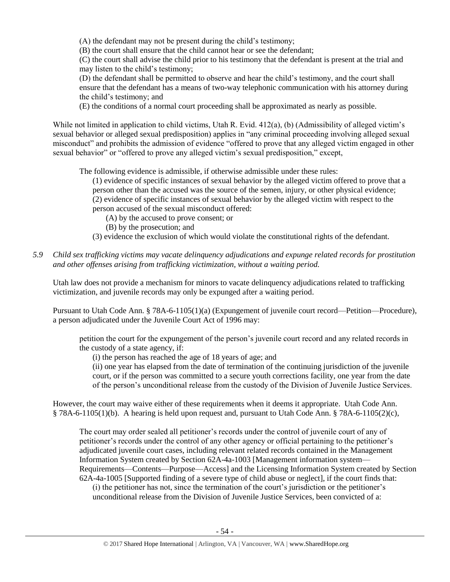(A) the defendant may not be present during the child's testimony;

(B) the court shall ensure that the child cannot hear or see the defendant;

(C) the court shall advise the child prior to his testimony that the defendant is present at the trial and may listen to the child's testimony;

(D) the defendant shall be permitted to observe and hear the child's testimony, and the court shall ensure that the defendant has a means of two-way telephonic communication with his attorney during the child's testimony; and

(E) the conditions of a normal court proceeding shall be approximated as nearly as possible.

While not limited in application to child victims, Utah R. Evid. 412(a), (b) (Admissibility of alleged victim's sexual behavior or alleged sexual predisposition) applies in "any criminal proceeding involving alleged sexual misconduct" and prohibits the admission of evidence "offered to prove that any alleged victim engaged in other sexual behavior" or "offered to prove any alleged victim's sexual predisposition," except,

The following evidence is admissible, if otherwise admissible under these rules:

(1) evidence of specific instances of sexual behavior by the alleged victim offered to prove that a person other than the accused was the source of the semen, injury, or other physical evidence; (2) evidence of specific instances of sexual behavior by the alleged victim with respect to the person accused of the sexual misconduct offered:

- (A) by the accused to prove consent; or
- (B) by the prosecution; and
- (3) evidence the exclusion of which would violate the constitutional rights of the defendant.

# *5.9 Child sex trafficking victims may vacate delinquency adjudications and expunge related records for prostitution and other offenses arising from trafficking victimization, without a waiting period.*

Utah law does not provide a mechanism for minors to vacate delinquency adjudications related to trafficking victimization, and juvenile records may only be expunged after a waiting period.

Pursuant to Utah Code Ann. § 78A-6-1105(1)(a) (Expungement of juvenile court record—Petition—Procedure), a person adjudicated under the Juvenile Court Act of 1996 may:

petition the court for the expungement of the person's juvenile court record and any related records in the custody of a state agency, if:

(i) the person has reached the age of 18 years of age; and

(ii) one year has elapsed from the date of termination of the continuing jurisdiction of the juvenile court, or if the person was committed to a secure youth corrections facility, one year from the date of the person's unconditional release from the custody of the Division of Juvenile Justice Services.

However, the court may waive either of these requirements when it deems it appropriate. Utah Code Ann. § 78A-6-1105(1)(b). A hearing is held upon request and, pursuant to Utah Code Ann. § 78A-6-1105(2)(c),

The court may order sealed all petitioner's records under the control of juvenile court of any of petitioner's records under the control of any other agency or official pertaining to the petitioner's adjudicated juvenile court cases, including relevant related records contained in the Management Information System created by Section 62A-4a-1003 [Management information system— Requirements—Contents—Purpose—Access] and the Licensing Information System created by Section 62A-4a-1005 [Supported finding of a severe type of child abuse or neglect], if the court finds that: (i) the petitioner has not, since the termination of the court's jurisdiction or the petitioner's unconditional release from the Division of Juvenile Justice Services, been convicted of a: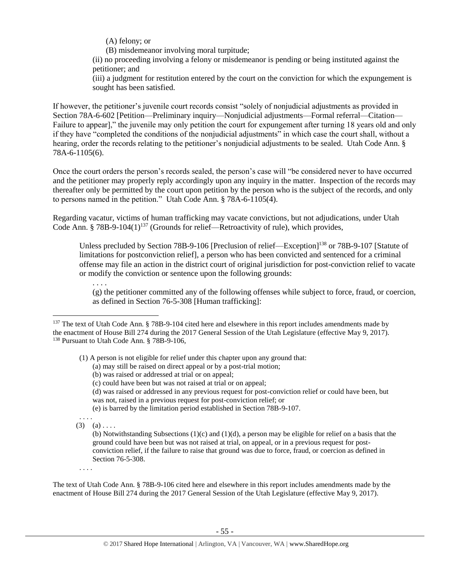(A) felony; or

(B) misdemeanor involving moral turpitude;

(ii) no proceeding involving a felony or misdemeanor is pending or being instituted against the petitioner; and

(iii) a judgment for restitution entered by the court on the conviction for which the expungement is sought has been satisfied.

If however, the petitioner's juvenile court records consist "solely of nonjudicial adjustments as provided in Section 78A-6-602 [Petition—Preliminary inquiry—Nonjudicial adjustments—Formal referral—Citation— Failure to appear]," the juvenile may only petition the court for expungement after turning 18 years old and only if they have "completed the conditions of the nonjudicial adjustments" in which case the court shall, without a hearing, order the records relating to the petitioner's nonjudicial adjustments to be sealed. Utah Code Ann. § 78A-6-1105(6).

Once the court orders the person's records sealed, the person's case will "be considered never to have occurred and the petitioner may properly reply accordingly upon any inquiry in the matter. Inspection of the records may thereafter only be permitted by the court upon petition by the person who is the subject of the records, and only to persons named in the petition." Utah Code Ann. § 78A-6-1105(4).

Regarding vacatur, victims of human trafficking may vacate convictions, but not adjudications, under Utah Code Ann. § 78B-9-104 $(1)^{137}$  (Grounds for relief—Retroactivity of rule), which provides,

Unless precluded by Section 78B-9-106 [Preclusion of relief—Exception]<sup>138</sup> or 78B-9-107 [Statute of limitations for postconviction relief], a person who has been convicted and sentenced for a criminal offense may file an action in the district court of original jurisdiction for post-conviction relief to vacate or modify the conviction or sentence upon the following grounds:

(g) the petitioner committed any of the following offenses while subject to force, fraud, or coercion, as defined in Section 76-5-308 [Human trafficking]:

(1) A person is not eligible for relief under this chapter upon any ground that:

- (a) may still be raised on direct appeal or by a post-trial motion;
- (b) was raised or addressed at trial or on appeal;
- (c) could have been but was not raised at trial or on appeal;
- (d) was raised or addressed in any previous request for post-conviction relief or could have been, but was not, raised in a previous request for post-conviction relief; or
- (e) is barred by the limitation period established in Section 78B-9-107.
- $(3)$   $(a)$  . . . .

. . . .

. . . .

 $\overline{\phantom{a}}$ 

(b) Notwithstanding Subsections (1)(c) and (1)(d), a person may be eligible for relief on a basis that the ground could have been but was not raised at trial, on appeal, or in a previous request for postconviction relief, if the failure to raise that ground was due to force, fraud, or coercion as defined in Section 76-5-308.

. . . .

The text of Utah Code Ann. § 78B-9-106 cited here and elsewhere in this report includes amendments made by the enactment of House Bill 274 during the 2017 General Session of the Utah Legislature (effective May 9, 2017).

<sup>&</sup>lt;sup>137</sup> The text of Utah Code Ann. § 78B-9-104 cited here and elsewhere in this report includes amendments made by the enactment of House Bill 274 during the 2017 General Session of the Utah Legislature (effective May 9, 2017). <sup>138</sup> Pursuant to Utah Code Ann. § 78B-9-106,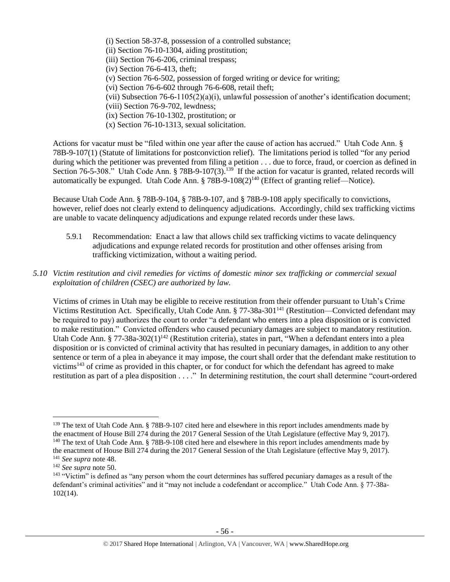(i) Section 58-37-8, possession of a controlled substance;

- (ii) Section 76-10-1304, aiding prostitution;
- (iii) Section 76-6-206, criminal trespass;
- (iv) Section 76-6-413, theft;
- (v) Section 76-6-502, possession of forged writing or device for writing;
- (vi) Section 76-6-602 through 76-6-608, retail theft;
- (vii) Subsection 76-6-1105(2)(a)(i), unlawful possession of another's identification document;
- (viii) Section 76-9-702, lewdness;
- (ix) Section 76-10-1302, prostitution; or
- (x) Section 76-10-1313, sexual solicitation.

Actions for vacatur must be "filed within one year after the cause of action has accrued." Utah Code Ann. § 78B-9-107(1) (Statute of limitations for postconviction relief). The limitations period is tolled "for any period during which the petitioner was prevented from filing a petition . . . due to force, fraud, or coercion as defined in Section 76-5-308." Utah Code Ann. § 78B-9-107(3).<sup>139</sup> If the action for vacatur is granted, related records will automatically be expunged. Utah Code Ann. §  $78B-9-108(2)^{140}$  (Effect of granting relief—Notice).

Because Utah Code Ann. § 78B-9-104, § 78B-9-107, and § 78B-9-108 apply specifically to convictions, however, relief does not clearly extend to delinquency adjudications. Accordingly, child sex trafficking victims are unable to vacate delinquency adjudications and expunge related records under these laws.

- 5.9.1 Recommendation: Enact a law that allows child sex trafficking victims to vacate delinquency adjudications and expunge related records for prostitution and other offenses arising from trafficking victimization, without a waiting period.
- *5.10 Victim restitution and civil remedies for victims of domestic minor sex trafficking or commercial sexual exploitation of children (CSEC) are authorized by law.*

Victims of crimes in Utah may be eligible to receive restitution from their offender pursuant to Utah's Crime Victims Restitution Act. Specifically, Utah Code Ann. § 77-38a-301<sup>141</sup> (Restitution—Convicted defendant may be required to pay) authorizes the court to order "a defendant who enters into a plea disposition or is convicted to make restitution." Convicted offenders who caused pecuniary damages are subject to mandatory restitution. Utah Code Ann. § 77-38a-302(1)<sup>142</sup> (Restitution criteria), states in part, "When a defendant enters into a plea disposition or is convicted of criminal activity that has resulted in pecuniary damages, in addition to any other sentence or term of a plea in abeyance it may impose, the court shall order that the defendant make restitution to victims<sup>143</sup> of crime as provided in this chapter, or for conduct for which the defendant has agreed to make restitution as part of a plea disposition . . . ." In determining restitution, the court shall determine "court-ordered

<sup>&</sup>lt;sup>139</sup> The text of Utah Code Ann. § 78B-9-107 cited here and elsewhere in this report includes amendments made by the enactment of House Bill 274 during the 2017 General Session of the Utah Legislature (effective May 9, 2017). <sup>140</sup> The text of Utah Code Ann. § 78B-9-108 cited here and elsewhere in this report includes amendments made by the enactment of House Bill 274 during the 2017 General Session of the Utah Legislature (effective May 9, 2017).

<sup>141</sup> *See supra* not[e 48.](#page-21-0)

<sup>142</sup> *See supra* not[e 50.](#page-21-1)

<sup>&</sup>lt;sup>143</sup> "Victim" is defined as "any person whom the court determines has suffered pecuniary damages as a result of the defendant's criminal activities" and it "may not include a codefendant or accomplice." Utah Code Ann. § 77-38a-102(14).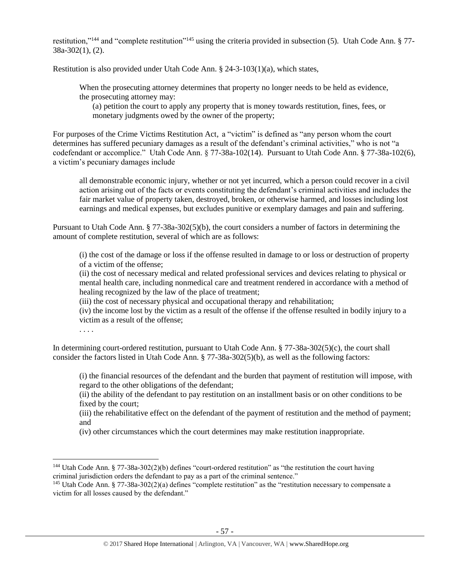restitution,"<sup>144</sup> and "complete restitution"<sup>145</sup> using the criteria provided in subsection (5). Utah Code Ann. § 77-38a-302(1), (2).

Restitution is also provided under Utah Code Ann. § 24-3-103(1)(a), which states,

When the prosecuting attorney determines that property no longer needs to be held as evidence, the prosecuting attorney may:

(a) petition the court to apply any property that is money towards restitution, fines, fees, or monetary judgments owed by the owner of the property;

For purposes of the Crime Victims Restitution Act, a "victim" is defined as "any person whom the court determines has suffered pecuniary damages as a result of the defendant's criminal activities," who is not "a codefendant or accomplice." Utah Code Ann. § 77-38a-102(14). Pursuant to Utah Code Ann. § 77-38a-102(6), a victim's pecuniary damages include

all demonstrable economic injury, whether or not yet incurred, which a person could recover in a civil action arising out of the facts or events constituting the defendant's criminal activities and includes the fair market value of property taken, destroyed, broken, or otherwise harmed, and losses including lost earnings and medical expenses, but excludes punitive or exemplary damages and pain and suffering.

Pursuant to Utah Code Ann. § 77-38a-302(5)(b), the court considers a number of factors in determining the amount of complete restitution, several of which are as follows:

(i) the cost of the damage or loss if the offense resulted in damage to or loss or destruction of property of a victim of the offense;

(ii) the cost of necessary medical and related professional services and devices relating to physical or mental health care, including nonmedical care and treatment rendered in accordance with a method of healing recognized by the law of the place of treatment;

(iii) the cost of necessary physical and occupational therapy and rehabilitation;

(iv) the income lost by the victim as a result of the offense if the offense resulted in bodily injury to a victim as a result of the offense;

. . . .

l

In determining court-ordered restitution, pursuant to Utah Code Ann. § 77-38a-302(5)(c), the court shall consider the factors listed in Utah Code Ann. § 77-38a-302(5)(b), as well as the following factors:

(i) the financial resources of the defendant and the burden that payment of restitution will impose, with regard to the other obligations of the defendant;

(ii) the ability of the defendant to pay restitution on an installment basis or on other conditions to be fixed by the court;

(iii) the rehabilitative effect on the defendant of the payment of restitution and the method of payment; and

(iv) other circumstances which the court determines may make restitution inappropriate.

<sup>144</sup> Utah Code Ann. § 77-38a-302(2)(b) defines "court-ordered restitution" as "the restitution the court having criminal jurisdiction orders the defendant to pay as a part of the criminal sentence."

<sup>145</sup> Utah Code Ann. § 77-38a-302(2)(a) defines "complete restitution" as the "restitution necessary to compensate a victim for all losses caused by the defendant."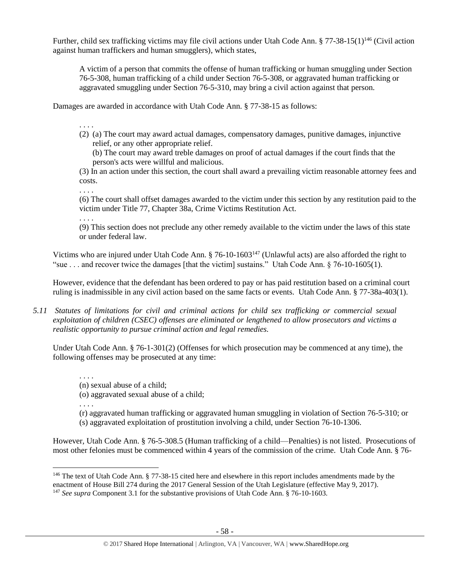Further, child sex trafficking victims may file civil actions under Utah Code Ann. § 77-38-15(1)<sup>146</sup> (Civil action against human traffickers and human smugglers), which states,

<span id="page-57-0"></span>A victim of a person that commits the offense of human trafficking or human smuggling under Section 76-5-308, human trafficking of a child under Section 76-5-308, or aggravated human trafficking or aggravated smuggling under Section 76-5-310, may bring a civil action against that person.

Damages are awarded in accordance with Utah Code Ann. § 77-38-15 as follows:

- . . . .
- (2) (a) The court may award actual damages, compensatory damages, punitive damages, injunctive relief, or any other appropriate relief.

(b) The court may award treble damages on proof of actual damages if the court finds that the person's acts were willful and malicious.

(3) In an action under this section, the court shall award a prevailing victim reasonable attorney fees and costs.

(6) The court shall offset damages awarded to the victim under this section by any restitution paid to the victim under Title 77, Chapter 38a, Crime Victims Restitution Act.

. . . .

. . . .

. . . .

(9) This section does not preclude any other remedy available to the victim under the laws of this state or under federal law.

Victims who are injured under Utah Code Ann. § 76-10-1603<sup>147</sup> (Unlawful acts) are also afforded the right to "sue . . . and recover twice the damages [that the victim] sustains." Utah Code Ann. § 76-10-1605(1).

However, evidence that the defendant has been ordered to pay or has paid restitution based on a criminal court ruling is inadmissible in any civil action based on the same facts or events. Utah Code Ann. § 77-38a-403(1).

*5.11 Statutes of limitations for civil and criminal actions for child sex trafficking or commercial sexual exploitation of children (CSEC) offenses are eliminated or lengthened to allow prosecutors and victims a realistic opportunity to pursue criminal action and legal remedies.*

Under Utah Code Ann. § 76-1-301(2) (Offenses for which prosecution may be commenced at any time), the following offenses may be prosecuted at any time:

(n) sexual abuse of a child;

(o) aggravated sexual abuse of a child;

. . . . (r) aggravated human trafficking or aggravated human smuggling in violation of Section 76-5-310; or

(s) aggravated exploitation of prostitution involving a child, under Section 76-10-1306.

However, Utah Code Ann. § 76-5-308.5 (Human trafficking of a child—Penalties) is not listed. Prosecutions of most other felonies must be commenced within 4 years of the commission of the crime. Utah Code Ann. § 76-

 $\overline{\phantom{a}}$ <sup>146</sup> The text of Utah Code Ann. § 77-38-15 cited here and elsewhere in this report includes amendments made by the enactment of House Bill 274 during the 2017 General Session of the Utah Legislature (effective May 9, 2017).

<sup>147</sup> *See supra* Component 3.1 for the substantive provisions of Utah Code Ann. § 76-10-1603.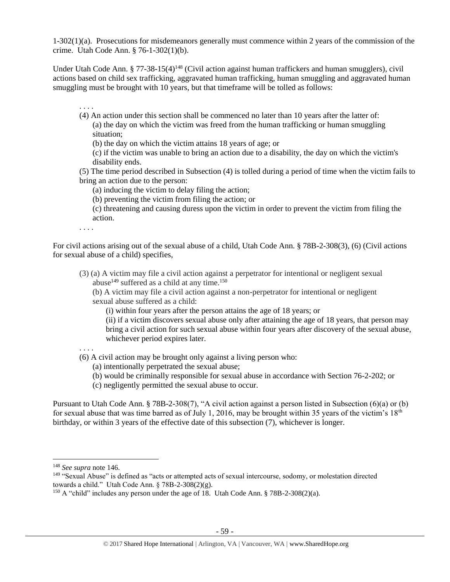1-302(1)(a). Prosecutions for misdemeanors generally must commence within 2 years of the commission of the crime. Utah Code Ann. § 76-1-302(1)(b).

Under Utah Code Ann. § 77-38-15(4)<sup>148</sup> (Civil action against human traffickers and human smugglers), civil actions based on child sex trafficking, aggravated human trafficking, human smuggling and aggravated human smuggling must be brought with 10 years, but that timeframe will be tolled as follows:

- . . . . (4) An action under this section shall be commenced no later than 10 years after the latter of: (a) the day on which the victim was freed from the human trafficking or human smuggling situation;
	- (b) the day on which the victim attains 18 years of age; or

(c) if the victim was unable to bring an action due to a disability, the day on which the victim's disability ends.

(5) The time period described in Subsection (4) is tolled during a period of time when the victim fails to bring an action due to the person:

- (a) inducing the victim to delay filing the action;
- (b) preventing the victim from filing the action; or

(c) threatening and causing duress upon the victim in order to prevent the victim from filing the action.

. . . .

For civil actions arising out of the sexual abuse of a child, Utah Code Ann. § 78B-2-308(3), (6) (Civil actions for sexual abuse of a child) specifies,

- (3) (a) A victim may file a civil action against a perpetrator for intentional or negligent sexual abuse<sup>149</sup> suffered as a child at any time.<sup>150</sup>
	- (b) A victim may file a civil action against a non-perpetrator for intentional or negligent sexual abuse suffered as a child:
		- (i) within four years after the person attains the age of 18 years; or

(ii) if a victim discovers sexual abuse only after attaining the age of 18 years, that person may bring a civil action for such sexual abuse within four years after discovery of the sexual abuse, whichever period expires later.

. . . .

# (6) A civil action may be brought only against a living person who:

- (a) intentionally perpetrated the sexual abuse;
- (b) would be criminally responsible for sexual abuse in accordance with Section 76-2-202; or
- (c) negligently permitted the sexual abuse to occur.

Pursuant to Utah Code Ann. § 78B-2-308(7), "A civil action against a person listed in Subsection (6)(a) or (b) for sexual abuse that was time barred as of July 1, 2016, may be brought within 35 years of the victim's  $18<sup>th</sup>$ birthday, or within 3 years of the effective date of this subsection (7), whichever is longer.

l

<sup>148</sup> *See supra* not[e 146.](#page-57-0)

<sup>&</sup>lt;sup>149</sup> "Sexual Abuse" is defined as "acts or attempted acts of sexual intercourse, sodomy, or molestation directed towards a child." Utah Code Ann.  $\S 78B-2-308(2)(g)$ .

<sup>&</sup>lt;sup>150</sup> A "child" includes any person under the age of 18. Utah Code Ann.  $\S$  78B-2-308(2)(a).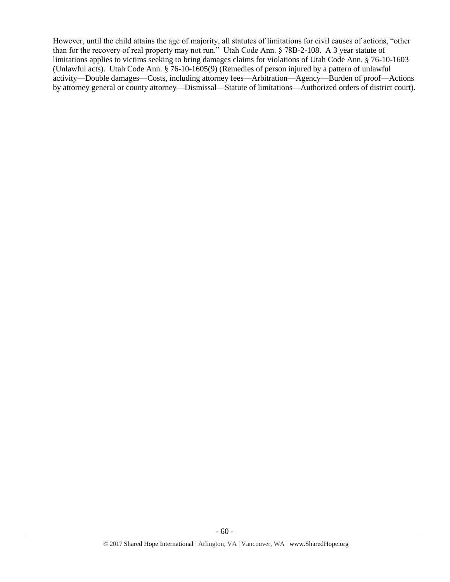However, until the child attains the age of majority, all statutes of limitations for civil causes of actions, "other than for the recovery of real property may not run." Utah Code Ann. § 78B-2-108. A 3 year statute of limitations applies to victims seeking to bring damages claims for violations of Utah Code Ann. § 76-10-1603 (Unlawful acts). Utah Code Ann. § 76-10-1605(9) (Remedies of person injured by a pattern of unlawful activity—Double damages—Costs, including attorney fees—Arbitration—Agency—Burden of proof—Actions by attorney general or county attorney—Dismissal—Statute of limitations—Authorized orders of district court).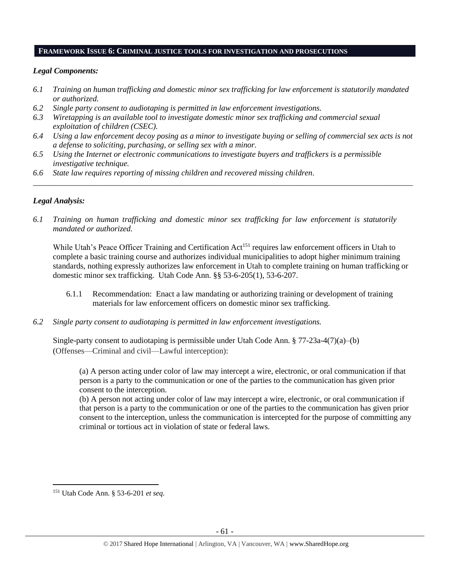## **FRAMEWORK ISSUE 6: CRIMINAL JUSTICE TOOLS FOR INVESTIGATION AND PROSECUTIONS**

## *Legal Components:*

- *6.1 Training on human trafficking and domestic minor sex trafficking for law enforcement is statutorily mandated or authorized.*
- *6.2 Single party consent to audiotaping is permitted in law enforcement investigations.*
- *6.3 Wiretapping is an available tool to investigate domestic minor sex trafficking and commercial sexual exploitation of children (CSEC).*
- *6.4 Using a law enforcement decoy posing as a minor to investigate buying or selling of commercial sex acts is not a defense to soliciting, purchasing, or selling sex with a minor.*

*\_\_\_\_\_\_\_\_\_\_\_\_\_\_\_\_\_\_\_\_\_\_\_\_\_\_\_\_\_\_\_\_\_\_\_\_\_\_\_\_\_\_\_\_\_\_\_\_\_\_\_\_\_\_\_\_\_\_\_\_\_\_\_\_\_\_\_\_\_\_\_\_\_\_\_\_\_\_\_\_\_\_\_\_\_\_\_\_\_\_\_\_\_\_*

- *6.5 Using the Internet or electronic communications to investigate buyers and traffickers is a permissible investigative technique.*
- *6.6 State law requires reporting of missing children and recovered missing children.*

# *Legal Analysis:*

*6.1 Training on human trafficking and domestic minor sex trafficking for law enforcement is statutorily mandated or authorized.*

While Utah's Peace Officer Training and Certification Act<sup>151</sup> requires law enforcement officers in Utah to complete a basic training course and authorizes individual municipalities to adopt higher minimum training standards, nothing expressly authorizes law enforcement in Utah to complete training on human trafficking or domestic minor sex trafficking. Utah Code Ann. §§ 53-6-205(1), 53-6-207.

- 6.1.1 Recommendation: Enact a law mandating or authorizing training or development of training materials for law enforcement officers on domestic minor sex trafficking.
- *6.2 Single party consent to audiotaping is permitted in law enforcement investigations.*

Single-party consent to audiotaping is permissible under Utah Code Ann.  $\S 77-23a-4(7)(a)$ –(b) (Offenses—Criminal and civil—Lawful interception):

(a) A person acting under color of law may intercept a wire, electronic, or oral communication if that person is a party to the communication or one of the parties to the communication has given prior consent to the interception.

(b) A person not acting under color of law may intercept a wire, electronic, or oral communication if that person is a party to the communication or one of the parties to the communication has given prior consent to the interception, unless the communication is intercepted for the purpose of committing any criminal or tortious act in violation of state or federal laws.

l

<sup>151</sup> Utah Code Ann. § 53-6-201 *et seq*.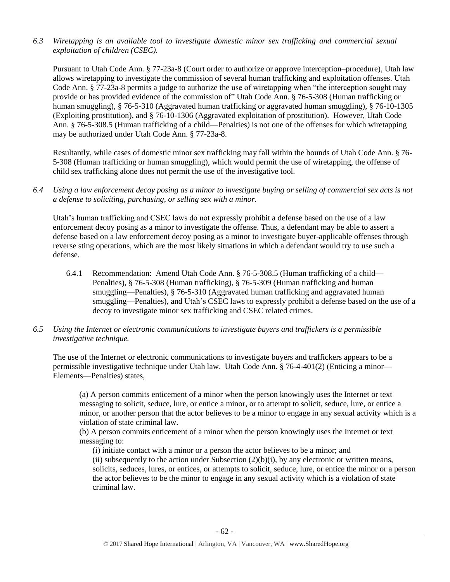*6.3 Wiretapping is an available tool to investigate domestic minor sex trafficking and commercial sexual exploitation of children (CSEC).* 

Pursuant to Utah Code Ann. § 77-23a-8 (Court order to authorize or approve interception–procedure), Utah law allows wiretapping to investigate the commission of several human trafficking and exploitation offenses. Utah Code Ann. § 77-23a-8 permits a judge to authorize the use of wiretapping when "the interception sought may provide or has provided evidence of the commission of" Utah Code Ann. § 76-5-308 (Human trafficking or human smuggling), § 76-5-310 (Aggravated human trafficking or aggravated human smuggling), § 76-10-1305 (Exploiting prostitution), and § 76-10-1306 (Aggravated exploitation of prostitution). However, Utah Code Ann. § 76-5-308.5 (Human trafficking of a child—Penalties) is not one of the offenses for which wiretapping may be authorized under Utah Code Ann. § 77-23a-8.

Resultantly, while cases of domestic minor sex trafficking may fall within the bounds of Utah Code Ann. § 76- 5-308 (Human trafficking or human smuggling), which would permit the use of wiretapping, the offense of child sex trafficking alone does not permit the use of the investigative tool.

*6.4 Using a law enforcement decoy posing as a minor to investigate buying or selling of commercial sex acts is not a defense to soliciting, purchasing, or selling sex with a minor.*

Utah's human trafficking and CSEC laws do not expressly prohibit a defense based on the use of a law enforcement decoy posing as a minor to investigate the offense. Thus, a defendant may be able to assert a defense based on a law enforcement decoy posing as a minor to investigate buyer-applicable offenses through reverse sting operations, which are the most likely situations in which a defendant would try to use such a defense.

- 6.4.1 Recommendation: Amend Utah Code Ann. § 76-5-308.5 (Human trafficking of a child— Penalties), § 76-5-308 (Human trafficking), § 76-5-309 (Human trafficking and human smuggling—Penalties), § 76-5-310 (Aggravated human trafficking and aggravated human smuggling—Penalties), and Utah's CSEC laws to expressly prohibit a defense based on the use of a decoy to investigate minor sex trafficking and CSEC related crimes.
- *6.5 Using the Internet or electronic communications to investigate buyers and traffickers is a permissible investigative technique.*

The use of the Internet or electronic communications to investigate buyers and traffickers appears to be a permissible investigative technique under Utah law. Utah Code Ann. § 76-4-401(2) (Enticing a minor— Elements—Penalties) states,

(a) A person commits enticement of a minor when the person knowingly uses the Internet or text messaging to solicit, seduce, lure, or entice a minor, or to attempt to solicit, seduce, lure, or entice a minor, or another person that the actor believes to be a minor to engage in any sexual activity which is a violation of state criminal law.

(b) A person commits enticement of a minor when the person knowingly uses the Internet or text messaging to:

(i) initiate contact with a minor or a person the actor believes to be a minor; and (ii) subsequently to the action under Subsection  $(2)(b)(i)$ , by any electronic or written means, solicits, seduces, lures, or entices, or attempts to solicit, seduce, lure, or entice the minor or a person the actor believes to be the minor to engage in any sexual activity which is a violation of state criminal law.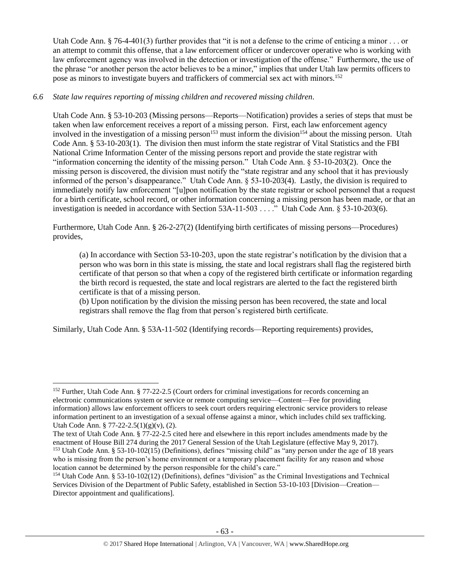Utah Code Ann. § 76-4-401(3) further provides that "it is not a defense to the crime of enticing a minor  $\dots$  or an attempt to commit this offense, that a law enforcement officer or undercover operative who is working with law enforcement agency was involved in the detection or investigation of the offense." Furthermore, the use of the phrase "or another person the actor believes to be a minor," implies that under Utah law permits officers to pose as minors to investigate buyers and traffickers of commercial sex act with minors.<sup>152</sup>

# *6.6 State law requires reporting of missing children and recovered missing children.*

Utah Code Ann. § 53-10-203 (Missing persons—Reports—Notification) provides a series of steps that must be taken when law enforcement receives a report of a missing person. First, each law enforcement agency involved in the investigation of a missing person<sup>153</sup> must inform the division<sup>154</sup> about the missing person. Utah Code Ann. § 53-10-203(1). The division then must inform the state registrar of Vital Statistics and the FBI National Crime Information Center of the missing persons report and provide the state registrar with "information concerning the identity of the missing person." Utah Code Ann. § 53-10-203(2). Once the missing person is discovered, the division must notify the "state registrar and any school that it has previously informed of the person's disappearance." Utah Code Ann. § 53-10-203(4). Lastly, the division is required to immediately notify law enforcement "[u]pon notification by the state registrar or school personnel that a request for a birth certificate, school record, or other information concerning a missing person has been made, or that an investigation is needed in accordance with Section 53A-11-503 . . . ." Utah Code Ann. § 53-10-203(6).

Furthermore, Utah Code Ann. § 26-2-27(2) (Identifying birth certificates of missing persons—Procedures) provides,

(a) In accordance with Section 53-10-203, upon the state registrar's notification by the division that a person who was born in this state is missing, the state and local registrars shall flag the registered birth certificate of that person so that when a copy of the registered birth certificate or information regarding the birth record is requested, the state and local registrars are alerted to the fact the registered birth certificate is that of a missing person.

(b) Upon notification by the division the missing person has been recovered, the state and local registrars shall remove the flag from that person's registered birth certificate.

Similarly, Utah Code Ann. § 53A-11-502 (Identifying records—Reporting requirements) provides,

l

<sup>152</sup> Further, Utah Code Ann. § 77-22-2.5 (Court orders for criminal investigations for records concerning an electronic communications system or service or remote computing service—Content—Fee for providing information) allows law enforcement officers to seek court orders requiring electronic service providers to release information pertinent to an investigation of a sexual offense against a minor, which includes child sex trafficking. Utah Code Ann. § 77-22-2.5(1)(g)(v), (2).

The text of Utah Code Ann. § 77-22-2.5 cited here and elsewhere in this report includes amendments made by the enactment of House Bill 274 during the 2017 General Session of the Utah Legislature (effective May 9, 2017). <sup>153</sup> Utah Code Ann. § 53-10-102(15) (Definitions), defines "missing child" as "any person under the age of 18 years who is missing from the person's home environment or a temporary placement facility for any reason and whose location cannot be determined by the person responsible for the child's care."

<sup>154</sup> Utah Code Ann. § 53-10-102(12) (Definitions), defines "division" as the Criminal Investigations and Technical Services Division of the Department of Public Safety, established in Section 53-10-103 [Division—Creation— Director appointment and qualifications].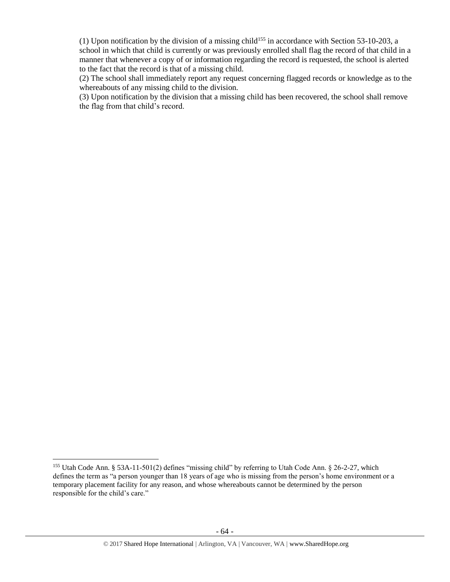(1) Upon notification by the division of a missing child<sup>155</sup> in accordance with Section 53-10-203, a school in which that child is currently or was previously enrolled shall flag the record of that child in a manner that whenever a copy of or information regarding the record is requested, the school is alerted to the fact that the record is that of a missing child.

(2) The school shall immediately report any request concerning flagged records or knowledge as to the whereabouts of any missing child to the division.

(3) Upon notification by the division that a missing child has been recovered, the school shall remove the flag from that child's record.

l

<sup>155</sup> Utah Code Ann. § 53A-11-501(2) defines "missing child" by referring to Utah Code Ann. § 26-2-27, which defines the term as "a person younger than 18 years of age who is missing from the person's home environment or a temporary placement facility for any reason, and whose whereabouts cannot be determined by the person responsible for the child's care."